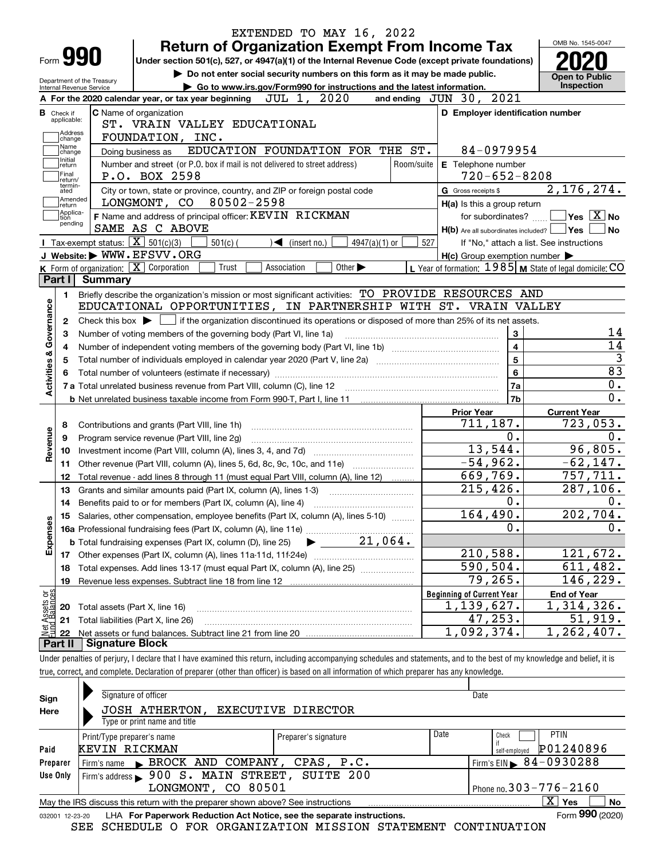|                                      |                                                   | <b>Return of Organization Exempt From Income Tax</b>                                                                                           |                 |            |                                                           | OMB No. 1545-0047                          |
|--------------------------------------|---------------------------------------------------|------------------------------------------------------------------------------------------------------------------------------------------------|-----------------|------------|-----------------------------------------------------------|--------------------------------------------|
|                                      | Form <b>990</b>                                   | Under section 501(c), 527, or 4947(a)(1) of the Internal Revenue Code (except private foundations)                                             |                 |            |                                                           |                                            |
|                                      | Department of the Treasury                        | Do not enter social security numbers on this form as it may be made public.                                                                    |                 |            |                                                           | <b>Open to Public</b><br><b>Inspection</b> |
|                                      | Internal Revenue Service                          | Go to www.irs.gov/Form990 for instructions and the latest information.<br>JUL 1, 2020<br>A For the 2020 calendar year, or tax year beginning   |                 |            | and ending JUN 30, 2021                                   |                                            |
| <b>B</b> Check if                    |                                                   | <b>C</b> Name of organization                                                                                                                  |                 |            | D Employer identification number                          |                                            |
| applicable:                          |                                                   | ST. VRAIN VALLEY EDUCATIONAL                                                                                                                   |                 |            |                                                           |                                            |
| Address<br>change                    |                                                   | FOUNDATION, INC.                                                                                                                               |                 |            |                                                           |                                            |
| Name<br>change                       |                                                   | EDUCATION FOUNDATION FOR THE ST.<br>Doing business as                                                                                          |                 |            | 84-0979954                                                |                                            |
| Initial<br>return                    |                                                   | Number and street (or P.O. box if mail is not delivered to street address)                                                                     |                 | Room/suite | E Telephone number                                        |                                            |
| Final<br>return/                     |                                                   | P.O. BOX 2598                                                                                                                                  |                 |            | $720 - 652 - 8208$                                        |                                            |
| termin-<br>ated                      |                                                   | City or town, state or province, country, and ZIP or foreign postal code                                                                       |                 |            | G Gross receipts \$                                       | 2, 176, 274.                               |
| Amended<br>∣return                   |                                                   | 80502-2598<br>LONGMONT, CO                                                                                                                     |                 |            | H(a) Is this a group return                               |                                            |
| Applica-<br>tion                     |                                                   | F Name and address of principal officer: KEVIN RICKMAN                                                                                         |                 |            | for subordinates?                                         | $\sqrt{}$ Yes $\sqrt{}$ X $\sqrt{}$ No     |
| pending                              |                                                   | SAME AS C ABOVE                                                                                                                                |                 |            | $H(b)$ Are all subordinates included? $\Box$ Yes          |                                            |
|                                      | Tax-exempt status: $\boxed{\mathbf{X}}$ 501(c)(3) | $501(c)$ (<br>$\blacktriangleleft$ (insert no.)                                                                                                | $4947(a)(1)$ or | 527        |                                                           | If "No," attach a list. See instructions   |
|                                      |                                                   | J Website: WWW.EFSVV.ORG                                                                                                                       |                 |            | $H(c)$ Group exemption number $\blacktriangleright$       |                                            |
|                                      |                                                   | K Form of organization: $\boxed{\mathbf{X}}$ Corporation<br>Other $\blacktriangleright$<br>Trust<br>Association                                |                 |            | L Year of formation: $1985$ M State of legal domicile: CO |                                            |
| Part I                               | Summary                                           |                                                                                                                                                |                 |            |                                                           |                                            |
| 1.                                   |                                                   | Briefly describe the organization's mission or most significant activities: TO PROVIDE RESOURCES AND                                           |                 |            |                                                           |                                            |
| Governance                           |                                                   | EDUCATIONAL OPPORTUNITIES, IN PARTNERSHIP WITH ST. VRAIN VALLEY                                                                                |                 |            |                                                           |                                            |
| 2                                    |                                                   | Check this box $\triangleright$ $\blacksquare$ if the organization discontinued its operations or disposed of more than 25% of its net assets. |                 |            |                                                           |                                            |
| З                                    |                                                   | Number of voting members of the governing body (Part VI, line 1a)                                                                              |                 |            | 3                                                         |                                            |
|                                      |                                                   |                                                                                                                                                |                 |            |                                                           |                                            |
| 4                                    |                                                   |                                                                                                                                                |                 |            | 4                                                         |                                            |
| 5                                    |                                                   |                                                                                                                                                |                 |            | $5\phantom{a}$                                            |                                            |
|                                      |                                                   |                                                                                                                                                |                 |            | 6                                                         |                                            |
|                                      |                                                   |                                                                                                                                                |                 |            | 7a                                                        |                                            |
| <b>Activities &amp;</b>              |                                                   |                                                                                                                                                |                 |            | 7b                                                        |                                            |
|                                      |                                                   |                                                                                                                                                |                 |            | <b>Prior Year</b>                                         | <b>Current Year</b>                        |
| 8                                    |                                                   | Contributions and grants (Part VIII, line 1h)                                                                                                  |                 |            | 711,187.                                                  | 723,053.                                   |
| 9                                    |                                                   | Program service revenue (Part VIII, line 2g)                                                                                                   |                 |            | 0.                                                        |                                            |
| 10                                   |                                                   |                                                                                                                                                |                 |            | 13,544.                                                   | 96,805.                                    |
| Revenue<br>11                        |                                                   | Other revenue (Part VIII, column (A), lines 5, 6d, 8c, 9c, 10c, and 11e)                                                                       |                 |            | $-54,962.$                                                | $-62, 147.$                                |
| 12                                   |                                                   | Total revenue - add lines 8 through 11 (must equal Part VIII, column (A), line 12)                                                             |                 |            | 669,769.                                                  | 757, 711.                                  |
| 13                                   |                                                   | Grants and similar amounts paid (Part IX, column (A), lines 1-3)                                                                               |                 |            | 215,426.                                                  | $\overline{287,106}$ .                     |
| 14                                   |                                                   |                                                                                                                                                |                 |            | 0.                                                        |                                            |
|                                      |                                                   | 15 Salaries, other compensation, employee benefits (Part IX, column (A), lines 5-10)                                                           |                 |            | 164,490.                                                  | 202, 704.                                  |
|                                      |                                                   |                                                                                                                                                |                 |            | 0.                                                        |                                            |
|                                      |                                                   | <b>b</b> Total fundraising expenses (Part IX, column (D), line 25)                                                                             | 21,064.         |            |                                                           |                                            |
| Expenses<br>17                       |                                                   |                                                                                                                                                |                 |            | 210,588.                                                  | 121,672.                                   |
| 18                                   |                                                   | Total expenses. Add lines 13-17 (must equal Part IX, column (A), line 25)                                                                      |                 |            | 590,504.                                                  | 611,482.                                   |
| 19                                   |                                                   |                                                                                                                                                |                 |            | 79, 265.                                                  | 146,229.                                   |
|                                      |                                                   |                                                                                                                                                |                 |            | <b>Beginning of Current Year</b>                          | <b>End of Year</b>                         |
| 20                                   |                                                   | Total assets (Part X, line 16)                                                                                                                 |                 |            | 1,139,627.                                                | 1,314,326.                                 |
| t Assets or<br>d Balances<br>21<br>鲳 |                                                   | Total liabilities (Part X, line 26)                                                                                                            |                 |            | 47,253.<br>1,092,374.                                     | 51,919.<br>1, 262, 407.                    |

true, correct, and complete. Declaration of preparer (other than officer) is based on all information of which preparer has any knowledge.

| Sign            | Signature of officer                                                            |                      |      | Date                                   |  |  |  |  |  |  |
|-----------------|---------------------------------------------------------------------------------|----------------------|------|----------------------------------------|--|--|--|--|--|--|
| Here            | JOSH ATHERTON,                                                                  | EXECUTIVE DIRECTOR   |      |                                        |  |  |  |  |  |  |
|                 | Type or print name and title                                                    |                      |      |                                        |  |  |  |  |  |  |
|                 | Print/Type preparer's name                                                      | Preparer's signature | Date | <b>PTIN</b><br>Check                   |  |  |  |  |  |  |
| Paid            | KEVIN RICKMAN                                                                   |                      |      | P01240896<br>self-emploved             |  |  |  |  |  |  |
| Preparer        | Firm's name BROCK AND COMPANY, CPAS, P.C.                                       |                      |      | Firm's EIN $\triangleright$ 84-0930288 |  |  |  |  |  |  |
| Use Only        | Firm's address > 900 S. MAIN STREET, SUITE 200                                  |                      |      |                                        |  |  |  |  |  |  |
|                 | Phone no. $303 - 776 - 2160$<br>LONGMONT, CO 80501                              |                      |      |                                        |  |  |  |  |  |  |
|                 | May the IRS discuss this return with the preparer shown above? See instructions |                      |      | x<br>No<br>Yes                         |  |  |  |  |  |  |
| 032001 12-23-20 | LHA For Paperwork Reduction Act Notice, see the separate instructions.          |                      |      | Form 990 (2020)                        |  |  |  |  |  |  |

SEE SCHEDULE O FOR ORGANIZATION MISSION STATEMENT CONTINUATION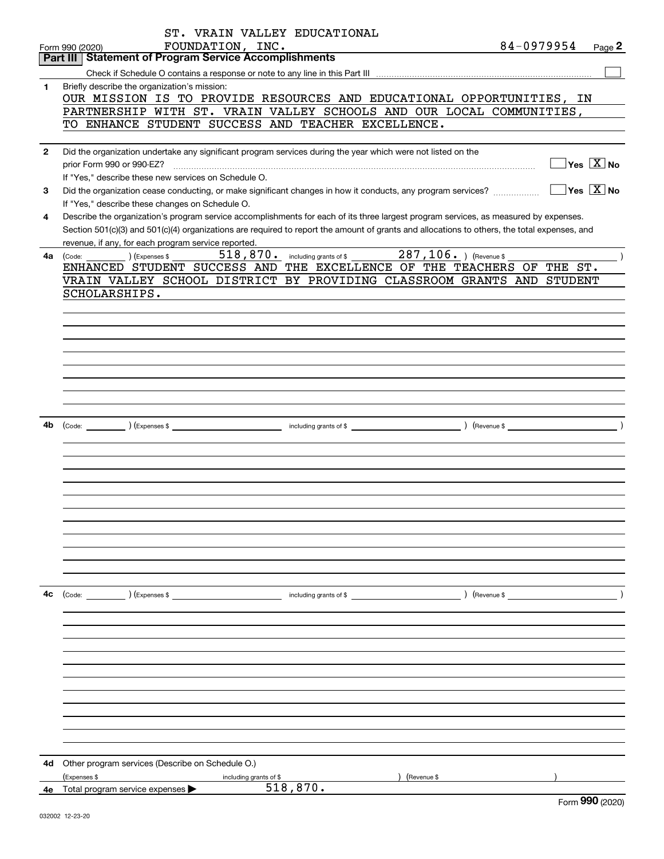|              | ST. VRAIN VALLEY EDUCATIONAL                                                                                                                 |
|--------------|----------------------------------------------------------------------------------------------------------------------------------------------|
|              | 84-0979954<br>FOUNDATION, INC.<br>Page 2<br>Form 990 (2020)                                                                                  |
|              | <b>Part III Statement of Program Service Accomplishments</b>                                                                                 |
|              |                                                                                                                                              |
| 1            | Briefly describe the organization's mission:                                                                                                 |
|              | OUR MISSION IS TO PROVIDE RESOURCES AND EDUCATIONAL OPPORTUNITIES, IN                                                                        |
|              | PARTNERSHIP WITH ST. VRAIN VALLEY SCHOOLS AND OUR LOCAL COMMUNITIES,                                                                         |
|              | TO ENHANCE STUDENT SUCCESS AND TEACHER EXCELLENCE.                                                                                           |
|              |                                                                                                                                              |
| $\mathbf{2}$ | Did the organization undertake any significant program services during the year which were not listed on the                                 |
|              | $\boxed{\phantom{1}}$ Yes $\boxed{\text{X}}$ No<br>prior Form 990 or 990-EZ?                                                                 |
|              | If "Yes," describe these new services on Schedule O.                                                                                         |
| 3            | $\Box$ Yes $\Box$ No<br>Did the organization cease conducting, or make significant changes in how it conducts, any program services?         |
|              |                                                                                                                                              |
|              | If "Yes," describe these changes on Schedule O.                                                                                              |
| 4            | Describe the organization's program service accomplishments for each of its three largest program services, as measured by expenses.         |
|              | Section 501(c)(3) and 501(c)(4) organizations are required to report the amount of grants and allocations to others, the total expenses, and |
|              | revenue, if any, for each program service reported.                                                                                          |
| 4a l         | 518, 870. including grants of \$287, 106. ) (Revenue \$<br>(Expenses \$<br>(Code:                                                            |
|              | ENHANCED STUDENT SUCCESS AND THE EXCELLENCE OF THE TEACHERS OF THE ST.                                                                       |
|              | VRAIN VALLEY SCHOOL DISTRICT BY PROVIDING CLASSROOM GRANTS AND STUDENT                                                                       |
|              | SCHOLARSHIPS.                                                                                                                                |
|              |                                                                                                                                              |
|              |                                                                                                                                              |
|              |                                                                                                                                              |
|              |                                                                                                                                              |
|              |                                                                                                                                              |
|              |                                                                                                                                              |
|              |                                                                                                                                              |
|              |                                                                                                                                              |
|              |                                                                                                                                              |
|              |                                                                                                                                              |
| 4b           |                                                                                                                                              |
|              |                                                                                                                                              |
|              |                                                                                                                                              |
|              |                                                                                                                                              |
|              |                                                                                                                                              |
|              |                                                                                                                                              |
|              |                                                                                                                                              |
|              |                                                                                                                                              |
|              |                                                                                                                                              |
|              |                                                                                                                                              |
|              |                                                                                                                                              |
|              |                                                                                                                                              |
|              |                                                                                                                                              |
| 4c           | ) (Revenue \$                                                                                                                                |
|              | (Code: ) (Expenses \$<br>including grants of \$                                                                                              |
|              |                                                                                                                                              |
|              |                                                                                                                                              |
|              |                                                                                                                                              |
|              |                                                                                                                                              |
|              |                                                                                                                                              |
|              |                                                                                                                                              |
|              |                                                                                                                                              |
|              |                                                                                                                                              |
|              |                                                                                                                                              |
|              |                                                                                                                                              |
|              |                                                                                                                                              |
|              |                                                                                                                                              |
| 4d           | Other program services (Describe on Schedule O.)                                                                                             |
|              | (Expenses \$<br>(Revenue \$                                                                                                                  |
|              | including grants of \$<br>518, 870.                                                                                                          |
| 4е           | Total program service expenses ><br>nnn.                                                                                                     |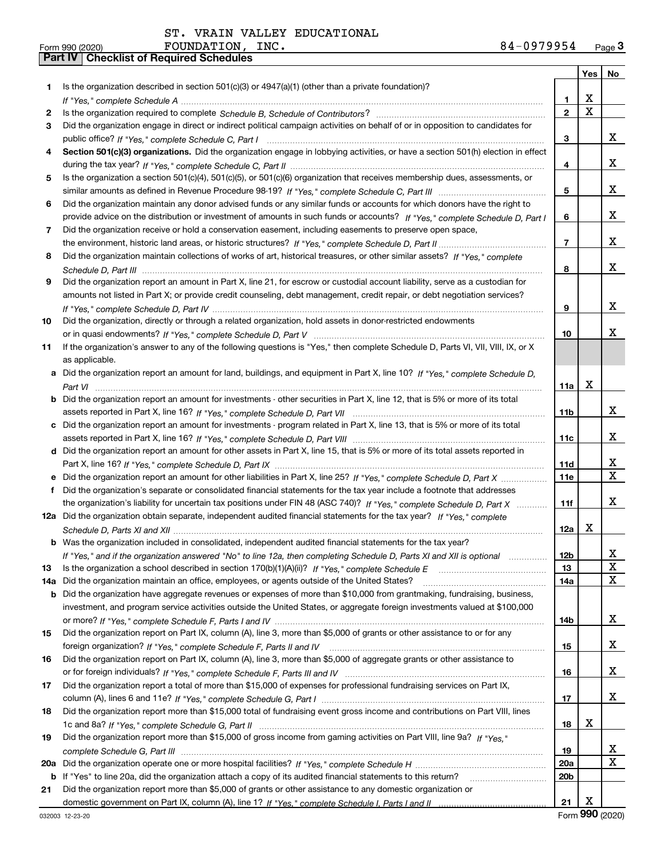| Form 990 (2020) | <b>FOUNDATION</b>                                | $\_INC$ . | 84-0979954 | Page $3$ |
|-----------------|--------------------------------------------------|-----------|------------|----------|
|                 | <b>Part IV   Checklist of Required Schedules</b> |           |            |          |

|     |                                                                                                                                  |                | Yes                     | No                           |
|-----|----------------------------------------------------------------------------------------------------------------------------------|----------------|-------------------------|------------------------------|
| 1.  | Is the organization described in section $501(c)(3)$ or $4947(a)(1)$ (other than a private foundation)?                          |                |                         |                              |
|     |                                                                                                                                  | 1              | X                       |                              |
| 2   |                                                                                                                                  | $\overline{2}$ | $\overline{\mathbf{x}}$ |                              |
| 3   | Did the organization engage in direct or indirect political campaign activities on behalf of or in opposition to candidates for  |                |                         |                              |
|     |                                                                                                                                  | 3              |                         | x                            |
| 4   | Section 501(c)(3) organizations. Did the organization engage in lobbying activities, or have a section 501(h) election in effect |                |                         |                              |
|     |                                                                                                                                  | 4              |                         | x                            |
| 5   | Is the organization a section 501(c)(4), 501(c)(5), or 501(c)(6) organization that receives membership dues, assessments, or     |                |                         |                              |
|     |                                                                                                                                  | 5              |                         | x                            |
| 6   | Did the organization maintain any donor advised funds or any similar funds or accounts for which donors have the right to        |                |                         |                              |
|     | provide advice on the distribution or investment of amounts in such funds or accounts? If "Yes," complete Schedule D, Part I     | 6              |                         | x                            |
| 7   | Did the organization receive or hold a conservation easement, including easements to preserve open space,                        |                |                         |                              |
|     |                                                                                                                                  | $\overline{7}$ |                         | x                            |
| 8   | Did the organization maintain collections of works of art, historical treasures, or other similar assets? If "Yes," complete     |                |                         |                              |
|     |                                                                                                                                  | 8              |                         | x                            |
| 9   | Did the organization report an amount in Part X, line 21, for escrow or custodial account liability, serve as a custodian for    |                |                         |                              |
|     | amounts not listed in Part X; or provide credit counseling, debt management, credit repair, or debt negotiation services?        |                |                         |                              |
|     |                                                                                                                                  | 9              |                         | x                            |
| 10  | Did the organization, directly or through a related organization, hold assets in donor-restricted endowments                     |                |                         |                              |
|     |                                                                                                                                  | 10             |                         | x                            |
| 11  | If the organization's answer to any of the following questions is "Yes," then complete Schedule D, Parts VI, VII, VIII, IX, or X |                |                         |                              |
|     | as applicable.                                                                                                                   |                |                         |                              |
| а   | Did the organization report an amount for land, buildings, and equipment in Part X, line 10? If "Yes," complete Schedule D,      |                |                         |                              |
|     |                                                                                                                                  | 11a            | X                       |                              |
| b   | Did the organization report an amount for investments - other securities in Part X, line 12, that is 5% or more of its total     |                |                         |                              |
|     |                                                                                                                                  | 11b            |                         | x                            |
| c   | Did the organization report an amount for investments - program related in Part X, line 13, that is 5% or more of its total      |                |                         |                              |
|     |                                                                                                                                  | 11c            |                         | x                            |
|     | d Did the organization report an amount for other assets in Part X, line 15, that is 5% or more of its total assets reported in  |                |                         |                              |
|     |                                                                                                                                  | 11d            |                         | x<br>$\overline{\mathbf{X}}$ |
|     | Did the organization report an amount for other liabilities in Part X, line 25? If "Yes," complete Schedule D, Part X            | 11e            |                         |                              |
| f   | Did the organization's separate or consolidated financial statements for the tax year include a footnote that addresses          |                |                         |                              |
|     | the organization's liability for uncertain tax positions under FIN 48 (ASC 740)? If "Yes," complete Schedule D, Part X           | 11f            |                         | x                            |
|     | 12a Did the organization obtain separate, independent audited financial statements for the tax year? If "Yes," complete          |                |                         |                              |
|     |                                                                                                                                  | 12a            | Х                       |                              |
|     | <b>b</b> Was the organization included in consolidated, independent audited financial statements for the tax year?               |                |                         |                              |
|     | If "Yes," and if the organization answered "No" to line 12a, then completing Schedule D, Parts XI and XII is optional            | 12b            |                         | ▵<br>X                       |
| 13  |                                                                                                                                  | 13             |                         | $\mathbf x$                  |
| 14a | Did the organization maintain an office, employees, or agents outside of the United States?                                      | 14a            |                         |                              |
| b   | Did the organization have aggregate revenues or expenses of more than \$10,000 from grantmaking, fundraising, business,          |                |                         |                              |
|     | investment, and program service activities outside the United States, or aggregate foreign investments valued at \$100,000       |                |                         | x                            |
| 15  | Did the organization report on Part IX, column (A), line 3, more than \$5,000 of grants or other assistance to or for any        | 14b            |                         |                              |
|     |                                                                                                                                  |                |                         | x                            |
| 16  | Did the organization report on Part IX, column (A), line 3, more than \$5,000 of aggregate grants or other assistance to         | 15             |                         |                              |
|     |                                                                                                                                  | 16             |                         | x                            |
| 17  | Did the organization report a total of more than \$15,000 of expenses for professional fundraising services on Part IX,          |                |                         |                              |
|     |                                                                                                                                  | 17             |                         | X                            |
| 18  | Did the organization report more than \$15,000 total of fundraising event gross income and contributions on Part VIII, lines     |                |                         |                              |
|     |                                                                                                                                  | 18             | х                       |                              |
| 19  | Did the organization report more than \$15,000 of gross income from gaming activities on Part VIII, line 9a? If "Yes."           |                |                         |                              |
|     |                                                                                                                                  | 19             |                         | х                            |
| 20a |                                                                                                                                  | 20a            |                         | $\mathbf X$                  |
|     | <b>b</b> If "Yes" to line 20a, did the organization attach a copy of its audited financial statements to this return?            | 20b            |                         |                              |
| 21  | Did the organization report more than \$5,000 of grants or other assistance to any domestic organization or                      |                |                         |                              |
|     |                                                                                                                                  | 21             | х                       |                              |
|     |                                                                                                                                  |                |                         |                              |

032003 12-23-20

Form (2020) **990**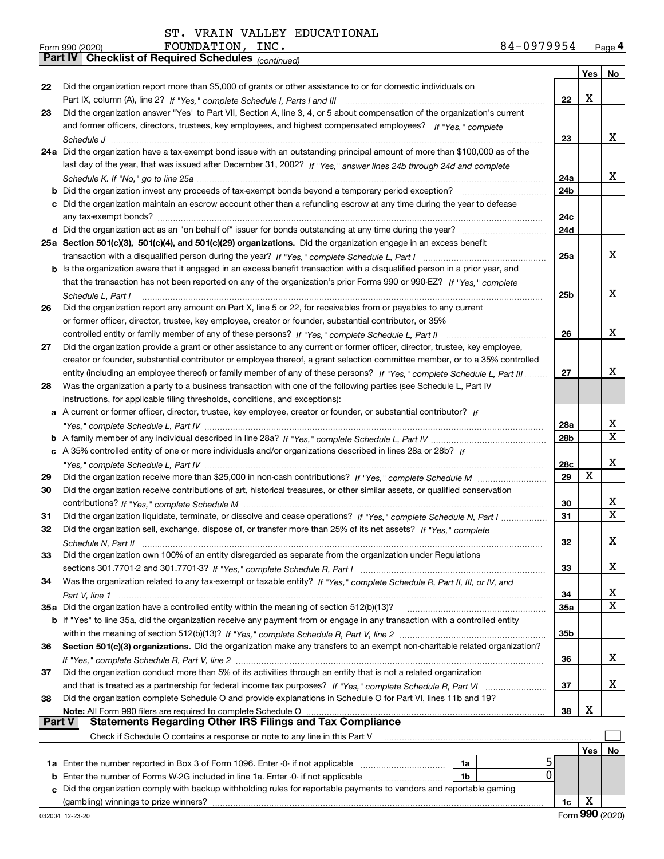*(continued)*

|        |                                                                                                                                   |                 | Yes | No          |
|--------|-----------------------------------------------------------------------------------------------------------------------------------|-----------------|-----|-------------|
| 22     | Did the organization report more than \$5,000 of grants or other assistance to or for domestic individuals on                     |                 |     |             |
|        |                                                                                                                                   | 22              | x   |             |
| 23     | Did the organization answer "Yes" to Part VII, Section A, line 3, 4, or 5 about compensation of the organization's current        |                 |     |             |
|        | and former officers, directors, trustees, key employees, and highest compensated employees? If "Yes," complete                    |                 |     |             |
|        |                                                                                                                                   | 23              |     | x           |
|        | 24a Did the organization have a tax-exempt bond issue with an outstanding principal amount of more than \$100,000 as of the       |                 |     |             |
|        | last day of the year, that was issued after December 31, 2002? If "Yes," answer lines 24b through 24d and complete                |                 |     |             |
|        |                                                                                                                                   | 24a             |     | х           |
|        | <b>b</b> Did the organization invest any proceeds of tax-exempt bonds beyond a temporary period exception?                        | 24b             |     |             |
|        | c Did the organization maintain an escrow account other than a refunding escrow at any time during the year to defease            |                 |     |             |
|        |                                                                                                                                   | 24c             |     |             |
|        |                                                                                                                                   | 24d             |     |             |
|        | 25a Section 501(c)(3), 501(c)(4), and 501(c)(29) organizations. Did the organization engage in an excess benefit                  |                 |     |             |
|        |                                                                                                                                   | 25a             |     | x           |
|        | b Is the organization aware that it engaged in an excess benefit transaction with a disqualified person in a prior year, and      |                 |     |             |
|        | that the transaction has not been reported on any of the organization's prior Forms 990 or 990-EZ? If "Yes," complete             |                 |     |             |
|        | Schedule L. Part I                                                                                                                | 25b             |     | x           |
| 26     | Did the organization report any amount on Part X, line 5 or 22, for receivables from or payables to any current                   |                 |     |             |
|        | or former officer, director, trustee, key employee, creator or founder, substantial contributor, or 35%                           |                 |     |             |
|        | controlled entity or family member of any of these persons? If "Yes," complete Schedule L, Part II                                | 26              |     | x           |
| 27     | Did the organization provide a grant or other assistance to any current or former officer, director, trustee, key employee,       |                 |     |             |
|        | creator or founder, substantial contributor or employee thereof, a grant selection committee member, or to a 35% controlled       |                 |     |             |
|        | entity (including an employee thereof) or family member of any of these persons? If "Yes," complete Schedule L, Part III          | 27              |     | х           |
| 28     | Was the organization a party to a business transaction with one of the following parties (see Schedule L, Part IV                 |                 |     |             |
|        | instructions, for applicable filing thresholds, conditions, and exceptions):                                                      |                 |     |             |
|        | a A current or former officer, director, trustee, key employee, creator or founder, or substantial contributor? If                |                 |     |             |
|        |                                                                                                                                   | 28a             |     | x           |
|        |                                                                                                                                   | 28 <sub>b</sub> |     | $\mathbf X$ |
|        | c A 35% controlled entity of one or more individuals and/or organizations described in lines 28a or 28b? If                       |                 |     |             |
|        |                                                                                                                                   | <b>28c</b>      |     | x           |
| 29     |                                                                                                                                   | 29              | X   |             |
| 30     | Did the organization receive contributions of art, historical treasures, or other similar assets, or qualified conservation       |                 |     |             |
|        |                                                                                                                                   | 30              |     | x           |
| 31     | Did the organization liquidate, terminate, or dissolve and cease operations? If "Yes," complete Schedule N, Part I                | 31              |     | X           |
| 32     | Did the organization sell, exchange, dispose of, or transfer more than 25% of its net assets? If "Yes," complete                  |                 |     |             |
|        |                                                                                                                                   | 32              |     | x.          |
| 33     | Did the organization own 100% of an entity disregarded as separate from the organization under Regulations                        |                 |     |             |
|        |                                                                                                                                   | 33              |     | x           |
| 34     | Was the organization related to any tax-exempt or taxable entity? If "Yes," complete Schedule R, Part II, III, or IV, and         |                 |     |             |
|        |                                                                                                                                   | 34              |     | X           |
|        | 35a Did the organization have a controlled entity within the meaning of section 512(b)(13)?                                       | <b>35a</b>      |     | X           |
|        | b If "Yes" to line 35a, did the organization receive any payment from or engage in any transaction with a controlled entity       |                 |     |             |
|        |                                                                                                                                   | 35b             |     |             |
| 36     | Section 501(c)(3) organizations. Did the organization make any transfers to an exempt non-charitable related organization?        |                 |     |             |
|        |                                                                                                                                   | 36              |     | X.          |
| 37     | Did the organization conduct more than 5% of its activities through an entity that is not a related organization                  |                 |     |             |
|        | and that is treated as a partnership for federal income tax purposes? If "Yes," complete Schedule R, Part VI                      | 37              |     | X.          |
| 38     | Did the organization complete Schedule O and provide explanations in Schedule O for Part VI, lines 11b and 19?                    | 38              | х   |             |
| Part V | Note: All Form 990 filers are required to complete Schedule O<br><b>Statements Regarding Other IRS Filings and Tax Compliance</b> |                 |     |             |
|        | Check if Schedule O contains a response or note to any line in this Part V                                                        |                 |     |             |
|        |                                                                                                                                   |                 | Yes |             |
|        | 1a Enter the number reported in Box 3 of Form 1096. Enter -0- if not applicable<br>1a                                             |                 |     | No          |
| b      | 0<br>Enter the number of Forms W-2G included in line 1a. Enter -0- if not applicable<br>1b                                        |                 |     |             |
| c      | Did the organization comply with backup withholding rules for reportable payments to vendors and reportable gaming                |                 |     |             |
|        | (gambling) winnings to prize winners?                                                                                             | 1c              | х   |             |
|        |                                                                                                                                   |                 |     |             |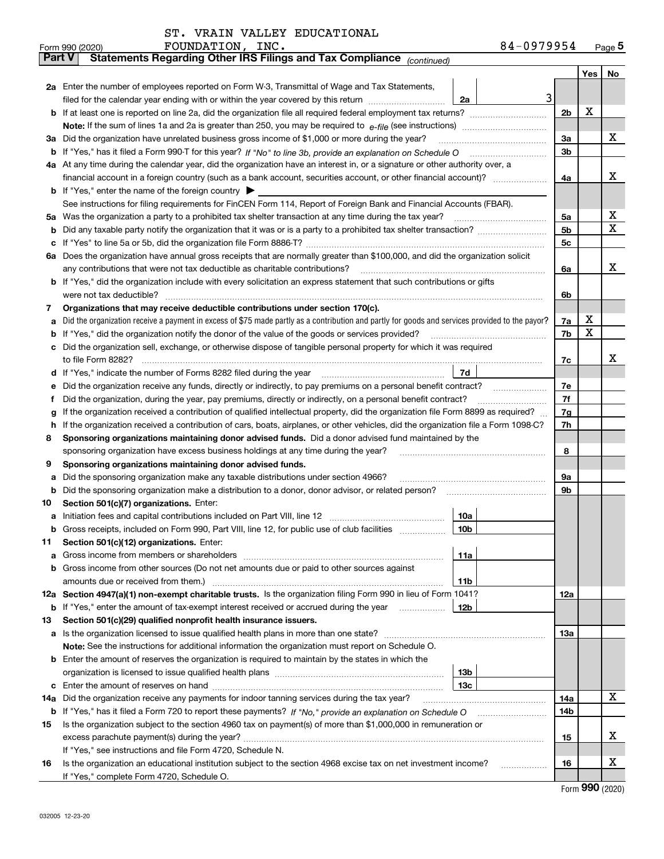|  |  |  |  | ST. VRAIN VALLEY EDUCATIONAL |
|--|--|--|--|------------------------------|
|--|--|--|--|------------------------------|

|               | 84-0979954<br>FOUNDATION, INC.<br>Form 990 (2020)                                                                                                                                  |     |     | $_{\text{Page}}$ 5 |  |  |  |  |  |  |  |
|---------------|------------------------------------------------------------------------------------------------------------------------------------------------------------------------------------|-----|-----|--------------------|--|--|--|--|--|--|--|
| <b>Part V</b> | Statements Regarding Other IRS Filings and Tax Compliance (continued)                                                                                                              |     |     |                    |  |  |  |  |  |  |  |
|               |                                                                                                                                                                                    |     | Yes | No                 |  |  |  |  |  |  |  |
|               | 2a Enter the number of employees reported on Form W-3, Transmittal of Wage and Tax Statements,                                                                                     |     |     |                    |  |  |  |  |  |  |  |
|               | 3<br>filed for the calendar year ending with or within the year covered by this return<br>2a                                                                                       |     |     |                    |  |  |  |  |  |  |  |
|               |                                                                                                                                                                                    |     |     |                    |  |  |  |  |  |  |  |
|               |                                                                                                                                                                                    |     |     |                    |  |  |  |  |  |  |  |
|               | 3a Did the organization have unrelated business gross income of \$1,000 or more during the year?                                                                                   |     |     |                    |  |  |  |  |  |  |  |
|               |                                                                                                                                                                                    |     |     |                    |  |  |  |  |  |  |  |
|               | 4a At any time during the calendar year, did the organization have an interest in, or a signature or other authority over, a                                                       |     |     |                    |  |  |  |  |  |  |  |
|               |                                                                                                                                                                                    | 4a  |     | x                  |  |  |  |  |  |  |  |
|               | <b>b</b> If "Yes," enter the name of the foreign country $\blacktriangleright$                                                                                                     |     |     |                    |  |  |  |  |  |  |  |
|               | See instructions for filing requirements for FinCEN Form 114, Report of Foreign Bank and Financial Accounts (FBAR).                                                                |     |     |                    |  |  |  |  |  |  |  |
|               | 5a Was the organization a party to a prohibited tax shelter transaction at any time during the tax year?                                                                           | 5a  |     | х                  |  |  |  |  |  |  |  |
| b             |                                                                                                                                                                                    | 5b  |     | X                  |  |  |  |  |  |  |  |
| c             |                                                                                                                                                                                    | 5c  |     |                    |  |  |  |  |  |  |  |
|               | 6a Does the organization have annual gross receipts that are normally greater than \$100,000, and did the organization solicit                                                     |     |     |                    |  |  |  |  |  |  |  |
|               |                                                                                                                                                                                    | 6a  |     | х                  |  |  |  |  |  |  |  |
|               | <b>b</b> If "Yes," did the organization include with every solicitation an express statement that such contributions or gifts                                                      |     |     |                    |  |  |  |  |  |  |  |
|               | were not tax deductible?                                                                                                                                                           | 6b  |     |                    |  |  |  |  |  |  |  |
| 7             | Organizations that may receive deductible contributions under section 170(c).                                                                                                      |     |     |                    |  |  |  |  |  |  |  |
| а             | Did the organization receive a payment in excess of \$75 made partly as a contribution and partly for goods and services provided to the payor?                                    | 7a  | х   |                    |  |  |  |  |  |  |  |
| b             | If "Yes," did the organization notify the donor of the value of the goods or services provided?                                                                                    | 7b  | х   |                    |  |  |  |  |  |  |  |
|               | c Did the organization sell, exchange, or otherwise dispose of tangible personal property for which it was required                                                                |     |     |                    |  |  |  |  |  |  |  |
|               |                                                                                                                                                                                    | 7c  |     | х                  |  |  |  |  |  |  |  |
|               | 7d                                                                                                                                                                                 |     |     |                    |  |  |  |  |  |  |  |
| е             | Did the organization receive any funds, directly or indirectly, to pay premiums on a personal benefit contract?                                                                    | 7e  |     |                    |  |  |  |  |  |  |  |
| f             | Did the organization, during the year, pay premiums, directly or indirectly, on a personal benefit contract?                                                                       | 7f  |     |                    |  |  |  |  |  |  |  |
| g             | If the organization received a contribution of qualified intellectual property, did the organization file Form 8899 as required?                                                   | 7g  |     |                    |  |  |  |  |  |  |  |
| h.            | If the organization received a contribution of cars, boats, airplanes, or other vehicles, did the organization file a Form 1098-C?                                                 | 7h  |     |                    |  |  |  |  |  |  |  |
| 8             | Sponsoring organizations maintaining donor advised funds. Did a donor advised fund maintained by the                                                                               |     |     |                    |  |  |  |  |  |  |  |
|               | sponsoring organization have excess business holdings at any time during the year?                                                                                                 | 8   |     |                    |  |  |  |  |  |  |  |
| 9             | Sponsoring organizations maintaining donor advised funds.                                                                                                                          |     |     |                    |  |  |  |  |  |  |  |
| а             | Did the sponsoring organization make any taxable distributions under section 4966?                                                                                                 | 9а  |     |                    |  |  |  |  |  |  |  |
| b             | Did the sponsoring organization make a distribution to a donor, donor advisor, or related person?                                                                                  | 9b  |     |                    |  |  |  |  |  |  |  |
| 10            | Section 501(c)(7) organizations. Enter:                                                                                                                                            |     |     |                    |  |  |  |  |  |  |  |
|               | 10a                                                                                                                                                                                |     |     |                    |  |  |  |  |  |  |  |
|               | 10 <sub>b</sub>  <br>Gross receipts, included on Form 990, Part VIII, line 12, for public use of club facilities                                                                   |     |     |                    |  |  |  |  |  |  |  |
| 11            | Section 501(c)(12) organizations. Enter:                                                                                                                                           |     |     |                    |  |  |  |  |  |  |  |
| a             | 11a                                                                                                                                                                                |     |     |                    |  |  |  |  |  |  |  |
|               | b Gross income from other sources (Do not net amounts due or paid to other sources against                                                                                         |     |     |                    |  |  |  |  |  |  |  |
|               | <b>11b</b><br>12a Section 4947(a)(1) non-exempt charitable trusts. Is the organization filing Form 990 in lieu of Form 1041?                                                       |     |     |                    |  |  |  |  |  |  |  |
|               | 12b                                                                                                                                                                                | 12a |     |                    |  |  |  |  |  |  |  |
| 13            | <b>b</b> If "Yes," enter the amount of tax-exempt interest received or accrued during the year <i>manument</i><br>Section 501(c)(29) qualified nonprofit health insurance issuers. |     |     |                    |  |  |  |  |  |  |  |
|               | a Is the organization licensed to issue qualified health plans in more than one state?                                                                                             | 13a |     |                    |  |  |  |  |  |  |  |
|               | Note: See the instructions for additional information the organization must report on Schedule O.                                                                                  |     |     |                    |  |  |  |  |  |  |  |
|               | <b>b</b> Enter the amount of reserves the organization is required to maintain by the states in which the                                                                          |     |     |                    |  |  |  |  |  |  |  |
|               | 13b                                                                                                                                                                                |     |     |                    |  |  |  |  |  |  |  |
|               | 13с                                                                                                                                                                                |     |     |                    |  |  |  |  |  |  |  |
| 14a           | Did the organization receive any payments for indoor tanning services during the tax year?                                                                                         | 14a |     | х                  |  |  |  |  |  |  |  |
|               | <b>b</b> If "Yes," has it filed a Form 720 to report these payments? If "No," provide an explanation on Schedule O                                                                 | 14b |     |                    |  |  |  |  |  |  |  |
| 15            | Is the organization subject to the section 4960 tax on payment(s) of more than \$1,000,000 in remuneration or                                                                      |     |     |                    |  |  |  |  |  |  |  |
|               |                                                                                                                                                                                    | 15  |     | x                  |  |  |  |  |  |  |  |
|               | If "Yes," see instructions and file Form 4720, Schedule N.                                                                                                                         |     |     |                    |  |  |  |  |  |  |  |
| 16            | Is the organization an educational institution subject to the section 4968 excise tax on net investment income?                                                                    | 16  |     | х                  |  |  |  |  |  |  |  |
|               | If "Yes," complete Form 4720, Schedule O.                                                                                                                                          |     |     |                    |  |  |  |  |  |  |  |

Form (2020) **990**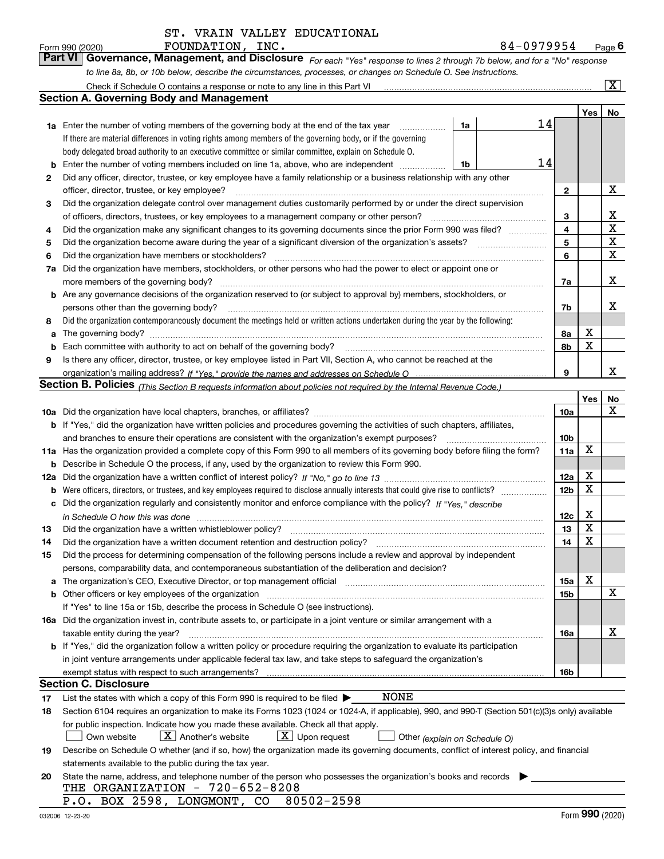|  | ST. VRAIN VALLEY EDUCATIONAL |
|--|------------------------------|
|  |                              |

*For each "Yes" response to lines 2 through 7b below, and for a "No" response to line 8a, 8b, or 10b below, describe the circumstances, processes, or changes on Schedule O. See instructions.* Form 990 (2020) **FOUNDATION, INC.**<br>**Part VI Governance, Management, and Disclosure** For each "Yes" response to lines 2 through 7b below, and for a "No" response

|     | Check if Schedule O contains a response or note to any line in this Part VI                                                                                           |    |                 |     | X           |  |  |  |  |  |  |
|-----|-----------------------------------------------------------------------------------------------------------------------------------------------------------------------|----|-----------------|-----|-------------|--|--|--|--|--|--|
|     | <b>Section A. Governing Body and Management</b>                                                                                                                       |    |                 |     |             |  |  |  |  |  |  |
|     |                                                                                                                                                                       |    |                 | Yes | No          |  |  |  |  |  |  |
|     | 1a Enter the number of voting members of the governing body at the end of the tax year<br>1a                                                                          | 14 |                 |     |             |  |  |  |  |  |  |
|     | If there are material differences in voting rights among members of the governing body, or if the governing                                                           |    |                 |     |             |  |  |  |  |  |  |
|     | body delegated broad authority to an executive committee or similar committee, explain on Schedule O.                                                                 |    |                 |     |             |  |  |  |  |  |  |
| b   | Enter the number of voting members included on line 1a, above, who are independent<br>1b                                                                              | 14 |                 |     |             |  |  |  |  |  |  |
| 2   | Did any officer, director, trustee, or key employee have a family relationship or a business relationship with any other                                              |    |                 |     |             |  |  |  |  |  |  |
|     | officer, director, trustee, or key employee?                                                                                                                          |    | $\mathbf{2}$    |     | х           |  |  |  |  |  |  |
| 3   | Did the organization delegate control over management duties customarily performed by or under the direct supervision                                                 |    |                 |     |             |  |  |  |  |  |  |
|     | of officers, directors, trustees, or key employees to a management company or other person?                                                                           |    | 3               |     | х           |  |  |  |  |  |  |
| 4   | Did the organization make any significant changes to its governing documents since the prior Form 990 was filed?                                                      |    | 4               |     | $\mathbf X$ |  |  |  |  |  |  |
| 5   |                                                                                                                                                                       |    | 5               |     | $\mathbf X$ |  |  |  |  |  |  |
| 6   | Did the organization have members or stockholders?                                                                                                                    |    | 6               |     | х           |  |  |  |  |  |  |
| 7a  | Did the organization have members, stockholders, or other persons who had the power to elect or appoint one or                                                        |    |                 |     |             |  |  |  |  |  |  |
|     | more members of the governing body?                                                                                                                                   |    | 7a              |     | х           |  |  |  |  |  |  |
|     | <b>b</b> Are any governance decisions of the organization reserved to (or subject to approval by) members, stockholders, or                                           |    |                 |     |             |  |  |  |  |  |  |
|     | persons other than the governing body?                                                                                                                                |    | 7b              |     | х           |  |  |  |  |  |  |
| 8   | Did the organization contemporaneously document the meetings held or written actions undertaken during the year by the following:                                     |    |                 |     |             |  |  |  |  |  |  |
| a   | The governing body?                                                                                                                                                   |    | 8a              | х   |             |  |  |  |  |  |  |
| b   |                                                                                                                                                                       |    | 8b              | X   |             |  |  |  |  |  |  |
| 9   | Is there any officer, director, trustee, or key employee listed in Part VII, Section A, who cannot be reached at the                                                  |    |                 |     |             |  |  |  |  |  |  |
|     |                                                                                                                                                                       |    | 9               |     | x           |  |  |  |  |  |  |
|     | <b>Section B. Policies</b> (This Section B requests information about policies not required by the Internal Revenue Code.)                                            |    |                 |     |             |  |  |  |  |  |  |
|     |                                                                                                                                                                       |    |                 | Yes | No          |  |  |  |  |  |  |
|     |                                                                                                                                                                       |    | 10a             |     | x           |  |  |  |  |  |  |
|     | <b>b</b> If "Yes," did the organization have written policies and procedures governing the activities of such chapters, affiliates,                                   |    |                 |     |             |  |  |  |  |  |  |
|     | and branches to ensure their operations are consistent with the organization's exempt purposes?                                                                       |    |                 |     |             |  |  |  |  |  |  |
|     | 11a Has the organization provided a complete copy of this Form 990 to all members of its governing body before filing the form?                                       |    |                 |     |             |  |  |  |  |  |  |
| b   | Describe in Schedule O the process, if any, used by the organization to review this Form 990.                                                                         |    |                 |     |             |  |  |  |  |  |  |
| 12a |                                                                                                                                                                       |    | 12a             | X   |             |  |  |  |  |  |  |
| b   |                                                                                                                                                                       |    | 12 <sub>b</sub> | X   |             |  |  |  |  |  |  |
| с   | Did the organization regularly and consistently monitor and enforce compliance with the policy? If "Yes," describe                                                    |    |                 |     |             |  |  |  |  |  |  |
|     | in Schedule O how this was done measured and contained a state of the state of the state of the state of the s                                                        |    | 12c             | х   |             |  |  |  |  |  |  |
| 13  | Did the organization have a written whistleblower policy?                                                                                                             |    | 13              | X   |             |  |  |  |  |  |  |
| 14  | Did the organization have a written document retention and destruction policy?                                                                                        |    | 14              | X   |             |  |  |  |  |  |  |
| 15  | Did the process for determining compensation of the following persons include a review and approval by independent                                                    |    |                 |     |             |  |  |  |  |  |  |
|     | persons, comparability data, and contemporaneous substantiation of the deliberation and decision?                                                                     |    |                 |     |             |  |  |  |  |  |  |
| a   | The organization's CEO, Executive Director, or top management official manufactured content of the organization's CEO, Executive Director, or top management official |    | 15a             | X   |             |  |  |  |  |  |  |
|     | <b>b</b> Other officers or key employees of the organization                                                                                                          |    | 15b             |     | х           |  |  |  |  |  |  |
|     | If "Yes" to line 15a or 15b, describe the process in Schedule O (see instructions).                                                                                   |    |                 |     |             |  |  |  |  |  |  |
|     | 16a Did the organization invest in, contribute assets to, or participate in a joint venture or similar arrangement with a                                             |    |                 |     |             |  |  |  |  |  |  |
|     | taxable entity during the year?                                                                                                                                       |    | 16a             |     | х           |  |  |  |  |  |  |
|     | <b>b</b> If "Yes," did the organization follow a written policy or procedure requiring the organization to evaluate its participation                                 |    |                 |     |             |  |  |  |  |  |  |
|     | in joint venture arrangements under applicable federal tax law, and take steps to safeguard the organization's                                                        |    |                 |     |             |  |  |  |  |  |  |
|     | exempt status with respect to such arrangements?                                                                                                                      |    | 16b             |     |             |  |  |  |  |  |  |
|     | <b>Section C. Disclosure</b>                                                                                                                                          |    |                 |     |             |  |  |  |  |  |  |
| 17  | <b>NONE</b><br>List the states with which a copy of this Form 990 is required to be filed $\blacktriangleright$                                                       |    |                 |     |             |  |  |  |  |  |  |
| 18  | Section 6104 requires an organization to make its Forms 1023 (1024 or 1024-A, if applicable), 990, and 990-T (Section 501(c)(3)s only) available                      |    |                 |     |             |  |  |  |  |  |  |
|     | for public inspection. Indicate how you made these available. Check all that apply.                                                                                   |    |                 |     |             |  |  |  |  |  |  |
|     | $X$ Another's website<br>$\lfloor X \rfloor$ Upon request<br>Own website<br>Other (explain on Schedule O)                                                             |    |                 |     |             |  |  |  |  |  |  |
| 19  | Describe on Schedule O whether (and if so, how) the organization made its governing documents, conflict of interest policy, and financial                             |    |                 |     |             |  |  |  |  |  |  |
|     | statements available to the public during the tax year.                                                                                                               |    |                 |     |             |  |  |  |  |  |  |
| 20  | State the name, address, and telephone number of the person who possesses the organization's books and records<br>THE ORGANIZATION - 720-652-8208                     |    |                 |     |             |  |  |  |  |  |  |
|     | P.O. BOX 2598, LONGMONT, CO 80502-2598                                                                                                                                |    |                 |     |             |  |  |  |  |  |  |
|     |                                                                                                                                                                       |    |                 |     |             |  |  |  |  |  |  |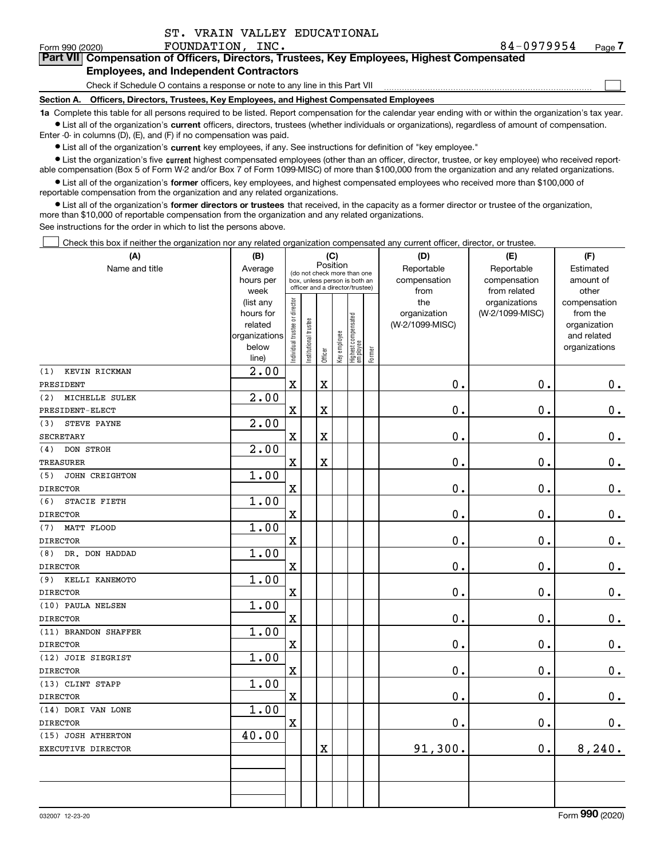$\mathcal{L}^{\text{max}}$ 

#### Form 990 (2020) **FOUNDATION, INC.** 8 4-0 9 7 9 9 5 4 <sub>Page</sub> **7Part VII Compensation of Officers, Directors, Trustees, Key Employees, Highest Compensated Employees, and Independent Contractors**

Check if Schedule O contains a response or note to any line in this Part VII

**Section A. Officers, Directors, Trustees, Key Employees, and Highest Compensated Employees**

**1a**  Complete this table for all persons required to be listed. Report compensation for the calendar year ending with or within the organization's tax year. **•** List all of the organization's current officers, directors, trustees (whether individuals or organizations), regardless of amount of compensation.

Enter -0- in columns (D), (E), and (F) if no compensation was paid.

 $\bullet$  List all of the organization's  $\,$ current key employees, if any. See instructions for definition of "key employee."

**•** List the organization's five current highest compensated employees (other than an officer, director, trustee, or key employee) who received reportable compensation (Box 5 of Form W-2 and/or Box 7 of Form 1099-MISC) of more than \$100,000 from the organization and any related organizations.

**•** List all of the organization's former officers, key employees, and highest compensated employees who received more than \$100,000 of reportable compensation from the organization and any related organizations.

**former directors or trustees**  ¥ List all of the organization's that received, in the capacity as a former director or trustee of the organization, more than \$10,000 of reportable compensation from the organization and any related organizations.

See instructions for the order in which to list the persons above.

Check this box if neither the organization nor any related organization compensated any current officer, director, or trustee.  $\mathcal{L}^{\text{max}}$ 

| (A)                   | (B)                    | (C)<br>Position                |                       |         |              |                                                              |        | (D)                        | (E)                        | (F)                    |  |  |
|-----------------------|------------------------|--------------------------------|-----------------------|---------|--------------|--------------------------------------------------------------|--------|----------------------------|----------------------------|------------------------|--|--|
| Name and title        | Average<br>hours per   |                                |                       |         |              | (do not check more than one<br>box, unless person is both an |        | Reportable<br>compensation | Reportable<br>compensation | Estimated<br>amount of |  |  |
|                       | week                   |                                |                       |         |              | officer and a director/trustee)                              |        | from                       | from related               | other                  |  |  |
|                       | (list any              |                                |                       |         |              |                                                              |        | the                        | organizations              | compensation           |  |  |
|                       | hours for              |                                |                       |         |              |                                                              |        | organization               | (W-2/1099-MISC)            | from the               |  |  |
|                       | related                |                                |                       |         |              |                                                              |        | (W-2/1099-MISC)            |                            | organization           |  |  |
|                       | organizations<br>below |                                |                       |         |              |                                                              |        |                            |                            | and related            |  |  |
|                       | line)                  | Individual trustee or director | Institutional trustee | Officer | Key employee | Highest compensated<br>  employee                            | Former |                            |                            | organizations          |  |  |
| KEVIN RICKMAN<br>(1)  | 2.00                   |                                |                       |         |              |                                                              |        |                            |                            |                        |  |  |
| PRESIDENT             |                        | $\mathbf x$                    |                       | X       |              |                                                              |        | $0$ .                      | 0.                         | $0_{\cdot}$            |  |  |
| (2)<br>MICHELLE SULEK | 2.00                   |                                |                       |         |              |                                                              |        |                            |                            |                        |  |  |
| PRESIDENT-ELECT       |                        | $\mathbf X$                    |                       | X       |              |                                                              |        | $0$ .                      | 0.                         | $\mathbf 0$ .          |  |  |
| (3)<br>STEVE PAYNE    | 2.00                   |                                |                       |         |              |                                                              |        |                            |                            |                        |  |  |
| <b>SECRETARY</b>      |                        | $\mathbf x$                    |                       | X       |              |                                                              |        | 0.                         | 0.                         | $0_{.}$                |  |  |
| (4)<br>DON STROH      | 2.00                   |                                |                       |         |              |                                                              |        |                            |                            |                        |  |  |
| <b>TREASURER</b>      |                        | $\mathbf X$                    |                       | X       |              |                                                              |        | $0$ .                      | 0.                         | $\mathbf 0$ .          |  |  |
| (5)<br>JOHN CREIGHTON | 1.00                   |                                |                       |         |              |                                                              |        |                            |                            |                        |  |  |
| <b>DIRECTOR</b>       |                        | $\mathbf x$                    |                       |         |              |                                                              |        | $0$ .                      | 0.                         | $0_{\cdot}$            |  |  |
| (6)<br>STACIE FIETH   | 1.00                   |                                |                       |         |              |                                                              |        |                            |                            |                        |  |  |
| <b>DIRECTOR</b>       |                        | $\mathbf X$                    |                       |         |              |                                                              |        | 0.                         | 0.                         | $\mathbf 0$ .          |  |  |
| MATT FLOOD<br>(7)     | 1.00                   |                                |                       |         |              |                                                              |        |                            |                            |                        |  |  |
| <b>DIRECTOR</b>       |                        | $\mathbf X$                    |                       |         |              |                                                              |        | 0.                         | $\mathbf 0$ .              | $0_{.}$                |  |  |
| DR. DON HADDAD<br>(8) | 1.00                   |                                |                       |         |              |                                                              |        |                            |                            |                        |  |  |
| <b>DIRECTOR</b>       |                        | $\mathbf X$                    |                       |         |              |                                                              |        | 0.                         | $\mathbf 0$ .              | $0_{.}$                |  |  |
| KELLI KANEMOTO<br>(9) | 1.00                   |                                |                       |         |              |                                                              |        |                            |                            |                        |  |  |
| <b>DIRECTOR</b>       |                        | $\mathbf x$                    |                       |         |              |                                                              |        | 0.                         | $\mathbf 0$ .              | $0_{.}$                |  |  |
| (10) PAULA NELSEN     | 1.00                   |                                |                       |         |              |                                                              |        |                            |                            |                        |  |  |
| <b>DIRECTOR</b>       |                        | $\mathbf x$                    |                       |         |              |                                                              |        | $\mathbf 0$ .              | $\mathbf 0$ .              | $0_{.}$                |  |  |
| (11) BRANDON SHAFFER  | 1.00                   |                                |                       |         |              |                                                              |        |                            |                            |                        |  |  |
| <b>DIRECTOR</b>       |                        | $\mathbf x$                    |                       |         |              |                                                              |        | 0.                         | 0.                         | $\mathbf 0$ .          |  |  |
| (12) JOIE SIEGRIST    | 1.00                   |                                |                       |         |              |                                                              |        |                            |                            |                        |  |  |
| <b>DIRECTOR</b>       |                        | $\mathbf X$                    |                       |         |              |                                                              |        | 0.                         | 0.                         | $\mathbf 0$ .          |  |  |
| (13) CLINT STAPP      | 1.00                   |                                |                       |         |              |                                                              |        |                            |                            |                        |  |  |
| <b>DIRECTOR</b>       |                        | $\mathbf x$                    |                       |         |              |                                                              |        | 0.                         | 0.                         | $0_{.}$                |  |  |
| (14) DORI VAN LONE    | 1.00                   |                                |                       |         |              |                                                              |        |                            |                            |                        |  |  |
| <b>DIRECTOR</b>       |                        | $\mathbf X$                    |                       |         |              |                                                              |        | $\mathbf 0$ .              | 0.                         | 0.                     |  |  |
| (15) JOSH ATHERTON    | 40.00                  |                                |                       |         |              |                                                              |        |                            |                            |                        |  |  |
| EXECUTIVE DIRECTOR    |                        |                                |                       | X       |              |                                                              |        | 91,300.                    | 0.                         | 8,240.                 |  |  |
|                       |                        |                                |                       |         |              |                                                              |        |                            |                            |                        |  |  |
|                       |                        |                                |                       |         |              |                                                              |        |                            |                            |                        |  |  |
|                       |                        |                                |                       |         |              |                                                              |        |                            |                            |                        |  |  |
|                       |                        |                                |                       |         |              |                                                              |        |                            |                            |                        |  |  |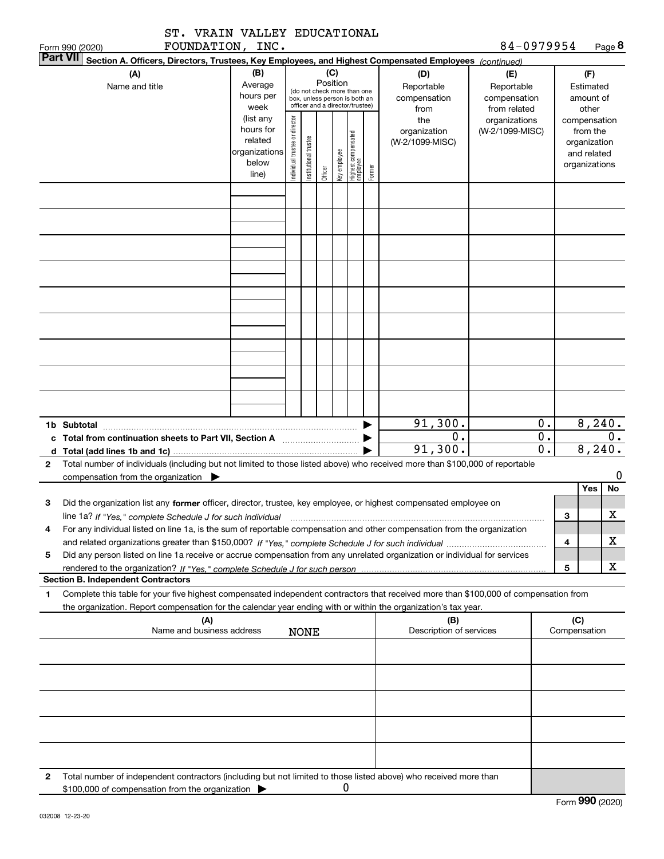| ST. VRAIN VALLEY EDUCATIONAL<br>FOUNDATION, INC.                                                                                                                                                                                                                         |                                                                      |                                |                       |          |              |                                                                                                 |        |                                           | 84-0979954                                        |                                                                                   |                               |     |                   |
|--------------------------------------------------------------------------------------------------------------------------------------------------------------------------------------------------------------------------------------------------------------------------|----------------------------------------------------------------------|--------------------------------|-----------------------|----------|--------------|-------------------------------------------------------------------------------------------------|--------|-------------------------------------------|---------------------------------------------------|-----------------------------------------------------------------------------------|-------------------------------|-----|-------------------|
| Form 990 (2020)<br><b>Part VII</b><br>Section A. Officers, Directors, Trustees, Key Employees, and Highest Compensated Employees (continued)                                                                                                                             |                                                                      |                                |                       |          |              |                                                                                                 |        |                                           |                                                   |                                                                                   |                               |     | Page 8            |
| (A)<br>Name and title                                                                                                                                                                                                                                                    | (B)<br>Average<br>hours per<br>week                                  |                                |                       | Position | (C)          | (do not check more than one<br>box, unless person is both an<br>officer and a director/trustee) |        | (D)<br>Reportable<br>compensation<br>from | (E)<br>Reportable<br>compensation<br>from related |                                                                                   | (F)<br>Estimated<br>amount of |     |                   |
|                                                                                                                                                                                                                                                                          | (list any<br>hours for<br>related<br>organizations<br>below<br>line) | Individual trustee or director | Institutional trustee | Officer  | Key employee | Highest compensated<br>employee                                                                 | Former | the<br>organization<br>(W-2/1099-MISC)    | organizations<br>(W-2/1099-MISC)                  | other<br>compensation<br>from the<br>organization<br>and related<br>organizations |                               |     |                   |
|                                                                                                                                                                                                                                                                          |                                                                      |                                |                       |          |              |                                                                                                 |        |                                           |                                                   |                                                                                   |                               |     |                   |
|                                                                                                                                                                                                                                                                          |                                                                      |                                |                       |          |              |                                                                                                 |        |                                           |                                                   |                                                                                   |                               |     |                   |
|                                                                                                                                                                                                                                                                          |                                                                      |                                |                       |          |              |                                                                                                 |        |                                           |                                                   |                                                                                   |                               |     |                   |
|                                                                                                                                                                                                                                                                          |                                                                      |                                |                       |          |              |                                                                                                 |        |                                           |                                                   |                                                                                   |                               |     |                   |
|                                                                                                                                                                                                                                                                          |                                                                      |                                |                       |          |              |                                                                                                 |        |                                           |                                                   |                                                                                   |                               |     |                   |
|                                                                                                                                                                                                                                                                          |                                                                      |                                |                       |          |              |                                                                                                 |        |                                           |                                                   |                                                                                   |                               |     |                   |
|                                                                                                                                                                                                                                                                          |                                                                      |                                |                       |          |              |                                                                                                 |        |                                           |                                                   |                                                                                   |                               |     |                   |
| 1b Subtotal                                                                                                                                                                                                                                                              |                                                                      |                                |                       |          |              |                                                                                                 |        | 91,300.<br>$\overline{0}$ .               |                                                   | 0.<br>$\overline{0}$ .                                                            |                               |     | 8,240.<br>0.      |
| c Total from continuation sheets to Part VII, Section A [11] [12] Total from continuation sheets to Part VII, Section A<br>d $Total (add lines 1b and 1c)$ .                                                                                                             |                                                                      |                                |                       |          |              |                                                                                                 |        | 91,300.                                   |                                                   | $\overline{0}$ .                                                                  |                               |     | 8,240.            |
| Total number of individuals (including but not limited to those listed above) who received more than \$100,000 of reportable<br>$\mathbf{2}$<br>compensation from the organization                                                                                       |                                                                      |                                |                       |          |              |                                                                                                 |        |                                           |                                                   |                                                                                   |                               |     | 0                 |
| Did the organization list any former officer, director, trustee, key employee, or highest compensated employee on<br>З                                                                                                                                                   |                                                                      |                                |                       |          |              |                                                                                                 |        |                                           |                                                   |                                                                                   |                               | Yes | No<br>$\mathbf X$ |
| line 1a? If "Yes," complete Schedule J for such individual manufactured contained and the Ves," complete Schedule J for such individual<br>For any individual listed on line 1a, is the sum of reportable compensation and other compensation from the organization<br>4 |                                                                      |                                |                       |          |              |                                                                                                 |        |                                           |                                                   |                                                                                   | 3<br>4                        |     | x.                |
| Did any person listed on line 1a receive or accrue compensation from any unrelated organization or individual for services<br>5                                                                                                                                          |                                                                      |                                |                       |          |              |                                                                                                 |        |                                           |                                                   |                                                                                   | 5                             |     | x                 |
| <b>Section B. Independent Contractors</b>                                                                                                                                                                                                                                |                                                                      |                                |                       |          |              |                                                                                                 |        |                                           |                                                   |                                                                                   |                               |     |                   |
| Complete this table for your five highest compensated independent contractors that received more than \$100,000 of compensation from<br>1<br>the organization. Report compensation for the calendar year ending with or within the organization's tax year.              |                                                                      |                                |                       |          |              |                                                                                                 |        |                                           |                                                   |                                                                                   |                               |     |                   |
| (A)<br>Name and business address                                                                                                                                                                                                                                         |                                                                      |                                | <b>NONE</b>           |          |              |                                                                                                 |        | (B)<br>Description of services            |                                                   |                                                                                   | (C)<br>Compensation           |     |                   |
|                                                                                                                                                                                                                                                                          |                                                                      |                                |                       |          |              |                                                                                                 |        |                                           |                                                   |                                                                                   |                               |     |                   |
|                                                                                                                                                                                                                                                                          |                                                                      |                                |                       |          |              |                                                                                                 |        |                                           |                                                   |                                                                                   |                               |     |                   |
|                                                                                                                                                                                                                                                                          |                                                                      |                                |                       |          |              |                                                                                                 |        |                                           |                                                   |                                                                                   |                               |     |                   |
|                                                                                                                                                                                                                                                                          |                                                                      |                                |                       |          |              |                                                                                                 |        |                                           |                                                   |                                                                                   |                               |     |                   |
| 2<br>Total number of independent contractors (including but not limited to those listed above) who received more than<br>\$100,000 of compensation from the organization                                                                                                 |                                                                      |                                |                       |          | 0            |                                                                                                 |        |                                           |                                                   |                                                                                   |                               |     |                   |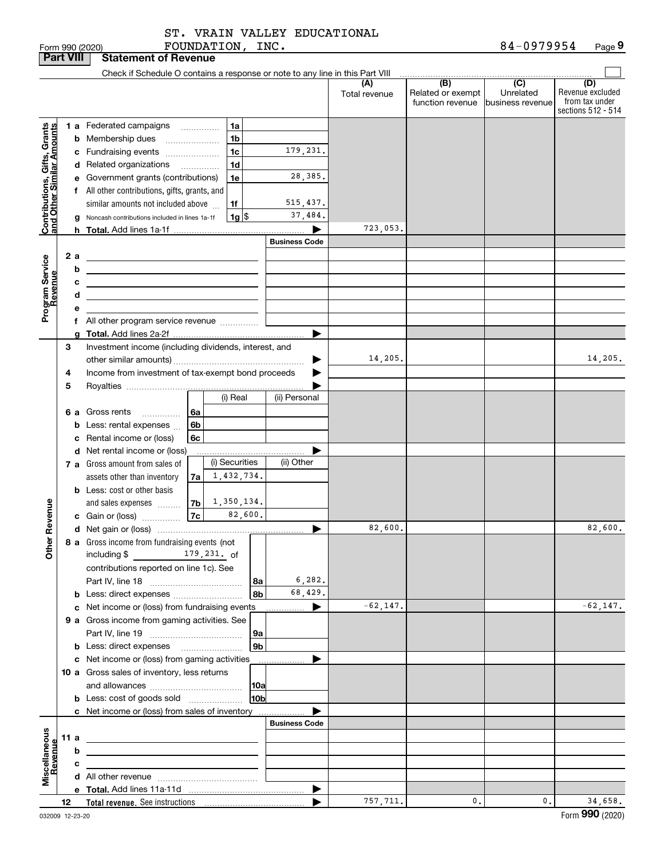FOUNDATION, INC. ST. VRAIN VALLEY EDUCATIONAL

|                                                                                         | <b>Part VIII</b> |                  | <b>Statement of Revenue</b>                                                                                                                                                                                                                                                                                                                                                                                                                                                                                                                                                                                                                                                                                                                                                                                                        |                      |                                                           |                                                 |                                                                 |
|-----------------------------------------------------------------------------------------|------------------|------------------|------------------------------------------------------------------------------------------------------------------------------------------------------------------------------------------------------------------------------------------------------------------------------------------------------------------------------------------------------------------------------------------------------------------------------------------------------------------------------------------------------------------------------------------------------------------------------------------------------------------------------------------------------------------------------------------------------------------------------------------------------------------------------------------------------------------------------------|----------------------|-----------------------------------------------------------|-------------------------------------------------|-----------------------------------------------------------------|
|                                                                                         |                  |                  | Check if Schedule O contains a response or note to any line in this Part VIII                                                                                                                                                                                                                                                                                                                                                                                                                                                                                                                                                                                                                                                                                                                                                      |                      |                                                           |                                                 |                                                                 |
|                                                                                         |                  |                  |                                                                                                                                                                                                                                                                                                                                                                                                                                                                                                                                                                                                                                                                                                                                                                                                                                    | (A)<br>Total revenue | $\overline{(B)}$<br>Related or exempt<br>function revenue | $\overline{C}$<br>Unrelated<br>business revenue | (D)<br>Revenue excluded<br>from tax under<br>sections 512 - 514 |
| Contributions, Gifts, Grants<br>and Other Similar Amounts<br>Program Service<br>Revenue | 2 a              | b<br>с<br>d<br>е | <b>1 a</b> Federated campaigns<br>1a<br>1 <sub>b</sub><br><b>b</b> Membership dues<br>$\ldots \ldots \ldots \ldots \ldots$<br>179,231.<br>1 <sub>c</sub><br>c Fundraising events<br>1 <sub>d</sub><br>d Related organizations<br>$\overline{\phantom{a}}$<br>28,385.<br>1e<br>e Government grants (contributions)<br>f All other contributions, gifts, grants, and<br>515,437.<br>similar amounts not included above<br>1f<br>37,484.<br> 1g <br>g Noncash contributions included in lines 1a-1f<br><b>Business Code</b><br><u> 1989 - Johann Stein, mars an de Brasilia (b. 1989)</u><br><u> 1989 - Johann Barbara, martxa alemaniar a</u><br><u> 1989 - Johann Stein, marwolaethau a bhann an t-Amhainn an t-Amhainn an t-Amhainn an t-Amhainn an t-Amhainn an</u><br><u> 1989 - Johann Barn, amerikansk politiker (d. 1989)</u> | 723,053.<br>▶        |                                                           |                                                 |                                                                 |
|                                                                                         |                  | a                | f All other program service revenue                                                                                                                                                                                                                                                                                                                                                                                                                                                                                                                                                                                                                                                                                                                                                                                                | ▶                    |                                                           |                                                 |                                                                 |
| Revenue                                                                                 | 3<br>4           |                  | Investment income (including dividends, interest, and<br>Income from investment of tax-exempt bond proceeds                                                                                                                                                                                                                                                                                                                                                                                                                                                                                                                                                                                                                                                                                                                        | 14,205.              |                                                           |                                                 | 14,205.                                                         |
|                                                                                         | 5                |                  | (i) Real<br>(ii) Personal<br>6 a Gross rents<br>l 6a<br><b>b</b> Less: rental expenses<br>6b<br>c Rental income or (loss)<br>6c                                                                                                                                                                                                                                                                                                                                                                                                                                                                                                                                                                                                                                                                                                    |                      |                                                           |                                                 |                                                                 |
|                                                                                         |                  |                  | d Net rental income or (loss)<br>(i) Securities<br>(ii) Other<br>7 a Gross amount from sales of<br>1,432,734.<br>assets other than inventory<br>7a<br><b>b</b> Less: cost or other basis<br>1,350,134.<br>7 <sub>b</sub><br>and sales expenses<br>82,600.                                                                                                                                                                                                                                                                                                                                                                                                                                                                                                                                                                          |                      |                                                           |                                                 |                                                                 |
|                                                                                         |                  |                  |                                                                                                                                                                                                                                                                                                                                                                                                                                                                                                                                                                                                                                                                                                                                                                                                                                    | 82,600.<br>▶         |                                                           |                                                 | 82,600.                                                         |
| Other                                                                                   |                  |                  | 8 a Gross income from fundraising events (not<br>including $$$<br>$179,231.$ of<br>contributions reported on line 1c). See<br>6, 282.<br>8a<br>68,429.<br>8b<br><b>b</b> Less: direct expenses <i>managered</i> b                                                                                                                                                                                                                                                                                                                                                                                                                                                                                                                                                                                                                  |                      |                                                           |                                                 |                                                                 |
|                                                                                         |                  |                  | c Net income or (loss) from fundraising events                                                                                                                                                                                                                                                                                                                                                                                                                                                                                                                                                                                                                                                                                                                                                                                     | $-62, 147.$<br>▶     |                                                           |                                                 | $-62, 147.$                                                     |
|                                                                                         |                  |                  | 9 a Gross income from gaming activities. See<br>9а                                                                                                                                                                                                                                                                                                                                                                                                                                                                                                                                                                                                                                                                                                                                                                                 |                      |                                                           |                                                 |                                                                 |
|                                                                                         |                  |                  | 9 <sub>b</sub><br><b>b</b> Less: direct expenses <b>manually</b>                                                                                                                                                                                                                                                                                                                                                                                                                                                                                                                                                                                                                                                                                                                                                                   |                      |                                                           |                                                 |                                                                 |
|                                                                                         |                  |                  | c Net income or (loss) from gaming activities<br>.<br>10 a Gross sales of inventory, less returns<br> 10a<br>10 <sub>b</sub><br><b>b</b> Less: cost of goods sold                                                                                                                                                                                                                                                                                                                                                                                                                                                                                                                                                                                                                                                                  | ▶                    |                                                           |                                                 |                                                                 |
|                                                                                         |                  |                  | c Net income or (loss) from sales of inventory<br><b>Business Code</b>                                                                                                                                                                                                                                                                                                                                                                                                                                                                                                                                                                                                                                                                                                                                                             |                      |                                                           |                                                 |                                                                 |
|                                                                                         | 11 a             |                  |                                                                                                                                                                                                                                                                                                                                                                                                                                                                                                                                                                                                                                                                                                                                                                                                                                    |                      |                                                           |                                                 |                                                                 |
| Miscellaneous<br>Revenue                                                                |                  | b                | <u> 1989 - Johann Barbara, martxa alemaniar arg</u>                                                                                                                                                                                                                                                                                                                                                                                                                                                                                                                                                                                                                                                                                                                                                                                |                      |                                                           |                                                 |                                                                 |
|                                                                                         |                  | с                |                                                                                                                                                                                                                                                                                                                                                                                                                                                                                                                                                                                                                                                                                                                                                                                                                                    |                      |                                                           |                                                 |                                                                 |
|                                                                                         |                  |                  |                                                                                                                                                                                                                                                                                                                                                                                                                                                                                                                                                                                                                                                                                                                                                                                                                                    |                      |                                                           |                                                 |                                                                 |
|                                                                                         |                  |                  |                                                                                                                                                                                                                                                                                                                                                                                                                                                                                                                                                                                                                                                                                                                                                                                                                                    | ▶                    |                                                           |                                                 |                                                                 |
|                                                                                         | 12               |                  |                                                                                                                                                                                                                                                                                                                                                                                                                                                                                                                                                                                                                                                                                                                                                                                                                                    | 757,711.             | $\mathbf{0}$ .                                            | $\mathbf{0}$ .                                  | 34,658.                                                         |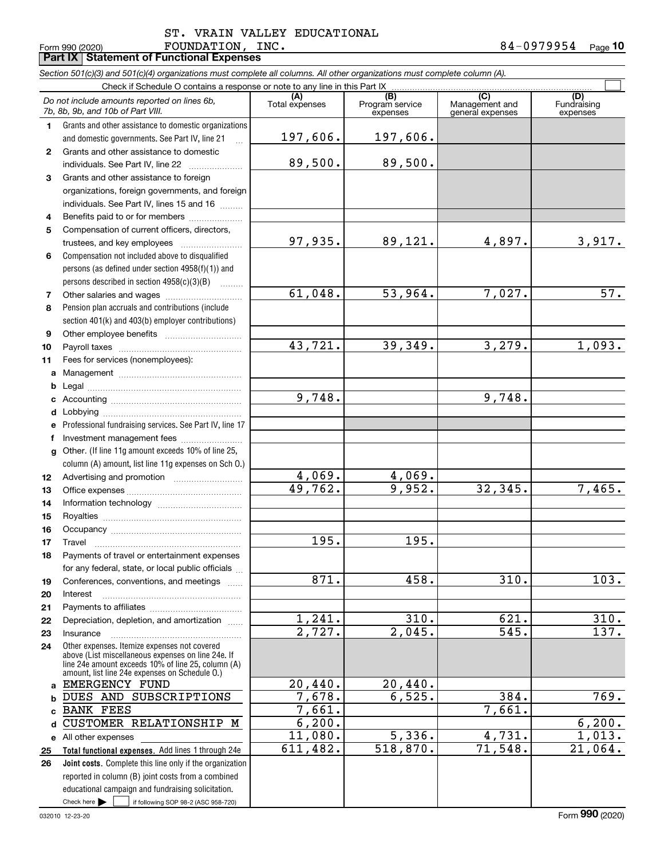**Part IX Statement of Functional Expenses**

Check here  $\bullet$  if following SOP 98-2 (ASC 958-720) **Total functional expenses.**  Add lines 1 through 24e **Joint costs.** Complete this line only if the organization **(A)**<br>Total expenses **(C)** (C) (C)<br>
penses Program service Management and Fundrai<br>
expenses general expenses expen **123** Grants and other assistance to foreign **4567891011abcdefg12131415161718192021222324abc**BANK FEES  $_\mathtt{d}$  CUSTOMER RELATIONSHIP M **e** All other expenses **2526***Section 501(c)(3) and 501(c)(4) organizations must complete all columns. All other organizations must complete column (A).* Grants and other assistance to domestic organizations and domestic governments. See Part IV, line 21 Compensation not included above to disqualified persons (as defined under section 4958(f)(1)) and persons described in section 4958(c)(3)(B)  $\quad \ldots \ldots \ldots$ Pension plan accruals and contributions (include section 401(k) and 403(b) employer contributions) Professional fundraising services. See Part IV, line 17 Other. (If line 11g amount exceeds 10% of line 25, column (A) amount, list line 11g expenses on Sch O.) Other expenses. Itemize expenses not covered above (List miscellaneous expenses on line 24e. If line 24e amount exceeds 10% of line 25, column (A) amount, list line 24e expenses on Schedule O.) reported in column (B) joint costs from a combined educational campaign and fundraising solicitation. Check if Schedule O contains a response or note to any line in this Part IX (C) (C) (C) (C) (C) (C) Program service expensesFundraising expensesGrants and other assistance to domestic individuals. See Part IV, line 22 ~~~~~~~ organizations, foreign governments, and foreign individuals. See Part IV, lines 15 and 16  $\ldots$ Benefits paid to or for members .................... Compensation of current officers, directors, trustees, and key employees  $\ldots$   $\ldots$   $\ldots$   $\ldots$   $\ldots$   $\ldots$ Other salaries and wages ~~~~~~~~~~ Other employee benefits ~~~~~~~~~~ Payroll taxes ~~~~~~~~~~~~~~~~ Fees for services (nonemployees): Management ~~~~~~~~~~~~~~~~ Legal ~~~~~~~~~~~~~~~~~~~~Accounting ~~~~~~~~~~~~~~~~~ Lobbying ~~~~~~~~~~~~~~~~~~ lnvestment management fees ....................... Advertising and promotion www.communication Office expenses ~~~~~~~~~~~~~~~ Information technology ~~~~~~~~~~~ Royalties ~~~~~~~~~~~~~~~~~~ Occupancy ~~~~~~~~~~~~~~~~~ Travel ……………………………………………… Payments of travel or entertainment expenses for any federal, state, or local public officials ... Conferences, conventions, and meetings InterestPayments to affiliates ~~~~~~~~~~~~ Depreciation, depletion, and amortization  $\,\,\ldots\,\,$ Insurance $Check here$   $\blacktriangleright$ *Do not include amounts reported on lines 6b, 7b, 8b, 9b, and 10b of Part VIII.*  $\mathcal{L}^{\text{max}}$ 197,606. 89,500. 97,935. 61,048. 43,721. 9,748. 4,069. 49,762. 195. 871. 1,241. 2,727. 20,440. 7,678. 7,661. 6,200. 11,080. 611,482. 197,606. 89,500. 89,121. 4,897. 3,917. 53,964. 7,027. 57. 39,349. 3,279. 1,093. 9,748. 4,069. 9,952. 32,345. 7,465. 195. 458. 310. 103.  $310.$  621. 310. 2,045. 545. 137. 20,440. 6,525. 384. 769. 7,661.  $6,200.$  $5,336.$   $4,731.$   $1,013.$ 518,870. 71,548. 21,064. EMERGENCY FUND DUES AND SUBSCRIPTIONS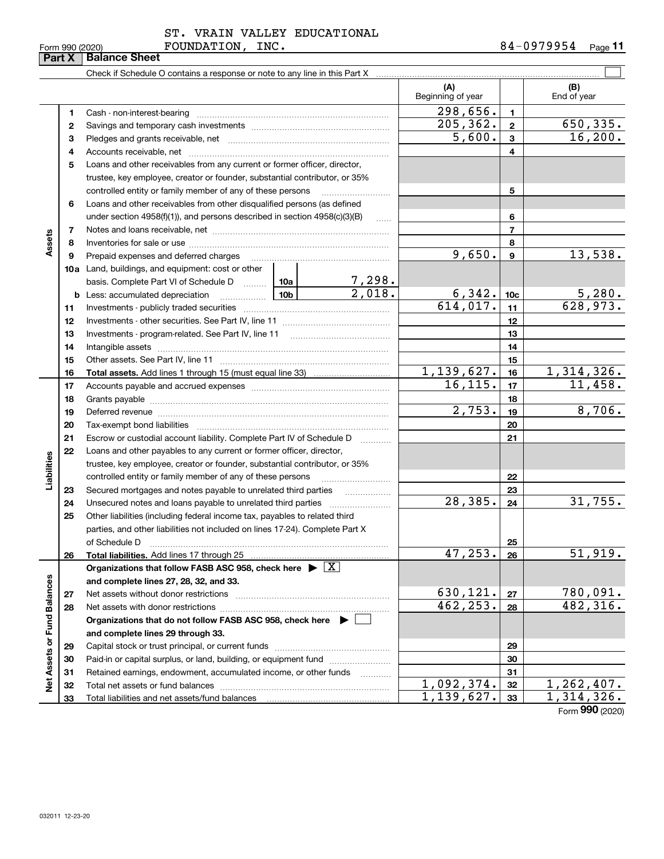032011 12-23-20

**33**

Total liabilities and net assets/fund balances

## ST. VRAIN VALLEY EDUCATIONAL

Form 990 (2020) **FOUNDATION, INC.** 8 4-0 9 7 9 9 5 4 <sub>Page</sub> **11**

**33**

 $1,139,627.$  33 1,314,326.

Form (2020) **990**

|                             |        |                                                                                                                                                                                                                                                                                                                                                       |                        | (A)<br>Beginning of year  |                 | (B)<br>End of year |
|-----------------------------|--------|-------------------------------------------------------------------------------------------------------------------------------------------------------------------------------------------------------------------------------------------------------------------------------------------------------------------------------------------------------|------------------------|---------------------------|-----------------|--------------------|
|                             |        |                                                                                                                                                                                                                                                                                                                                                       |                        | $\overline{298}$ , 656.   | 1.              |                    |
|                             | 1<br>2 | Cash - non-interest-bearing                                                                                                                                                                                                                                                                                                                           |                        | 205, 362.                 | $\overline{2}$  | 650,335.           |
|                             | з      |                                                                                                                                                                                                                                                                                                                                                       |                        | 5,600.                    | 3               | 16, 200.           |
|                             | 4      |                                                                                                                                                                                                                                                                                                                                                       |                        |                           | 4               |                    |
|                             | 5      | Loans and other receivables from any current or former officer, director,                                                                                                                                                                                                                                                                             |                        |                           |                 |                    |
|                             |        | trustee, key employee, creator or founder, substantial contributor, or 35%                                                                                                                                                                                                                                                                            |                        |                           |                 |                    |
|                             |        | controlled entity or family member of any of these persons                                                                                                                                                                                                                                                                                            |                        | 5                         |                 |                    |
|                             | 6      | Loans and other receivables from other disqualified persons (as defined                                                                                                                                                                                                                                                                               |                        |                           |                 |                    |
|                             |        | under section 4958(f)(1)), and persons described in section 4958(c)(3)(B)                                                                                                                                                                                                                                                                             |                        |                           | 6               |                    |
|                             | 7      |                                                                                                                                                                                                                                                                                                                                                       | $\ldots$               |                           | 7               |                    |
| Assets                      | 8      |                                                                                                                                                                                                                                                                                                                                                       |                        | 8                         |                 |                    |
|                             | 9      | Prepaid expenses and deferred charges                                                                                                                                                                                                                                                                                                                 |                        | 9,650.                    | 9               | 13,538.            |
|                             |        | 10a Land, buildings, and equipment: cost or other                                                                                                                                                                                                                                                                                                     |                        |                           |                 |                    |
|                             |        | basis. Complete Part VI of Schedule D  10a                                                                                                                                                                                                                                                                                                            | 7,298.                 |                           |                 |                    |
|                             |        | <b>b</b> Less: accumulated depreciation                                                                                                                                                                                                                                                                                                               | 2,018.                 | 6,342.                    | 10 <sub>c</sub> | 5,280.             |
|                             | 11     |                                                                                                                                                                                                                                                                                                                                                       | $\overline{614,017}$ . | 11                        | 628,973.        |                    |
|                             | 12     |                                                                                                                                                                                                                                                                                                                                                       |                        | 12                        |                 |                    |
|                             | 13     | Investments - program-related. See Part IV, line 11                                                                                                                                                                                                                                                                                                   |                        | 13                        |                 |                    |
|                             | 14     |                                                                                                                                                                                                                                                                                                                                                       |                        | 14                        |                 |                    |
|                             | 15     |                                                                                                                                                                                                                                                                                                                                                       |                        | 15                        |                 |                    |
|                             | 16     |                                                                                                                                                                                                                                                                                                                                                       |                        | $\overline{1,139}$ , 627. | 16              | 1,314,326.         |
|                             | 17     |                                                                                                                                                                                                                                                                                                                                                       |                        | 16, 115.                  | 17              | 11,458.            |
|                             | 18     |                                                                                                                                                                                                                                                                                                                                                       |                        | 18                        |                 |                    |
|                             | 19     | Deferred revenue manual contracts and contracts are contracted and contract and contract are contracted and contract are contracted and contract are contracted and contract are contracted and contract are contracted and co                                                                                                                        |                        | $\overline{2,753}$ .      | 19              | 8,706.             |
|                             | 20     |                                                                                                                                                                                                                                                                                                                                                       |                        |                           | 20              |                    |
|                             | 21     | Escrow or custodial account liability. Complete Part IV of Schedule D                                                                                                                                                                                                                                                                                 | 1.1.1.1.1.1.1.1.1      |                           | 21              |                    |
|                             | 22     | Loans and other payables to any current or former officer, director,                                                                                                                                                                                                                                                                                  |                        |                           |                 |                    |
| Liabilities                 |        | trustee, key employee, creator or founder, substantial contributor, or 35%                                                                                                                                                                                                                                                                            |                        |                           |                 |                    |
|                             |        | controlled entity or family member of any of these persons                                                                                                                                                                                                                                                                                            |                        |                           | 22              |                    |
|                             | 23     | Secured mortgages and notes payable to unrelated third parties                                                                                                                                                                                                                                                                                        | .                      |                           | 23              |                    |
|                             | 24     |                                                                                                                                                                                                                                                                                                                                                       |                        | 28, 385.                  | 24              | 31,755.            |
|                             | 25     | Other liabilities (including federal income tax, payables to related third                                                                                                                                                                                                                                                                            |                        |                           |                 |                    |
|                             |        | parties, and other liabilities not included on lines 17-24). Complete Part X                                                                                                                                                                                                                                                                          |                        |                           |                 |                    |
|                             |        | of Schedule D<br>$\begin{bmatrix} \begin{bmatrix} 0 & 0 & 0 & 0 \\ 0 & 0 & 0 & 0 \\ 0 & 0 & 0 & 0 \\ 0 & 0 & 0 & 0 \\ 0 & 0 & 0 & 0 \\ 0 & 0 & 0 & 0 \\ 0 & 0 & 0 & 0 \\ 0 & 0 & 0 & 0 & 0 \\ 0 & 0 & 0 & 0 & 0 \\ 0 & 0 & 0 & 0 & 0 \\ 0 & 0 & 0 & 0 & 0 \\ 0 & 0 & 0 & 0 & 0 & 0 \\ 0 & 0 & 0 & 0 & 0 & 0 \\ 0 & 0 & 0 & 0 & 0 & 0 \\ 0 & 0 & 0 & $ |                        |                           | 25              |                    |
|                             | 26     | Total liabilities. Add lines 17 through 25                                                                                                                                                                                                                                                                                                            |                        | 47,253.                   | 26              | 51,919.            |
|                             |        | Organizations that follow FASB ASC 958, check here $\blacktriangleright \boxed{X}$                                                                                                                                                                                                                                                                    |                        |                           |                 |                    |
|                             |        | and complete lines 27, 28, 32, and 33.                                                                                                                                                                                                                                                                                                                |                        |                           |                 |                    |
|                             | 27     | Net assets without donor restrictions                                                                                                                                                                                                                                                                                                                 |                        | 630,121.                  | 27              | 780,091 <b>.</b>   |
|                             | 28     | Net assets with donor restrictions                                                                                                                                                                                                                                                                                                                    |                        | 462,253.                  | 28              | 482, 316.          |
|                             |        | Organizations that do not follow FASB ASC 958, check here $\blacktriangleright$                                                                                                                                                                                                                                                                       |                        |                           |                 |                    |
| Net Assets or Fund Balances |        | and complete lines 29 through 33.                                                                                                                                                                                                                                                                                                                     |                        |                           |                 |                    |
|                             | 29     | Capital stock or trust principal, or current funds                                                                                                                                                                                                                                                                                                    |                        |                           | 29              |                    |
|                             | 30     | Paid-in or capital surplus, or land, building, or equipment fund                                                                                                                                                                                                                                                                                      |                        |                           | 30              |                    |
|                             | 31     | Retained earnings, endowment, accumulated income, or other funds                                                                                                                                                                                                                                                                                      | .                      |                           | 31              |                    |
|                             | 32     |                                                                                                                                                                                                                                                                                                                                                       | 1,092,374.             | 32                        | 1,262,407.      |                    |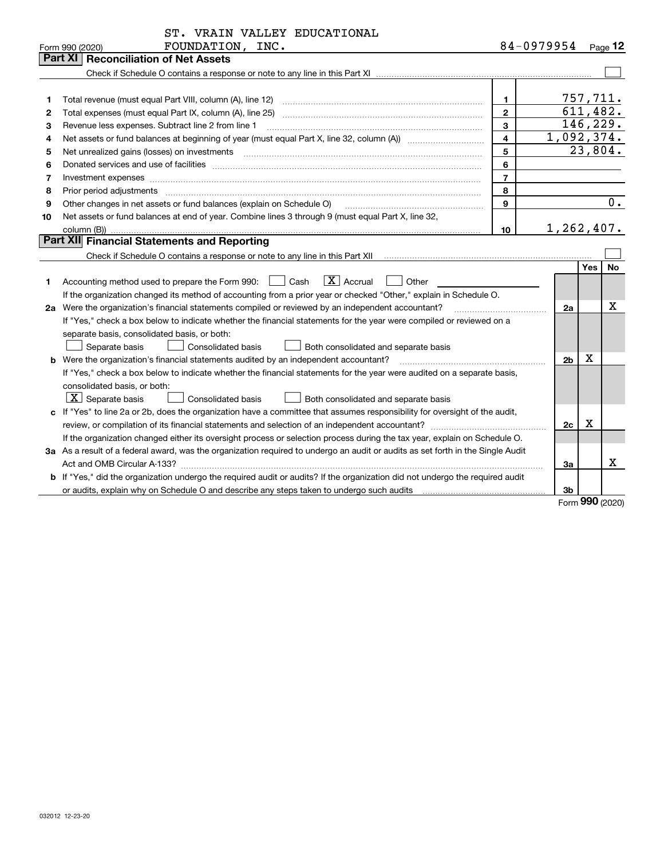|    | ST. VRAIN VALLEY EDUCATIONAL                                                                                                                                                                                                   |                |                    |     |            |  |
|----|--------------------------------------------------------------------------------------------------------------------------------------------------------------------------------------------------------------------------------|----------------|--------------------|-----|------------|--|
|    | FOUNDATION, INC.<br>Form 990 (2020)                                                                                                                                                                                            |                | 84-0979954 Page 12 |     |            |  |
|    | Part XI<br><b>Reconciliation of Net Assets</b>                                                                                                                                                                                 |                |                    |     |            |  |
|    |                                                                                                                                                                                                                                |                |                    |     |            |  |
|    |                                                                                                                                                                                                                                |                |                    |     |            |  |
| 1  |                                                                                                                                                                                                                                | 1              |                    |     | 757,711.   |  |
| 2  |                                                                                                                                                                                                                                | $\overline{2}$ |                    |     | 611, 482.  |  |
| 3  | Revenue less expenses. Subtract line 2 from line 1                                                                                                                                                                             | 3              |                    |     | 146, 229.  |  |
| 4  |                                                                                                                                                                                                                                | $\overline{4}$ |                    |     | 1,092,374. |  |
| 5  |                                                                                                                                                                                                                                | 5              |                    |     | 23,804.    |  |
| 6  |                                                                                                                                                                                                                                | 6              |                    |     |            |  |
| 7  |                                                                                                                                                                                                                                | $\overline{7}$ |                    |     |            |  |
| 8  | Prior period adjustments manufactured and contract and contract and contract and contract and contract and contract and contract and contract and contract and contract and contract and contract and contract and contract an | 8              |                    |     |            |  |
| 9  | Other changes in net assets or fund balances (explain on Schedule O)                                                                                                                                                           | 9              |                    |     | 0.         |  |
| 10 | Net assets or fund balances at end of year. Combine lines 3 through 9 (must equal Part X, line 32,                                                                                                                             |                |                    |     |            |  |
|    | 1,262,407.<br>10                                                                                                                                                                                                               |                |                    |     |            |  |
|    | Part XII Financial Statements and Reporting                                                                                                                                                                                    |                |                    |     |            |  |
|    |                                                                                                                                                                                                                                |                |                    |     |            |  |
|    |                                                                                                                                                                                                                                |                |                    | Yes | No         |  |
| 1  | $\vert X \vert$ Accrual<br>Accounting method used to prepare the Form 990: <u>June</u> Cash<br>Other                                                                                                                           |                |                    |     |            |  |
|    | If the organization changed its method of accounting from a prior year or checked "Other," explain in Schedule O.                                                                                                              |                |                    |     |            |  |
|    | 2a Were the organization's financial statements compiled or reviewed by an independent accountant?                                                                                                                             |                | 2a                 |     | х          |  |
|    | If "Yes," check a box below to indicate whether the financial statements for the year were compiled or reviewed on a                                                                                                           |                |                    |     |            |  |
|    | separate basis, consolidated basis, or both:                                                                                                                                                                                   |                |                    |     |            |  |
|    | Separate basis<br><b>Consolidated basis</b><br>Both consolidated and separate basis                                                                                                                                            |                |                    |     |            |  |
|    | <b>b</b> Were the organization's financial statements audited by an independent accountant?                                                                                                                                    |                | 2 <sub>b</sub>     | X   |            |  |
|    | If "Yes," check a box below to indicate whether the financial statements for the year were audited on a separate basis,                                                                                                        |                |                    |     |            |  |
|    | consolidated basis, or both:                                                                                                                                                                                                   |                |                    |     |            |  |
|    | $\lfloor x \rfloor$ Separate basis<br>Both consolidated and separate basis<br>Consolidated basis                                                                                                                               |                |                    |     |            |  |
|    | c If "Yes" to line 2a or 2b, does the organization have a committee that assumes responsibility for oversight of the audit,                                                                                                    |                |                    |     |            |  |
|    |                                                                                                                                                                                                                                |                | 2c                 | X   |            |  |
|    | If the organization changed either its oversight process or selection process during the tax year, explain on Schedule O.                                                                                                      |                |                    |     |            |  |
|    | 3a As a result of a federal award, was the organization required to undergo an audit or audits as set forth in the Single Audit                                                                                                |                |                    |     |            |  |
|    | Act and OMB Circular A-133?                                                                                                                                                                                                    |                | За                 |     | x          |  |
|    | b If "Yes," did the organization undergo the required audit or audits? If the organization did not undergo the required audit                                                                                                  |                |                    |     |            |  |
|    |                                                                                                                                                                                                                                |                | 3 <sub>b</sub>     |     |            |  |

Form (2020) **990**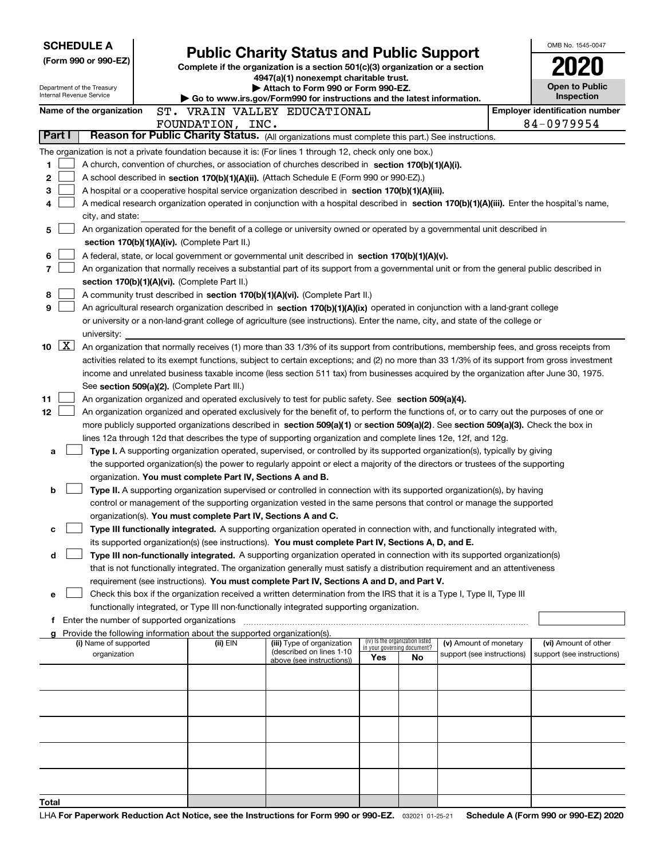| <b>SCHEDULE A</b>                                                                              |                                                                                                                                               |                                                                                                                                                                                                                                                      |     |                                                                |                            |                                     | OMB No. 1545-0047                     |  |  |
|------------------------------------------------------------------------------------------------|-----------------------------------------------------------------------------------------------------------------------------------------------|------------------------------------------------------------------------------------------------------------------------------------------------------------------------------------------------------------------------------------------------------|-----|----------------------------------------------------------------|----------------------------|-------------------------------------|---------------------------------------|--|--|
| (Form 990 or 990-EZ)                                                                           |                                                                                                                                               | <b>Public Charity Status and Public Support</b><br>Complete if the organization is a section 501(c)(3) organization or a section                                                                                                                     |     |                                                                |                            |                                     |                                       |  |  |
|                                                                                                |                                                                                                                                               | 4947(a)(1) nonexempt charitable trust.                                                                                                                                                                                                               |     |                                                                |                            |                                     |                                       |  |  |
| Department of the Treasury<br>Internal Revenue Service                                         |                                                                                                                                               | Attach to Form 990 or Form 990-EZ.                                                                                                                                                                                                                   |     |                                                                |                            | <b>Open to Public</b><br>Inspection |                                       |  |  |
| Name of the organization                                                                       |                                                                                                                                               | Go to www.irs.gov/Form990 for instructions and the latest information.<br>ST. VRAIN VALLEY EDUCATIONAL                                                                                                                                               |     |                                                                |                            |                                     | <b>Employer identification number</b> |  |  |
|                                                                                                | FOUNDATION, INC.                                                                                                                              |                                                                                                                                                                                                                                                      |     |                                                                |                            |                                     | 84-0979954                            |  |  |
| Part I                                                                                         |                                                                                                                                               | Reason for Public Charity Status. (All organizations must complete this part.) See instructions.                                                                                                                                                     |     |                                                                |                            |                                     |                                       |  |  |
|                                                                                                |                                                                                                                                               | The organization is not a private foundation because it is: (For lines 1 through 12, check only one box.)                                                                                                                                            |     |                                                                |                            |                                     |                                       |  |  |
| 1                                                                                              |                                                                                                                                               | A church, convention of churches, or association of churches described in section 170(b)(1)(A)(i).                                                                                                                                                   |     |                                                                |                            |                                     |                                       |  |  |
| 2<br>A school described in section 170(b)(1)(A)(ii). (Attach Schedule E (Form 990 or 990-EZ).) |                                                                                                                                               |                                                                                                                                                                                                                                                      |     |                                                                |                            |                                     |                                       |  |  |
| 3                                                                                              | A hospital or a cooperative hospital service organization described in section 170(b)(1)(A)(iii).                                             |                                                                                                                                                                                                                                                      |     |                                                                |                            |                                     |                                       |  |  |
| 4                                                                                              |                                                                                                                                               | A medical research organization operated in conjunction with a hospital described in section 170(b)(1)(A)(iii). Enter the hospital's name,                                                                                                           |     |                                                                |                            |                                     |                                       |  |  |
|                                                                                                | city, and state:<br>An organization operated for the benefit of a college or university owned or operated by a governmental unit described in |                                                                                                                                                                                                                                                      |     |                                                                |                            |                                     |                                       |  |  |
| 5                                                                                              |                                                                                                                                               |                                                                                                                                                                                                                                                      |     |                                                                |                            |                                     |                                       |  |  |
|                                                                                                | section 170(b)(1)(A)(iv). (Complete Part II.)                                                                                                 |                                                                                                                                                                                                                                                      |     |                                                                |                            |                                     |                                       |  |  |
| 6<br>7                                                                                         |                                                                                                                                               | A federal, state, or local government or governmental unit described in section 170(b)(1)(A)(v).<br>An organization that normally receives a substantial part of its support from a governmental unit or from the general public described in        |     |                                                                |                            |                                     |                                       |  |  |
|                                                                                                | section 170(b)(1)(A)(vi). (Complete Part II.)                                                                                                 |                                                                                                                                                                                                                                                      |     |                                                                |                            |                                     |                                       |  |  |
| 8                                                                                              |                                                                                                                                               | A community trust described in section 170(b)(1)(A)(vi). (Complete Part II.)                                                                                                                                                                         |     |                                                                |                            |                                     |                                       |  |  |
| 9                                                                                              |                                                                                                                                               | An agricultural research organization described in section 170(b)(1)(A)(ix) operated in conjunction with a land-grant college                                                                                                                        |     |                                                                |                            |                                     |                                       |  |  |
|                                                                                                |                                                                                                                                               | or university or a non-land-grant college of agriculture (see instructions). Enter the name, city, and state of the college or                                                                                                                       |     |                                                                |                            |                                     |                                       |  |  |
| university:                                                                                    |                                                                                                                                               |                                                                                                                                                                                                                                                      |     |                                                                |                            |                                     |                                       |  |  |
| $\mathbf{X}$<br>10                                                                             |                                                                                                                                               | An organization that normally receives (1) more than 33 1/3% of its support from contributions, membership fees, and gross receipts from                                                                                                             |     |                                                                |                            |                                     |                                       |  |  |
|                                                                                                |                                                                                                                                               | activities related to its exempt functions, subject to certain exceptions; and (2) no more than 33 1/3% of its support from gross investment                                                                                                         |     |                                                                |                            |                                     |                                       |  |  |
|                                                                                                |                                                                                                                                               | income and unrelated business taxable income (less section 511 tax) from businesses acquired by the organization after June 30, 1975.                                                                                                                |     |                                                                |                            |                                     |                                       |  |  |
|                                                                                                | See section 509(a)(2). (Complete Part III.)                                                                                                   |                                                                                                                                                                                                                                                      |     |                                                                |                            |                                     |                                       |  |  |
| 11                                                                                             |                                                                                                                                               | An organization organized and operated exclusively to test for public safety. See section 509(a)(4).                                                                                                                                                 |     |                                                                |                            |                                     |                                       |  |  |
| 12                                                                                             |                                                                                                                                               | An organization organized and operated exclusively for the benefit of, to perform the functions of, or to carry out the purposes of one or                                                                                                           |     |                                                                |                            |                                     |                                       |  |  |
|                                                                                                |                                                                                                                                               | more publicly supported organizations described in section 509(a)(1) or section 509(a)(2). See section 509(a)(3). Check the box in<br>lines 12a through 12d that describes the type of supporting organization and complete lines 12e, 12f, and 12g. |     |                                                                |                            |                                     |                                       |  |  |
| а                                                                                              |                                                                                                                                               | Type I. A supporting organization operated, supervised, or controlled by its supported organization(s), typically by giving                                                                                                                          |     |                                                                |                            |                                     |                                       |  |  |
|                                                                                                |                                                                                                                                               | the supported organization(s) the power to regularly appoint or elect a majority of the directors or trustees of the supporting                                                                                                                      |     |                                                                |                            |                                     |                                       |  |  |
|                                                                                                | organization. You must complete Part IV, Sections A and B.                                                                                    |                                                                                                                                                                                                                                                      |     |                                                                |                            |                                     |                                       |  |  |
| b                                                                                              |                                                                                                                                               | Type II. A supporting organization supervised or controlled in connection with its supported organization(s), by having                                                                                                                              |     |                                                                |                            |                                     |                                       |  |  |
|                                                                                                |                                                                                                                                               | control or management of the supporting organization vested in the same persons that control or manage the supported                                                                                                                                 |     |                                                                |                            |                                     |                                       |  |  |
|                                                                                                | organization(s). You must complete Part IV, Sections A and C.                                                                                 |                                                                                                                                                                                                                                                      |     |                                                                |                            |                                     |                                       |  |  |
| с                                                                                              |                                                                                                                                               | Type III functionally integrated. A supporting organization operated in connection with, and functionally integrated with,                                                                                                                           |     |                                                                |                            |                                     |                                       |  |  |
|                                                                                                |                                                                                                                                               | its supported organization(s) (see instructions). You must complete Part IV, Sections A, D, and E.                                                                                                                                                   |     |                                                                |                            |                                     |                                       |  |  |
| d                                                                                              |                                                                                                                                               | Type III non-functionally integrated. A supporting organization operated in connection with its supported organization(s)                                                                                                                            |     |                                                                |                            |                                     |                                       |  |  |
|                                                                                                |                                                                                                                                               | that is not functionally integrated. The organization generally must satisfy a distribution requirement and an attentiveness<br>requirement (see instructions). You must complete Part IV, Sections A and D, and Part V.                             |     |                                                                |                            |                                     |                                       |  |  |
| е                                                                                              |                                                                                                                                               | Check this box if the organization received a written determination from the IRS that it is a Type I, Type II, Type III                                                                                                                              |     |                                                                |                            |                                     |                                       |  |  |
|                                                                                                |                                                                                                                                               | functionally integrated, or Type III non-functionally integrated supporting organization.                                                                                                                                                            |     |                                                                |                            |                                     |                                       |  |  |
|                                                                                                | f Enter the number of supported organizations                                                                                                 |                                                                                                                                                                                                                                                      |     |                                                                |                            |                                     |                                       |  |  |
|                                                                                                | Provide the following information about the supported organization(s).                                                                        |                                                                                                                                                                                                                                                      |     |                                                                |                            |                                     |                                       |  |  |
| (i) Name of supported                                                                          | (ii) EIN                                                                                                                                      | (iii) Type of organization<br>(described on lines 1-10                                                                                                                                                                                               |     | (iv) Is the organization listed<br>in your governing document? | (v) Amount of monetary     |                                     | (vi) Amount of other                  |  |  |
| organization                                                                                   |                                                                                                                                               | above (see instructions))                                                                                                                                                                                                                            | Yes | No.                                                            | support (see instructions) |                                     | support (see instructions)            |  |  |
|                                                                                                |                                                                                                                                               |                                                                                                                                                                                                                                                      |     |                                                                |                            |                                     |                                       |  |  |
|                                                                                                |                                                                                                                                               |                                                                                                                                                                                                                                                      |     |                                                                |                            |                                     |                                       |  |  |
|                                                                                                |                                                                                                                                               |                                                                                                                                                                                                                                                      |     |                                                                |                            |                                     |                                       |  |  |
|                                                                                                |                                                                                                                                               |                                                                                                                                                                                                                                                      |     |                                                                |                            |                                     |                                       |  |  |
|                                                                                                |                                                                                                                                               |                                                                                                                                                                                                                                                      |     |                                                                |                            |                                     |                                       |  |  |
|                                                                                                |                                                                                                                                               |                                                                                                                                                                                                                                                      |     |                                                                |                            |                                     |                                       |  |  |
|                                                                                                |                                                                                                                                               |                                                                                                                                                                                                                                                      |     |                                                                |                            |                                     |                                       |  |  |
|                                                                                                |                                                                                                                                               |                                                                                                                                                                                                                                                      |     |                                                                |                            |                                     |                                       |  |  |
|                                                                                                |                                                                                                                                               |                                                                                                                                                                                                                                                      |     |                                                                |                            |                                     |                                       |  |  |
| Total                                                                                          |                                                                                                                                               |                                                                                                                                                                                                                                                      |     |                                                                |                            |                                     |                                       |  |  |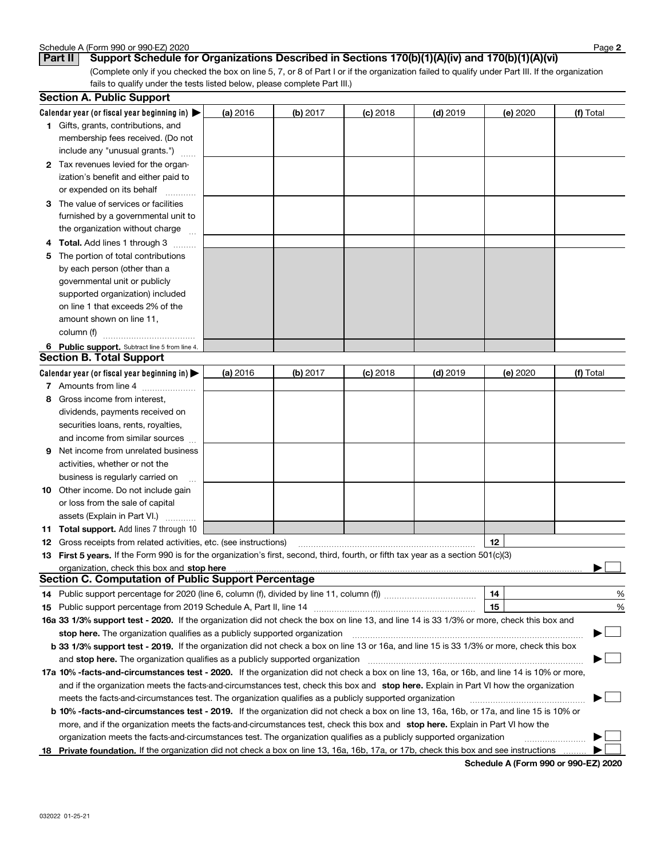|   | Calendar year (or fiscal year beginning in) $\blacktriangleright$                                                                              | (a) 2016 | (b) 2017 | $(c)$ 2018 | $(d)$ 2019 | (e) 2020 | (f) Total |
|---|------------------------------------------------------------------------------------------------------------------------------------------------|----------|----------|------------|------------|----------|-----------|
|   | 1 Gifts, grants, contributions, and<br>membership fees received. (Do not<br>include any "unusual grants.")                                     |          |          |            |            |          |           |
|   | 2 Tax revenues levied for the organ-                                                                                                           |          |          |            |            |          |           |
|   | ization's benefit and either paid to                                                                                                           |          |          |            |            |          |           |
|   | or expended on its behalf                                                                                                                      |          |          |            |            |          |           |
|   | 3 The value of services or facilities                                                                                                          |          |          |            |            |          |           |
|   | furnished by a governmental unit to                                                                                                            |          |          |            |            |          |           |
|   | the organization without charge                                                                                                                |          |          |            |            |          |           |
|   | 4 Total. Add lines 1 through 3<br>.                                                                                                            |          |          |            |            |          |           |
| 5 | The portion of total contributions                                                                                                             |          |          |            |            |          |           |
|   | by each person (other than a                                                                                                                   |          |          |            |            |          |           |
|   | governmental unit or publicly                                                                                                                  |          |          |            |            |          |           |
|   | supported organization) included                                                                                                               |          |          |            |            |          |           |
|   | on line 1 that exceeds 2% of the                                                                                                               |          |          |            |            |          |           |
|   | amount shown on line 11,                                                                                                                       |          |          |            |            |          |           |
|   | column (f)                                                                                                                                     |          |          |            |            |          |           |
|   | 6 Public support. Subtract line 5 from line 4.                                                                                                 |          |          |            |            |          |           |
|   | <b>Section B. Total Support</b>                                                                                                                |          |          |            |            |          |           |
|   | Calendar year (or fiscal year beginning in)                                                                                                    | (a) 2016 | (b) 2017 | $(c)$ 2018 | $(d)$ 2019 | (e) 2020 | (f) Total |
|   | 7 Amounts from line 4                                                                                                                          |          |          |            |            |          |           |
|   | 8 Gross income from interest,                                                                                                                  |          |          |            |            |          |           |
|   | dividends, payments received on                                                                                                                |          |          |            |            |          |           |
|   | securities loans, rents, royalties,                                                                                                            |          |          |            |            |          |           |
|   | and income from similar sources                                                                                                                |          |          |            |            |          |           |
|   | <b>9</b> Net income from unrelated business                                                                                                    |          |          |            |            |          |           |
|   | activities, whether or not the                                                                                                                 |          |          |            |            |          |           |
|   | business is regularly carried on                                                                                                               |          |          |            |            |          |           |
|   | <b>10</b> Other income. Do not include gain                                                                                                    |          |          |            |            |          |           |
|   | or loss from the sale of capital                                                                                                               |          |          |            |            |          |           |
|   | assets (Explain in Part VI.)                                                                                                                   |          |          |            |            |          |           |
|   | <b>11 Total support.</b> Add lines 7 through 10                                                                                                |          |          |            |            |          |           |
|   | <b>12</b> Gross receipts from related activities, etc. (see instructions)                                                                      |          |          |            |            | 12       |           |
|   | 13 First 5 years. If the Form 990 is for the organization's first, second, third, fourth, or fifth tax year as a section 501(c)(3)             |          |          |            |            |          |           |
|   | organization, check this box and stop here                                                                                                     |          |          |            |            |          |           |
|   | <b>Section C. Computation of Public Support Percentage</b>                                                                                     |          |          |            |            |          |           |
|   |                                                                                                                                                |          |          |            |            | 14       | ℀         |
|   | 15 Public support percentage from 2019 Schedule A, Part II, line 14                                                                            |          |          |            |            | 15       | %         |
|   | 16a 33 1/3% support test - 2020. If the organization did not check the box on line 13, and line 14 is 33 1/3% or more, check this box and      |          |          |            |            |          |           |
|   | stop here. The organization qualifies as a publicly supported organization                                                                     |          |          |            |            |          |           |
|   | b 33 1/3% support test - 2019. If the organization did not check a box on line 13 or 16a, and line 15 is 33 1/3% or more, check this box       |          |          |            |            |          |           |
|   | and stop here. The organization qualifies as a publicly supported organization                                                                 |          |          |            |            |          |           |
|   | 17a 10% -facts-and-circumstances test - 2020. If the organization did not check a box on line 13, 16a, or 16b, and line 14 is 10% or more,     |          |          |            |            |          |           |
|   | and if the organization meets the facts-and-circumstances test, check this box and stop here. Explain in Part VI how the organization          |          |          |            |            |          |           |
|   | meets the facts-and-circumstances test. The organization qualifies as a publicly supported organization                                        |          |          |            |            |          |           |
|   | <b>b 10% -facts-and-circumstances test - 2019.</b> If the organization did not check a box on line 13, 16a, 16b, or 17a, and line 15 is 10% or |          |          |            |            |          |           |
|   | more, and if the organization meets the facts-and-circumstances test, check this box and stop here. Explain in Part VI how the                 |          |          |            |            |          |           |
|   | organization meets the facts-and-circumstances test. The organization qualifies as a publicly supported organization                           |          |          |            |            |          |           |
|   | 18 Private foundation. If the organization did not check a box on line 13, 16a, 16b, 17a, or 17b, check this box and see instructions          |          |          |            |            |          |           |

**Schedule A (Form 990 or 990-EZ) 2020**

**2**

Schedule A (Form 990 or 990-EZ) 2020<br>**Part II** | Support Schedule fo

**Section A. Public Support**

| rt II Support Schedule for Organizations Described in Sections 170(b)(1)(A)(iv) and 170(b)(1)(A)(vi) |  |
|------------------------------------------------------------------------------------------------------|--|

(Complete only if you checked the box on line 5, 7, or 8 of Part I or if the organization failed to qualify under Part III. If the organization fails to qualify under the tests listed below, please complete Part III.)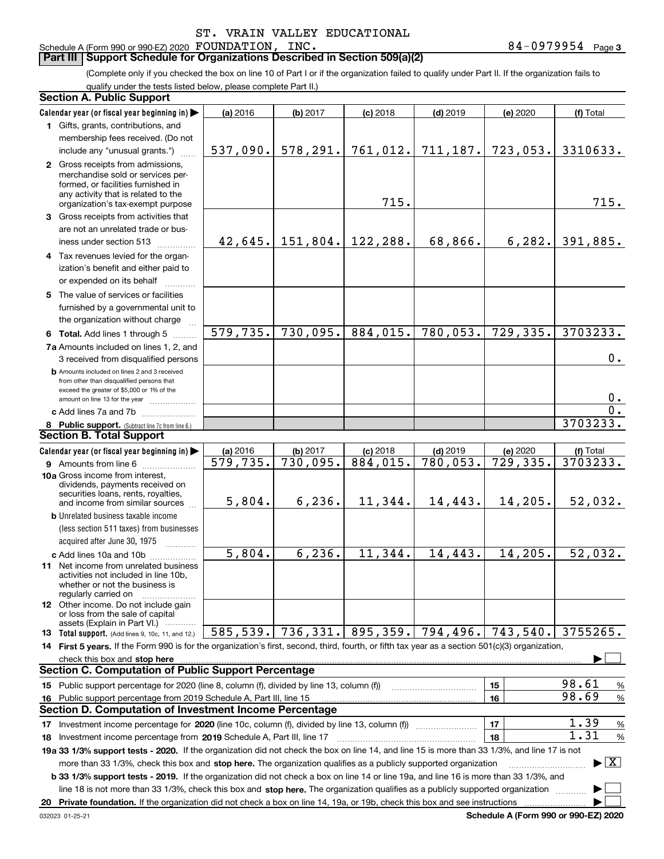#### **Part III Support Schedule for Organizations Described in Section 509(a)(2)**

(Complete only if you checked the box on line 10 of Part I or if the organization failed to qualify under Part II. If the organization fails to qualify under the tests listed below, please complete Part II.)

| <b>Section A. Public Support</b>                                                                                                                                                                                              |           |                    |            |            |           |                                          |
|-------------------------------------------------------------------------------------------------------------------------------------------------------------------------------------------------------------------------------|-----------|--------------------|------------|------------|-----------|------------------------------------------|
| Calendar year (or fiscal year beginning in)                                                                                                                                                                                   | (a) 2016  | (b) 2017           | $(c)$ 2018 | $(d)$ 2019 | (e) 2020  | (f) Total                                |
| 1 Gifts, grants, contributions, and                                                                                                                                                                                           |           |                    |            |            |           |                                          |
| membership fees received. (Do not                                                                                                                                                                                             |           |                    |            |            |           |                                          |
| include any "unusual grants.")                                                                                                                                                                                                | 537,090.  | 578, 291.          | 761,012.   | 711,187.   | 723,053.  | 3310633.                                 |
| 2 Gross receipts from admissions,                                                                                                                                                                                             |           |                    |            |            |           |                                          |
| merchandise sold or services per-                                                                                                                                                                                             |           |                    |            |            |           |                                          |
| formed, or facilities furnished in<br>any activity that is related to the                                                                                                                                                     |           |                    |            |            |           |                                          |
| organization's tax-exempt purpose                                                                                                                                                                                             |           |                    | 715.       |            |           | 715.                                     |
| 3 Gross receipts from activities that                                                                                                                                                                                         |           |                    |            |            |           |                                          |
| are not an unrelated trade or bus-                                                                                                                                                                                            |           |                    |            |            |           |                                          |
| iness under section 513                                                                                                                                                                                                       |           | $42,645.$ 151,804. | 122,288.   | 68,866.    | 6, 282.   | 391,885.                                 |
| 4 Tax revenues levied for the organ-                                                                                                                                                                                          |           |                    |            |            |           |                                          |
| ization's benefit and either paid to                                                                                                                                                                                          |           |                    |            |            |           |                                          |
| or expended on its behalf                                                                                                                                                                                                     |           |                    |            |            |           |                                          |
| 5 The value of services or facilities                                                                                                                                                                                         |           |                    |            |            |           |                                          |
| furnished by a governmental unit to                                                                                                                                                                                           |           |                    |            |            |           |                                          |
| the organization without charge                                                                                                                                                                                               |           |                    |            |            |           |                                          |
| 6 Total. Add lines 1 through 5                                                                                                                                                                                                | 579, 735. | 730,095.           | 884,015.   | 780,053.   | 729,335.  | 3703233.                                 |
| 7a Amounts included on lines 1, 2, and                                                                                                                                                                                        |           |                    |            |            |           |                                          |
| 3 received from disqualified persons                                                                                                                                                                                          |           |                    |            |            |           | 0.                                       |
| <b>b</b> Amounts included on lines 2 and 3 received                                                                                                                                                                           |           |                    |            |            |           |                                          |
| from other than disqualified persons that                                                                                                                                                                                     |           |                    |            |            |           |                                          |
| exceed the greater of \$5,000 or 1% of the<br>amount on line 13 for the year                                                                                                                                                  |           |                    |            |            |           | 0.                                       |
| c Add lines 7a and 7b [ <i>[[[[[[[[[[[[[[[[[[[[[[[[[[[[[[]]]]]</i>                                                                                                                                                            |           |                    |            |            |           | $\overline{0}$ .                         |
| 8 Public support. (Subtract line 7c from line 6.)                                                                                                                                                                             |           |                    |            |            |           | 3703233.                                 |
| <b>Section B. Total Support</b>                                                                                                                                                                                               |           |                    |            |            |           |                                          |
| Calendar year (or fiscal year beginning in)                                                                                                                                                                                   | (a) 2016  | (b) 2017           | $(c)$ 2018 | $(d)$ 2019 | (e) 2020  | (f) Total                                |
| <b>9</b> Amounts from line 6                                                                                                                                                                                                  | 579,735.  | 730,095.           | 884,015.   | 780,053.   | 729, 335. | 3703233.                                 |
| 10a Gross income from interest,                                                                                                                                                                                               |           |                    |            |            |           |                                          |
| dividends, payments received on                                                                                                                                                                                               |           |                    |            |            |           |                                          |
| securities loans, rents, royalties,                                                                                                                                                                                           | 5,804.    | 6, 236.            | 11,344.    | 14,443.    | 14,205.   | 52,032.                                  |
| and income from similar sources<br><b>b</b> Unrelated business taxable income                                                                                                                                                 |           |                    |            |            |           |                                          |
| (less section 511 taxes) from businesses                                                                                                                                                                                      |           |                    |            |            |           |                                          |
| acquired after June 30, 1975                                                                                                                                                                                                  |           |                    |            |            |           |                                          |
|                                                                                                                                                                                                                               | 5,804.    | 6, 236.            | 11,344.    | 14,443.    | 14,205.   | 52,032.                                  |
| c Add lines 10a and 10b<br>11 Net income from unrelated business                                                                                                                                                              |           |                    |            |            |           |                                          |
| activities not included in line 10b,                                                                                                                                                                                          |           |                    |            |            |           |                                          |
| whether or not the business is                                                                                                                                                                                                |           |                    |            |            |           |                                          |
| regularly carried on<br><b>12</b> Other income. Do not include gain                                                                                                                                                           |           |                    |            |            |           |                                          |
| or loss from the sale of capital                                                                                                                                                                                              |           |                    |            |            |           |                                          |
| assets (Explain in Part VI.)                                                                                                                                                                                                  |           |                    |            |            |           |                                          |
| <b>13</b> Total support. (Add lines 9, 10c, 11, and 12.)                                                                                                                                                                      | 585,539.  | 736,331.           | 895, 359.  | 794,496.   | 743,540.  | 3755265.                                 |
| 14 First 5 years. If the Form 990 is for the organization's first, second, third, fourth, or fifth tax year as a section 501(c)(3) organization,                                                                              |           |                    |            |            |           |                                          |
| check this box and stop here measurements are all the contract of the state of the state of the state of the state of the state of the state of the state of the state of the state of the state of the state of the state of |           |                    |            |            |           |                                          |
| <b>Section C. Computation of Public Support Percentage</b>                                                                                                                                                                    |           |                    |            |            |           |                                          |
| 15 Public support percentage for 2020 (line 8, column (f), divided by line 13, column (f))                                                                                                                                    |           |                    |            |            | 15        | 98.61<br>%<br>98.69                      |
| 16 Public support percentage from 2019 Schedule A, Part III, line 15                                                                                                                                                          |           |                    |            |            | 16        | $\%$                                     |
| <b>Section D. Computation of Investment Income Percentage</b>                                                                                                                                                                 |           |                    |            |            |           |                                          |
| 17 Investment income percentage for 2020 (line 10c, column (f), divided by line 13, column (f))                                                                                                                               |           |                    |            |            | 17        | 1.39<br>%                                |
| 18 Investment income percentage from 2019 Schedule A, Part III, line 17                                                                                                                                                       |           |                    |            |            | 18        | 1.31<br>$\%$                             |
| 19a 33 1/3% support tests - 2020. If the organization did not check the box on line 14, and line 15 is more than 33 1/3%, and line 17 is not                                                                                  |           |                    |            |            |           |                                          |
| more than 33 1/3%, check this box and stop here. The organization qualifies as a publicly supported organization                                                                                                              |           |                    |            |            |           | $\blacktriangleright$ $\boxed{\text{X}}$ |
| <b>b 33 1/3% support tests - 2019.</b> If the organization did not check a box on line 14 or line 19a, and line 16 is more than 33 1/3%, and                                                                                  |           |                    |            |            |           |                                          |
| line 18 is not more than 33 1/3%, check this box and stop here. The organization qualifies as a publicly supported organization                                                                                               |           |                    |            |            |           |                                          |
| 20 Private foundation. If the organization did not check a box on line 14, 19a, or 19b, check this box and see instructions                                                                                                   |           |                    |            |            |           |                                          |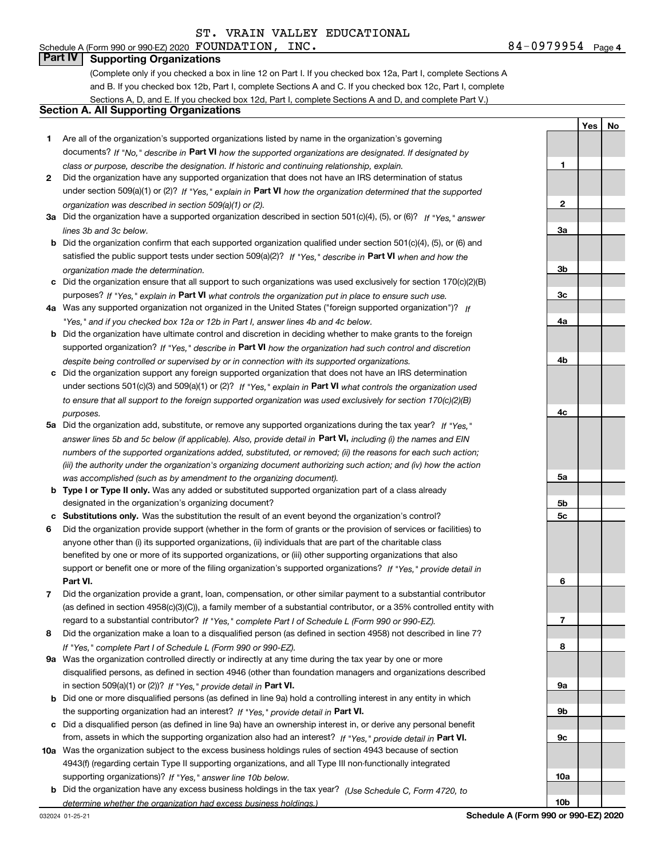**1**

**Yes**

**No**

## **Part IV Supporting Organizations**

(Complete only if you checked a box in line 12 on Part I. If you checked box 12a, Part I, complete Sections A and B. If you checked box 12b, Part I, complete Sections A and C. If you checked box 12c, Part I, complete Sections A, D, and E. If you checked box 12d, Part I, complete Sections A and D, and complete Part V.)

#### **Section A. All Supporting Organizations**

- **1** Are all of the organization's supported organizations listed by name in the organization's governing documents? If "No," describe in **Part VI** how the supported organizations are designated. If designated by *class or purpose, describe the designation. If historic and continuing relationship, explain.*
- **2** Did the organization have any supported organization that does not have an IRS determination of status under section 509(a)(1) or (2)? If "Yes," explain in Part VI how the organization determined that the supported *organization was described in section 509(a)(1) or (2).*
- **3a** Did the organization have a supported organization described in section 501(c)(4), (5), or (6)? If "Yes," answer *lines 3b and 3c below.*
- **b** Did the organization confirm that each supported organization qualified under section 501(c)(4), (5), or (6) and satisfied the public support tests under section 509(a)(2)? If "Yes," describe in **Part VI** when and how the *organization made the determination.*
- **c**Did the organization ensure that all support to such organizations was used exclusively for section 170(c)(2)(B) purposes? If "Yes," explain in **Part VI** what controls the organization put in place to ensure such use.
- **4a***If* Was any supported organization not organized in the United States ("foreign supported organization")? *"Yes," and if you checked box 12a or 12b in Part I, answer lines 4b and 4c below.*
- **b** Did the organization have ultimate control and discretion in deciding whether to make grants to the foreign supported organization? If "Yes," describe in **Part VI** how the organization had such control and discretion *despite being controlled or supervised by or in connection with its supported organizations.*
- **c** Did the organization support any foreign supported organization that does not have an IRS determination under sections 501(c)(3) and 509(a)(1) or (2)? If "Yes," explain in **Part VI** what controls the organization used *to ensure that all support to the foreign supported organization was used exclusively for section 170(c)(2)(B) purposes.*
- **5a***If "Yes,"* Did the organization add, substitute, or remove any supported organizations during the tax year? answer lines 5b and 5c below (if applicable). Also, provide detail in **Part VI,** including (i) the names and EIN *numbers of the supported organizations added, substituted, or removed; (ii) the reasons for each such action; (iii) the authority under the organization's organizing document authorizing such action; and (iv) how the action was accomplished (such as by amendment to the organizing document).*
- **b** Type I or Type II only. Was any added or substituted supported organization part of a class already designated in the organization's organizing document?
- **cSubstitutions only.**  Was the substitution the result of an event beyond the organization's control?
- **6** Did the organization provide support (whether in the form of grants or the provision of services or facilities) to **Part VI.** *If "Yes," provide detail in* support or benefit one or more of the filing organization's supported organizations? anyone other than (i) its supported organizations, (ii) individuals that are part of the charitable class benefited by one or more of its supported organizations, or (iii) other supporting organizations that also
- **7**Did the organization provide a grant, loan, compensation, or other similar payment to a substantial contributor *If "Yes," complete Part I of Schedule L (Form 990 or 990-EZ).* regard to a substantial contributor? (as defined in section 4958(c)(3)(C)), a family member of a substantial contributor, or a 35% controlled entity with
- **8** Did the organization make a loan to a disqualified person (as defined in section 4958) not described in line 7? *If "Yes," complete Part I of Schedule L (Form 990 or 990-EZ).*
- **9a** Was the organization controlled directly or indirectly at any time during the tax year by one or more in section 509(a)(1) or (2))? If "Yes," *provide detail in* <code>Part VI.</code> disqualified persons, as defined in section 4946 (other than foundation managers and organizations described
- **b** Did one or more disqualified persons (as defined in line 9a) hold a controlling interest in any entity in which the supporting organization had an interest? If "Yes," provide detail in P**art VI**.
- **c**Did a disqualified person (as defined in line 9a) have an ownership interest in, or derive any personal benefit from, assets in which the supporting organization also had an interest? If "Yes," provide detail in P**art VI.**
- **10a** Was the organization subject to the excess business holdings rules of section 4943 because of section supporting organizations)? If "Yes," answer line 10b below. 4943(f) (regarding certain Type II supporting organizations, and all Type III non-functionally integrated
- **b** Did the organization have any excess business holdings in the tax year? (Use Schedule C, Form 4720, to *determine whether the organization had excess business holdings.)*

**23a3b3c4a4b4c5a5b5c6789a 9b9c**

**10a**

**10b**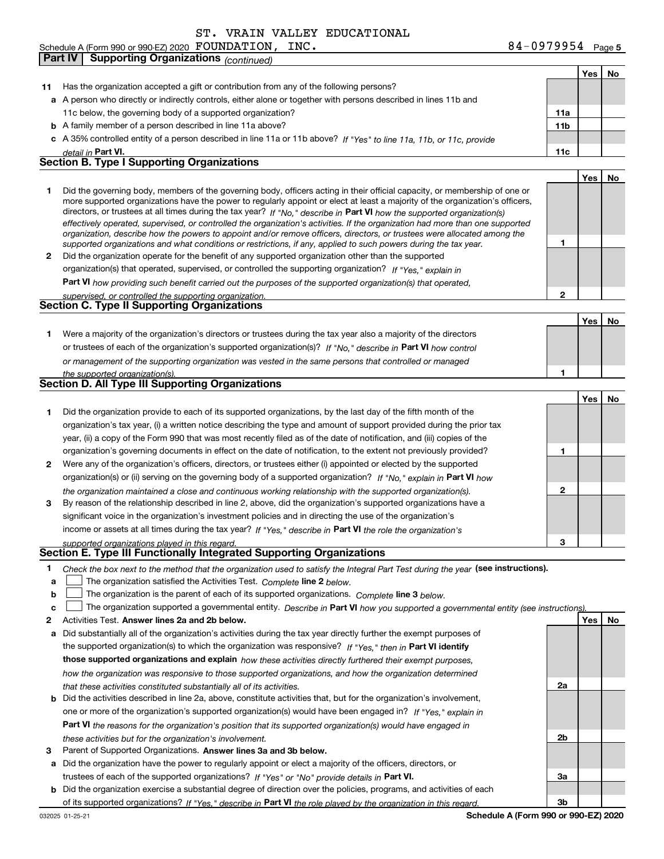**Part IV Supporting Organizations** *(continued)*

**5** Schedule A (Form 990 or 990-EZ) 2020 Page FOUNDATION, INC. 84-0979954

r

**Yes No**

| 11 | Has the organization accepted a gift or contribution from any of the following persons?                                                                                                                                                                    |              |     |     |
|----|------------------------------------------------------------------------------------------------------------------------------------------------------------------------------------------------------------------------------------------------------------|--------------|-----|-----|
|    | <b>a</b> A person who directly or indirectly controls, either alone or together with persons described in lines 11b and                                                                                                                                    |              |     |     |
|    | 11c below, the governing body of a supported organization?                                                                                                                                                                                                 | 11a          |     |     |
|    | <b>b</b> A family member of a person described in line 11a above?                                                                                                                                                                                          | 11b          |     |     |
|    | c A 35% controlled entity of a person described in line 11a or 11b above? If "Yes" to line 11a, 11b, or 11c, provide                                                                                                                                       |              |     |     |
|    | detail in Part VI.                                                                                                                                                                                                                                         | 11c          |     |     |
|    | <b>Section B. Type I Supporting Organizations</b>                                                                                                                                                                                                          |              |     |     |
|    |                                                                                                                                                                                                                                                            |              | Yes | No  |
| 1  | Did the governing body, members of the governing body, officers acting in their official capacity, or membership of one or                                                                                                                                 |              |     |     |
|    | more supported organizations have the power to regularly appoint or elect at least a majority of the organization's officers,                                                                                                                              |              |     |     |
|    | directors, or trustees at all times during the tax year? If "No," describe in Part VI how the supported organization(s)                                                                                                                                    |              |     |     |
|    | effectively operated, supervised, or controlled the organization's activities. If the organization had more than one supported<br>organization, describe how the powers to appoint and/or remove officers, directors, or trustees were allocated among the |              |     |     |
|    | supported organizations and what conditions or restrictions, if any, applied to such powers during the tax year.                                                                                                                                           | 1            |     |     |
| 2  | Did the organization operate for the benefit of any supported organization other than the supported                                                                                                                                                        |              |     |     |
|    | organization(s) that operated, supervised, or controlled the supporting organization? If "Yes," explain in                                                                                                                                                 |              |     |     |
|    | Part VI how providing such benefit carried out the purposes of the supported organization(s) that operated,                                                                                                                                                |              |     |     |
|    | supervised, or controlled the supporting organization.                                                                                                                                                                                                     | $\mathbf{2}$ |     |     |
|    | Section C. Type II Supporting Organizations                                                                                                                                                                                                                |              |     |     |
|    |                                                                                                                                                                                                                                                            |              | Yes | No. |
| 1. | Were a majority of the organization's directors or trustees during the tax year also a majority of the directors                                                                                                                                           |              |     |     |
|    | or trustees of each of the organization's supported organization(s)? If "No," describe in Part VI how control                                                                                                                                              |              |     |     |
|    | or management of the supporting organization was vested in the same persons that controlled or managed                                                                                                                                                     |              |     |     |
|    | the supported organization(s).                                                                                                                                                                                                                             | 1            |     |     |
|    | <b>Section D. All Type III Supporting Organizations</b>                                                                                                                                                                                                    |              |     |     |
|    |                                                                                                                                                                                                                                                            |              | Yes | No  |
| 1. | Did the organization provide to each of its supported organizations, by the last day of the fifth month of the                                                                                                                                             |              |     |     |
|    | organization's tax year, (i) a written notice describing the type and amount of support provided during the prior tax                                                                                                                                      |              |     |     |
|    | year, (ii) a copy of the Form 990 that was most recently filed as of the date of notification, and (iii) copies of the                                                                                                                                     |              |     |     |
|    | organization's governing documents in effect on the date of notification, to the extent not previously provided?                                                                                                                                           | 1            |     |     |
| 2  | Were any of the organization's officers, directors, or trustees either (i) appointed or elected by the supported                                                                                                                                           |              |     |     |
|    | organization(s) or (ii) serving on the governing body of a supported organization? If "No," explain in Part VI how                                                                                                                                         |              |     |     |
|    | the organization maintained a close and continuous working relationship with the supported organization(s).                                                                                                                                                | 2            |     |     |
| 3  | By reason of the relationship described in line 2, above, did the organization's supported organizations have a                                                                                                                                            |              |     |     |
|    | significant voice in the organization's investment policies and in directing the use of the organization's                                                                                                                                                 |              |     |     |
|    | income or assets at all times during the tax year? If "Yes," describe in Part VI the role the organization's                                                                                                                                               |              |     |     |
|    | supported organizations played in this regard.                                                                                                                                                                                                             | 3            |     |     |
|    | Section E. Type III Functionally Integrated Supporting Organizations                                                                                                                                                                                       |              |     |     |
|    | Check the box next to the method that the organization used to satisfy the Integral Part Test during the year (see instructions).                                                                                                                          |              |     |     |
| а  | The organization satisfied the Activities Test. Complete line 2 below.                                                                                                                                                                                     |              |     |     |
| b  | The organization is the parent of each of its supported organizations. Complete line 3 below.                                                                                                                                                              |              |     |     |
| c  | The organization supported a governmental entity. Describe in Part VI how you supported a governmental entity (see instructions).                                                                                                                          |              |     |     |
| 2  | Activities Test. Answer lines 2a and 2b below.                                                                                                                                                                                                             |              | Yes | No  |
| a  | Did substantially all of the organization's activities during the tax year directly further the exempt purposes of                                                                                                                                         |              |     |     |
|    | the supported organization(s) to which the organization was responsive? If "Yes." then in Part VI identify                                                                                                                                                 |              |     |     |
|    | those supported organizations and explain how these activities directly furthered their exempt purposes,                                                                                                                                                   |              |     |     |
|    | how the organization was responsive to those supported organizations, and how the organization determined                                                                                                                                                  |              |     |     |
|    | that these activities constituted substantially all of its activities.                                                                                                                                                                                     | 2a           |     |     |
| b  | Did the activities described in line 2a, above, constitute activities that, but for the organization's involvement,                                                                                                                                        |              |     |     |
|    | one or more of the organization's supported organization(s) would have been engaged in? If "Yes," explain in                                                                                                                                               |              |     |     |
|    | <b>Part VI</b> the reasons for the organization's position that its supported organization(s) would have engaged in                                                                                                                                        |              |     |     |
|    | these activities but for the organization's involvement.                                                                                                                                                                                                   | 2b           |     |     |
| з  | Parent of Supported Organizations. Answer lines 3a and 3b below.                                                                                                                                                                                           |              |     |     |
| а  | Did the organization have the power to regularly appoint or elect a majority of the officers, directors, or                                                                                                                                                |              |     |     |
|    | trustees of each of the supported organizations? If "Yes" or "No" provide details in Part VI.                                                                                                                                                              | За           |     |     |
|    | <b>b</b> Did the organization exercise a substantial degree of direction over the policies, programs, and activities of each<br>of its supported organizations? If "Yes," describe in Part VI the role played by the organization in this regard.          | 3b           |     |     |
|    |                                                                                                                                                                                                                                                            |              |     |     |

**Schedule A (Form 990 or 990-EZ) 2020**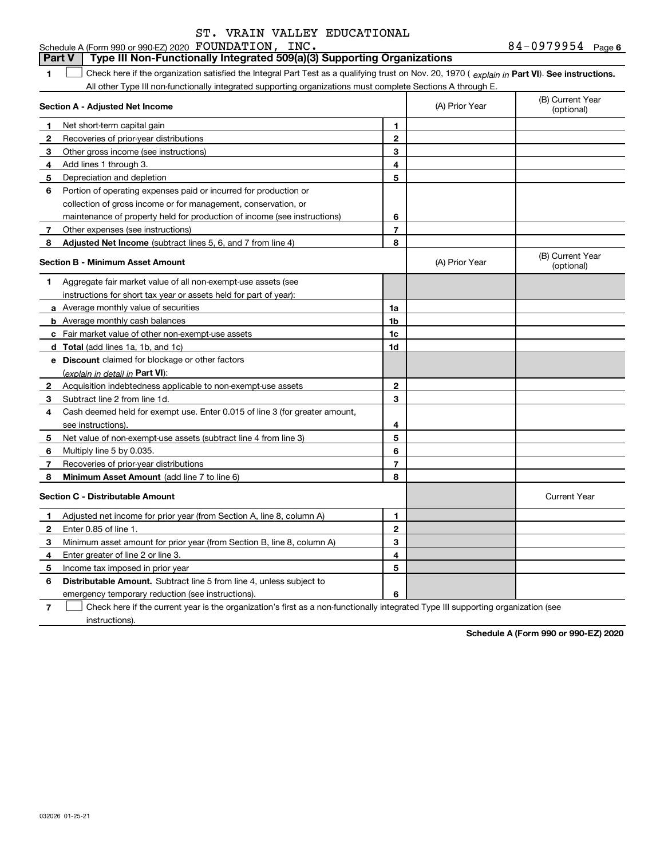#### 84-0979954 Page 6 **1Part VI** Check here if the organization satisfied the Integral Part Test as a qualifying trust on Nov. 20, 1970 ( explain in Part **VI**). See instructions. **Section A - Adjusted Net Income 123** Other gross income (see instructions) **4**Add lines 1 through 3. **56** Portion of operating expenses paid or incurred for production or **7** Other expenses (see instructions) **8** Adjusted Net Income (subtract lines 5, 6, and 7 from line 4) **8 8 1234567Section B - Minimum Asset Amount 1**Aggregate fair market value of all non-exempt-use assets (see **2**Acquisition indebtedness applicable to non-exempt-use assets **3** Subtract line 2 from line 1d. **4**Cash deemed held for exempt use. Enter 0.015 of line 3 (for greater amount, **5** Net value of non-exempt-use assets (subtract line 4 from line 3) **678a** Average monthly value of securities **b** Average monthly cash balances **c**Fair market value of other non-exempt-use assets **dTotal**  (add lines 1a, 1b, and 1c) **eDiscount** claimed for blockage or other factors **1a1b1c1d2345678**(explain in detail in Part VI): **Minimum Asset Amount**  (add line 7 to line 6) **Section C - Distributable Amount 123456123456Distributable Amount.** Subtract line 5 from line 4, unless subject to Schedule A (Form 990 or 990-EZ) 2020 Page FOUNDATION, INC. 84-0979954 All other Type III non-functionally integrated supporting organizations must complete Sections A through E. (B) Current Year (optional)(A) Prior Year Net short-term capital gain Recoveries of prior-year distributions Depreciation and depletion collection of gross income or for management, conservation, or maintenance of property held for production of income (see instructions) (B) Current Year (optional)(A) Prior Year instructions for short tax year or assets held for part of year): see instructions). Multiply line 5 by 0.035. Recoveries of prior-year distributions Current Year Adjusted net income for prior year (from Section A, line 8, column A) Enter 0.85 of line 1. Minimum asset amount for prior year (from Section B, line 8, column A) Enter greater of line 2 or line 3. Income tax imposed in prior year emergency temporary reduction (see instructions). **Part V Type III Non-Functionally Integrated 509(a)(3) Supporting Organizations**   $\mathcal{L}^{\text{max}}$

**7**Check here if the current year is the organization's first as a non-functionally integrated Type III supporting organization (see instructions). $\mathcal{L}^{\text{max}}$ 

**Schedule A (Form 990 or 990-EZ) 2020**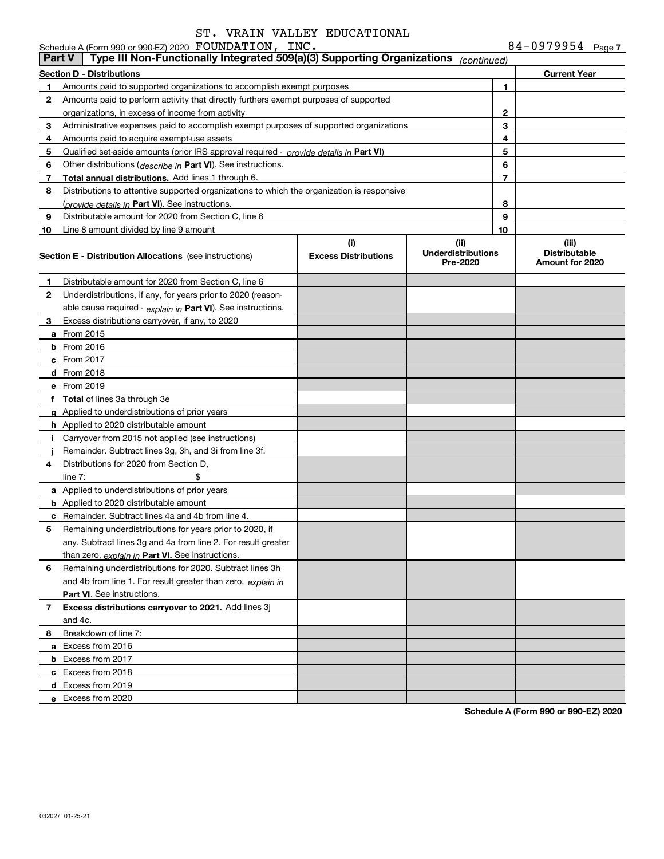|               | Schedule A (Form 990 or 990-EZ) 2020 FOUNDATION, INC.                                      |                                    |                                               |    | 84-0979954 Page 7                                |
|---------------|--------------------------------------------------------------------------------------------|------------------------------------|-----------------------------------------------|----|--------------------------------------------------|
| <b>Part V</b> | Type III Non-Functionally Integrated 509(a)(3) Supporting Organizations                    |                                    | (continued)                                   |    |                                                  |
|               | <b>Section D - Distributions</b>                                                           |                                    |                                               |    | <b>Current Year</b>                              |
| 1             | Amounts paid to supported organizations to accomplish exempt purposes                      |                                    |                                               | 1  |                                                  |
| 2             | Amounts paid to perform activity that directly furthers exempt purposes of supported       |                                    |                                               |    |                                                  |
|               | organizations, in excess of income from activity                                           |                                    |                                               | 2  |                                                  |
| 3             | Administrative expenses paid to accomplish exempt purposes of supported organizations      |                                    |                                               | 3  |                                                  |
| 4             | Amounts paid to acquire exempt-use assets                                                  |                                    |                                               | 4  |                                                  |
| 5             | Qualified set-aside amounts (prior IRS approval required - provide details in Part VI)     |                                    |                                               | 5  |                                                  |
| 6             | Other distributions ( <i>describe in</i> Part VI). See instructions.                       |                                    |                                               | 6  |                                                  |
| 7             | <b>Total annual distributions.</b> Add lines 1 through 6.                                  |                                    |                                               | 7  |                                                  |
| 8             | Distributions to attentive supported organizations to which the organization is responsive |                                    |                                               |    |                                                  |
|               | (provide details in Part VI). See instructions.                                            |                                    |                                               | 8  |                                                  |
| 9             | Distributable amount for 2020 from Section C, line 6                                       |                                    |                                               | 9  |                                                  |
| 10            | Line 8 amount divided by line 9 amount                                                     |                                    |                                               | 10 |                                                  |
|               | <b>Section E - Distribution Allocations</b> (see instructions)                             | (i)<br><b>Excess Distributions</b> | (ii)<br><b>Underdistributions</b><br>Pre-2020 |    | (iii)<br><b>Distributable</b><br>Amount for 2020 |
| 1             | Distributable amount for 2020 from Section C, line 6                                       |                                    |                                               |    |                                                  |
| $\mathbf{2}$  | Underdistributions, if any, for years prior to 2020 (reason-                               |                                    |                                               |    |                                                  |
|               | able cause required - explain in Part VI). See instructions.                               |                                    |                                               |    |                                                  |
| 3             | Excess distributions carryover, if any, to 2020                                            |                                    |                                               |    |                                                  |
|               | <b>a</b> From 2015                                                                         |                                    |                                               |    |                                                  |
|               | <b>b</b> From 2016                                                                         |                                    |                                               |    |                                                  |
|               | $c$ From 2017                                                                              |                                    |                                               |    |                                                  |
|               | <b>d</b> From 2018                                                                         |                                    |                                               |    |                                                  |
|               | e From 2019                                                                                |                                    |                                               |    |                                                  |
|               | f Total of lines 3a through 3e                                                             |                                    |                                               |    |                                                  |
|               | g Applied to underdistributions of prior years                                             |                                    |                                               |    |                                                  |
|               | <b>h</b> Applied to 2020 distributable amount                                              |                                    |                                               |    |                                                  |
|               | i Carryover from 2015 not applied (see instructions)                                       |                                    |                                               |    |                                                  |
|               | Remainder. Subtract lines 3g, 3h, and 3i from line 3f.                                     |                                    |                                               |    |                                                  |
| 4             | Distributions for 2020 from Section D,                                                     |                                    |                                               |    |                                                  |
|               | line $7:$<br>\$                                                                            |                                    |                                               |    |                                                  |
|               | a Applied to underdistributions of prior years                                             |                                    |                                               |    |                                                  |
|               | <b>b</b> Applied to 2020 distributable amount                                              |                                    |                                               |    |                                                  |
|               | <b>c</b> Remainder. Subtract lines 4a and 4b from line 4.                                  |                                    |                                               |    |                                                  |
| 5             | Remaining underdistributions for years prior to 2020, if                                   |                                    |                                               |    |                                                  |
|               | any. Subtract lines 3g and 4a from line 2. For result greater                              |                                    |                                               |    |                                                  |
|               | than zero, explain in Part VI. See instructions.                                           |                                    |                                               |    |                                                  |
| 6             | Remaining underdistributions for 2020. Subtract lines 3h                                   |                                    |                                               |    |                                                  |
|               | and 4b from line 1. For result greater than zero, explain in                               |                                    |                                               |    |                                                  |
|               | <b>Part VI.</b> See instructions.                                                          |                                    |                                               |    |                                                  |
| 7             | Excess distributions carryover to 2021. Add lines 3j                                       |                                    |                                               |    |                                                  |
|               | and 4c.                                                                                    |                                    |                                               |    |                                                  |
| 8             | Breakdown of line 7:                                                                       |                                    |                                               |    |                                                  |
|               | a Excess from 2016                                                                         |                                    |                                               |    |                                                  |
|               | <b>b</b> Excess from 2017                                                                  |                                    |                                               |    |                                                  |
|               | c Excess from 2018                                                                         |                                    |                                               |    |                                                  |
|               | d Excess from 2019                                                                         |                                    |                                               |    |                                                  |
|               | e Excess from 2020                                                                         |                                    |                                               |    |                                                  |
|               |                                                                                            |                                    |                                               |    |                                                  |

**Schedule A (Form 990 or 990-EZ) 2020**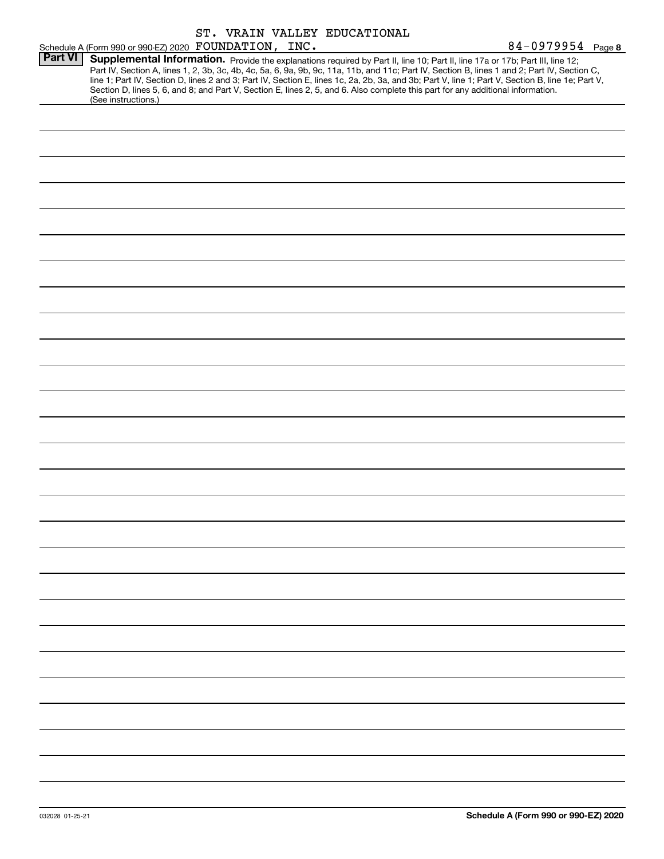|                |                                                       |  | ST. VRAIN VALLEY EDUCATIONAL                                                                                                    |                                                                                                                                                                                                                                                                                                                                                                                                                                   |
|----------------|-------------------------------------------------------|--|---------------------------------------------------------------------------------------------------------------------------------|-----------------------------------------------------------------------------------------------------------------------------------------------------------------------------------------------------------------------------------------------------------------------------------------------------------------------------------------------------------------------------------------------------------------------------------|
|                | Schedule A (Form 990 or 990-EZ) 2020 FOUNDATION, INC. |  |                                                                                                                                 | $84 - 0979954$ Page 8                                                                                                                                                                                                                                                                                                                                                                                                             |
| <b>Part VI</b> | (See instructions.)                                   |  | Section D, lines 5, 6, and 8; and Part V, Section E, lines 2, 5, and 6. Also complete this part for any additional information. | Supplemental Information. Provide the explanations required by Part II, line 10; Part II, line 17a or 17b; Part III, line 12;<br>Part IV, Section A, lines 1, 2, 3b, 3c, 4b, 4c, 5a, 6, 9a, 9b, 9c, 11a, 11b, and 11c; Part IV, Section B, lines 1 and 2; Part IV, Section C,<br>line 1; Part IV, Section D, lines 2 and 3; Part IV, Section E, lines 1c, 2a, 2b, 3a, and 3b; Part V, line 1; Part V, Section B, line 1e; Part V, |
|                |                                                       |  |                                                                                                                                 |                                                                                                                                                                                                                                                                                                                                                                                                                                   |
|                |                                                       |  |                                                                                                                                 |                                                                                                                                                                                                                                                                                                                                                                                                                                   |
|                |                                                       |  |                                                                                                                                 |                                                                                                                                                                                                                                                                                                                                                                                                                                   |
|                |                                                       |  |                                                                                                                                 |                                                                                                                                                                                                                                                                                                                                                                                                                                   |
|                |                                                       |  |                                                                                                                                 |                                                                                                                                                                                                                                                                                                                                                                                                                                   |
|                |                                                       |  |                                                                                                                                 |                                                                                                                                                                                                                                                                                                                                                                                                                                   |
|                |                                                       |  |                                                                                                                                 |                                                                                                                                                                                                                                                                                                                                                                                                                                   |
|                |                                                       |  |                                                                                                                                 |                                                                                                                                                                                                                                                                                                                                                                                                                                   |
|                |                                                       |  |                                                                                                                                 |                                                                                                                                                                                                                                                                                                                                                                                                                                   |
|                |                                                       |  |                                                                                                                                 |                                                                                                                                                                                                                                                                                                                                                                                                                                   |
|                |                                                       |  |                                                                                                                                 |                                                                                                                                                                                                                                                                                                                                                                                                                                   |
|                |                                                       |  |                                                                                                                                 |                                                                                                                                                                                                                                                                                                                                                                                                                                   |
|                |                                                       |  |                                                                                                                                 |                                                                                                                                                                                                                                                                                                                                                                                                                                   |
|                |                                                       |  |                                                                                                                                 |                                                                                                                                                                                                                                                                                                                                                                                                                                   |
|                |                                                       |  |                                                                                                                                 |                                                                                                                                                                                                                                                                                                                                                                                                                                   |
|                |                                                       |  |                                                                                                                                 |                                                                                                                                                                                                                                                                                                                                                                                                                                   |
|                |                                                       |  |                                                                                                                                 |                                                                                                                                                                                                                                                                                                                                                                                                                                   |
|                |                                                       |  |                                                                                                                                 |                                                                                                                                                                                                                                                                                                                                                                                                                                   |
|                |                                                       |  |                                                                                                                                 |                                                                                                                                                                                                                                                                                                                                                                                                                                   |
|                |                                                       |  |                                                                                                                                 |                                                                                                                                                                                                                                                                                                                                                                                                                                   |
|                |                                                       |  |                                                                                                                                 |                                                                                                                                                                                                                                                                                                                                                                                                                                   |
|                |                                                       |  |                                                                                                                                 |                                                                                                                                                                                                                                                                                                                                                                                                                                   |
|                |                                                       |  |                                                                                                                                 |                                                                                                                                                                                                                                                                                                                                                                                                                                   |
|                |                                                       |  |                                                                                                                                 |                                                                                                                                                                                                                                                                                                                                                                                                                                   |
|                |                                                       |  |                                                                                                                                 |                                                                                                                                                                                                                                                                                                                                                                                                                                   |
|                |                                                       |  |                                                                                                                                 |                                                                                                                                                                                                                                                                                                                                                                                                                                   |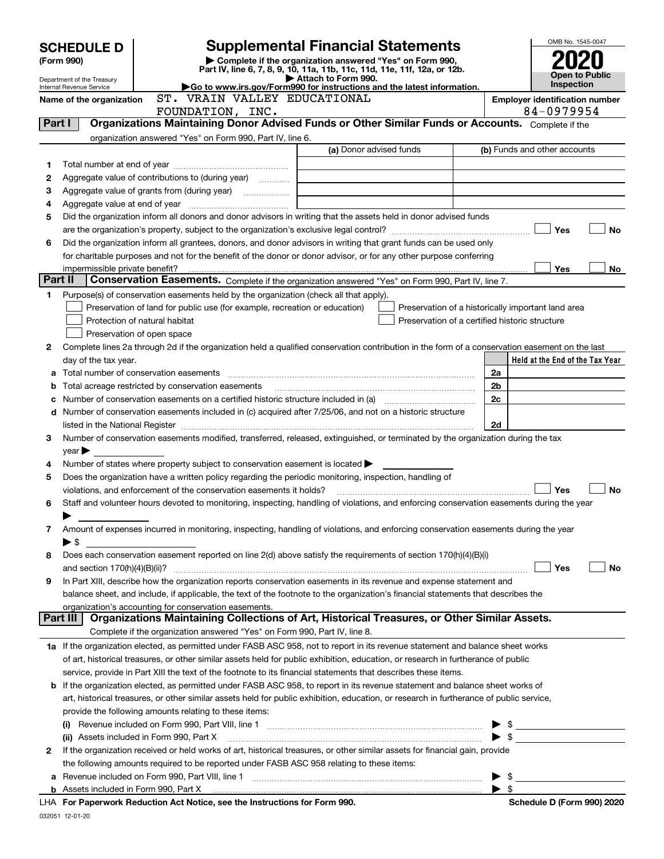|        | <b>SCHEDULE D</b>          |                                                                                                        | <b>Supplemental Financial Statements</b>                                                                                                                                                                                       |                          | OMB No. 1545-0047                                   |  |  |  |
|--------|----------------------------|--------------------------------------------------------------------------------------------------------|--------------------------------------------------------------------------------------------------------------------------------------------------------------------------------------------------------------------------------|--------------------------|-----------------------------------------------------|--|--|--|
|        | (Form 990)                 |                                                                                                        | Complete if the organization answered "Yes" on Form 990,                                                                                                                                                                       |                          |                                                     |  |  |  |
|        | Department of the Treasury |                                                                                                        | Part IV, line 6, 7, 8, 9, 10, 11a, 11b, 11c, 11d, 11e, 11f, 12a, or 12b.<br>Attach to Form 990.                                                                                                                                |                          | <b>Open to Public</b>                               |  |  |  |
|        | Internal Revenue Service   |                                                                                                        | Go to www.irs.gov/Form990 for instructions and the latest information.                                                                                                                                                         |                          | Inspection                                          |  |  |  |
|        | Name of the organization   | ST. VRAIN VALLEY EDUCATIONAL<br>FOUNDATION, INC.                                                       |                                                                                                                                                                                                                                |                          | <b>Employer identification number</b><br>84-0979954 |  |  |  |
| Part I |                            |                                                                                                        | Organizations Maintaining Donor Advised Funds or Other Similar Funds or Accounts. Complete if the                                                                                                                              |                          |                                                     |  |  |  |
|        |                            | organization answered "Yes" on Form 990, Part IV, line 6.                                              |                                                                                                                                                                                                                                |                          |                                                     |  |  |  |
|        |                            |                                                                                                        | (a) Donor advised funds                                                                                                                                                                                                        |                          | (b) Funds and other accounts                        |  |  |  |
| 1      |                            |                                                                                                        |                                                                                                                                                                                                                                |                          |                                                     |  |  |  |
| 2      |                            | Aggregate value of contributions to (during year)                                                      |                                                                                                                                                                                                                                |                          |                                                     |  |  |  |
| з      |                            |                                                                                                        |                                                                                                                                                                                                                                |                          |                                                     |  |  |  |
| 4      |                            |                                                                                                        |                                                                                                                                                                                                                                |                          |                                                     |  |  |  |
| 5      |                            |                                                                                                        | Did the organization inform all donors and donor advisors in writing that the assets held in donor advised funds                                                                                                               |                          |                                                     |  |  |  |
|        |                            |                                                                                                        |                                                                                                                                                                                                                                |                          | Yes<br><b>No</b>                                    |  |  |  |
| 6      |                            |                                                                                                        | Did the organization inform all grantees, donors, and donor advisors in writing that grant funds can be used only                                                                                                              |                          |                                                     |  |  |  |
|        |                            |                                                                                                        | for charitable purposes and not for the benefit of the donor or donor advisor, or for any other purpose conferring                                                                                                             |                          | Yes<br>No                                           |  |  |  |
|        | Part II                    |                                                                                                        | Conservation Easements. Complete if the organization answered "Yes" on Form 990, Part IV, line 7.                                                                                                                              |                          |                                                     |  |  |  |
| 1      |                            | Purpose(s) of conservation easements held by the organization (check all that apply).                  |                                                                                                                                                                                                                                |                          |                                                     |  |  |  |
|        |                            | Preservation of land for public use (for example, recreation or education)                             | Preservation of a historically important land area                                                                                                                                                                             |                          |                                                     |  |  |  |
|        |                            | Protection of natural habitat                                                                          | Preservation of a certified historic structure                                                                                                                                                                                 |                          |                                                     |  |  |  |
|        |                            | Preservation of open space                                                                             |                                                                                                                                                                                                                                |                          |                                                     |  |  |  |
| 2      |                            |                                                                                                        | Complete lines 2a through 2d if the organization held a qualified conservation contribution in the form of a conservation easement on the last                                                                                 |                          |                                                     |  |  |  |
|        | day of the tax year.       |                                                                                                        |                                                                                                                                                                                                                                |                          | Held at the End of the Tax Year                     |  |  |  |
|        |                            |                                                                                                        | Total number of conservation easements [111] matter conservation conservation of conservation easements [11] matter conservation easements [11] matter conservation easements [11] matter conservation entries in the conserva | 2a                       |                                                     |  |  |  |
|        |                            |                                                                                                        |                                                                                                                                                                                                                                | 2b                       |                                                     |  |  |  |
|        |                            |                                                                                                        | Number of conservation easements on a certified historic structure included in (a) manufacture included in (a)                                                                                                                 | 2c                       |                                                     |  |  |  |
|        |                            |                                                                                                        | d Number of conservation easements included in (c) acquired after 7/25/06, and not on a historic structure                                                                                                                     |                          |                                                     |  |  |  |
|        |                            |                                                                                                        |                                                                                                                                                                                                                                | 2d                       |                                                     |  |  |  |
| 3      | $year \blacktriangleright$ |                                                                                                        | Number of conservation easements modified, transferred, released, extinguished, or terminated by the organization during the tax                                                                                               |                          |                                                     |  |  |  |
| 4      |                            | Number of states where property subject to conservation easement is located $\blacktriangleright$      |                                                                                                                                                                                                                                |                          |                                                     |  |  |  |
| 5      |                            | Does the organization have a written policy regarding the periodic monitoring, inspection, handling of |                                                                                                                                                                                                                                |                          |                                                     |  |  |  |
|        |                            | violations, and enforcement of the conservation easements it holds?                                    |                                                                                                                                                                                                                                |                          | Yes<br><b>No</b>                                    |  |  |  |
| 6      |                            |                                                                                                        | Staff and volunteer hours devoted to monitoring, inspecting, handling of violations, and enforcing conservation easements during the year                                                                                      |                          |                                                     |  |  |  |
|        |                            |                                                                                                        |                                                                                                                                                                                                                                |                          |                                                     |  |  |  |
| 7      |                            |                                                                                                        | Amount of expenses incurred in monitoring, inspecting, handling of violations, and enforcing conservation easements during the year                                                                                            |                          |                                                     |  |  |  |
|        | $\blacktriangleright$ \$   |                                                                                                        |                                                                                                                                                                                                                                |                          |                                                     |  |  |  |
| 8      |                            |                                                                                                        | Does each conservation easement reported on line 2(d) above satisfy the requirements of section 170(h)(4)(B)(i)                                                                                                                |                          |                                                     |  |  |  |
|        |                            |                                                                                                        | In Part XIII, describe how the organization reports conservation easements in its revenue and expense statement and                                                                                                            |                          | Yes<br>No                                           |  |  |  |
| 9      |                            |                                                                                                        | balance sheet, and include, if applicable, the text of the footnote to the organization's financial statements that describes the                                                                                              |                          |                                                     |  |  |  |
|        |                            | organization's accounting for conservation easements.                                                  |                                                                                                                                                                                                                                |                          |                                                     |  |  |  |
|        | Part III                   |                                                                                                        | Organizations Maintaining Collections of Art, Historical Treasures, or Other Similar Assets.                                                                                                                                   |                          |                                                     |  |  |  |
|        |                            | Complete if the organization answered "Yes" on Form 990, Part IV, line 8.                              |                                                                                                                                                                                                                                |                          |                                                     |  |  |  |
|        |                            |                                                                                                        | 1a If the organization elected, as permitted under FASB ASC 958, not to report in its revenue statement and balance sheet works                                                                                                |                          |                                                     |  |  |  |
|        |                            |                                                                                                        | of art, historical treasures, or other similar assets held for public exhibition, education, or research in furtherance of public                                                                                              |                          |                                                     |  |  |  |
|        |                            |                                                                                                        | service, provide in Part XIII the text of the footnote to its financial statements that describes these items.                                                                                                                 |                          |                                                     |  |  |  |
|        |                            |                                                                                                        | <b>b</b> If the organization elected, as permitted under FASB ASC 958, to report in its revenue statement and balance sheet works of                                                                                           |                          |                                                     |  |  |  |
|        |                            |                                                                                                        | art, historical treasures, or other similar assets held for public exhibition, education, or research in furtherance of public service,                                                                                        |                          |                                                     |  |  |  |
|        |                            | provide the following amounts relating to these items:                                                 |                                                                                                                                                                                                                                |                          |                                                     |  |  |  |
|        |                            |                                                                                                        |                                                                                                                                                                                                                                |                          | $\triangleright$ \$                                 |  |  |  |
| 2      |                            | (ii) Assets included in Form 990, Part X                                                               | If the organization received or held works of art, historical treasures, or other similar assets for financial gain, provide                                                                                                   |                          | $\triangleright$ \$                                 |  |  |  |
|        |                            | the following amounts required to be reported under FASB ASC 958 relating to these items:              |                                                                                                                                                                                                                                |                          |                                                     |  |  |  |
| a      |                            |                                                                                                        |                                                                                                                                                                                                                                |                          | \$                                                  |  |  |  |
|        |                            |                                                                                                        |                                                                                                                                                                                                                                | $\blacktriangleright$ \$ |                                                     |  |  |  |
|        |                            | LHA For Paperwork Reduction Act Notice, see the Instructions for Form 990.                             |                                                                                                                                                                                                                                |                          | Schedule D (Form 990) 2020                          |  |  |  |

032051 12-01-20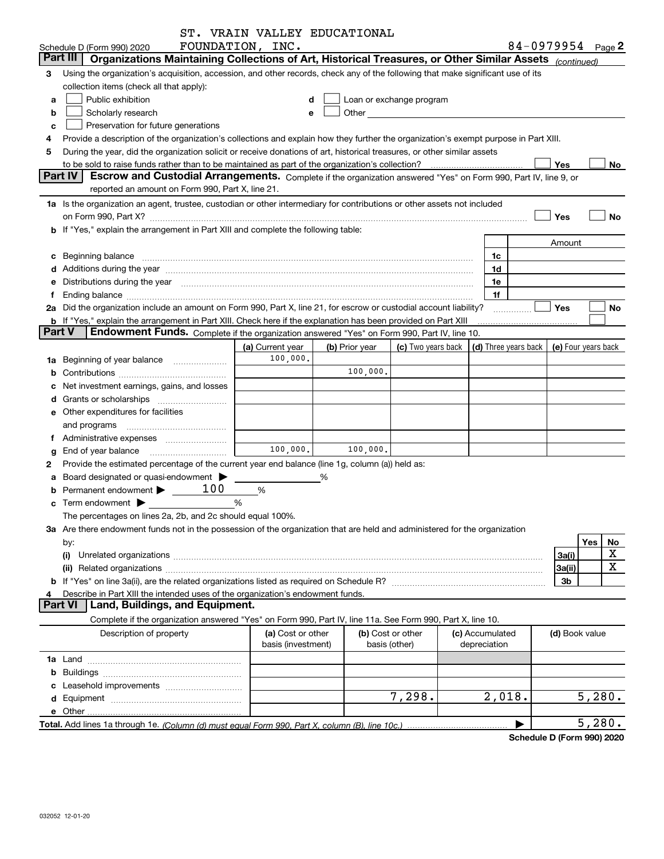|               |                                                                                                                                                                                                                                | ST. VRAIN VALLEY EDUCATIONAL            |                |                                                                                                                                                                                                                               |                                 |                                            |                   |           |
|---------------|--------------------------------------------------------------------------------------------------------------------------------------------------------------------------------------------------------------------------------|-----------------------------------------|----------------|-------------------------------------------------------------------------------------------------------------------------------------------------------------------------------------------------------------------------------|---------------------------------|--------------------------------------------|-------------------|-----------|
|               | Schedule D (Form 990) 2020                                                                                                                                                                                                     | FOUNDATION, INC.                        |                |                                                                                                                                                                                                                               |                                 |                                            | 84-0979954 Page 2 |           |
|               | Part III<br>Organizations Maintaining Collections of Art, Historical Treasures, or Other Similar Assets (continued)                                                                                                            |                                         |                |                                                                                                                                                                                                                               |                                 |                                            |                   |           |
| 3             | Using the organization's acquisition, accession, and other records, check any of the following that make significant use of its                                                                                                |                                         |                |                                                                                                                                                                                                                               |                                 |                                            |                   |           |
|               | collection items (check all that apply):                                                                                                                                                                                       |                                         |                |                                                                                                                                                                                                                               |                                 |                                            |                   |           |
| a             | Public exhibition                                                                                                                                                                                                              | d                                       |                | Loan or exchange program                                                                                                                                                                                                      |                                 |                                            |                   |           |
| b             | Scholarly research                                                                                                                                                                                                             |                                         |                | Other and the contract of the contract of the contract of the contract of the contract of the contract of the contract of the contract of the contract of the contract of the contract of the contract of the contract of the |                                 |                                            |                   |           |
| c             | Preservation for future generations                                                                                                                                                                                            |                                         |                |                                                                                                                                                                                                                               |                                 |                                            |                   |           |
|               | Provide a description of the organization's collections and explain how they further the organization's exempt purpose in Part XIII.                                                                                           |                                         |                |                                                                                                                                                                                                                               |                                 |                                            |                   |           |
| 5             | During the year, did the organization solicit or receive donations of art, historical treasures, or other similar assets                                                                                                       |                                         |                |                                                                                                                                                                                                                               |                                 |                                            |                   |           |
|               |                                                                                                                                                                                                                                |                                         |                |                                                                                                                                                                                                                               |                                 |                                            | Yes               | No        |
|               | <b>Part IV</b><br>Escrow and Custodial Arrangements. Complete if the organization answered "Yes" on Form 990, Part IV, line 9, or                                                                                              |                                         |                |                                                                                                                                                                                                                               |                                 |                                            |                   |           |
|               | reported an amount on Form 990, Part X, line 21.                                                                                                                                                                               |                                         |                |                                                                                                                                                                                                                               |                                 |                                            |                   |           |
|               | 1a Is the organization an agent, trustee, custodian or other intermediary for contributions or other assets not included                                                                                                       |                                         |                |                                                                                                                                                                                                                               |                                 |                                            |                   |           |
|               | on Form 990, Part X? [11] matter contracts and contracts and contracts are contracted as a form 990, Part X?                                                                                                                   |                                         |                |                                                                                                                                                                                                                               |                                 |                                            | Yes               | No        |
|               | b If "Yes," explain the arrangement in Part XIII and complete the following table:                                                                                                                                             |                                         |                |                                                                                                                                                                                                                               |                                 |                                            |                   |           |
|               |                                                                                                                                                                                                                                |                                         |                |                                                                                                                                                                                                                               |                                 |                                            | Amount            |           |
|               | c Beginning balance measurements and the contract of the contract of the contract of the contract of the contract of the contract of the contract of the contract of the contract of the contract of the contract of the contr |                                         |                |                                                                                                                                                                                                                               |                                 | 1c                                         |                   |           |
|               |                                                                                                                                                                                                                                |                                         |                |                                                                                                                                                                                                                               |                                 | 1d                                         |                   |           |
| е             | Distributions during the year manufactured and an according to the state of the state of the state of the state of the state of the state of the state of the state of the state of the state of the state of the state of the |                                         |                |                                                                                                                                                                                                                               |                                 | 1e                                         |                   |           |
| f             |                                                                                                                                                                                                                                |                                         |                |                                                                                                                                                                                                                               |                                 | 1f                                         |                   |           |
|               | 2a Did the organization include an amount on Form 990, Part X, line 21, for escrow or custodial account liability?                                                                                                             |                                         |                |                                                                                                                                                                                                                               |                                 | .                                          | Yes               | No        |
|               | <b>b</b> If "Yes," explain the arrangement in Part XIII. Check here if the explanation has been provided on Part XIII                                                                                                          |                                         |                |                                                                                                                                                                                                                               |                                 |                                            |                   |           |
| <b>Part V</b> | Endowment Funds. Complete if the organization answered "Yes" on Form 990, Part IV, line 10.                                                                                                                                    |                                         |                |                                                                                                                                                                                                                               |                                 |                                            |                   |           |
|               |                                                                                                                                                                                                                                | (a) Current year                        | (b) Prior year | (c) Two years back                                                                                                                                                                                                            |                                 | (d) Three years back   (e) Four years back |                   |           |
|               | 1a Beginning of year balance                                                                                                                                                                                                   | 100,000.                                |                |                                                                                                                                                                                                                               |                                 |                                            |                   |           |
| b             |                                                                                                                                                                                                                                |                                         | 100,000.       |                                                                                                                                                                                                                               |                                 |                                            |                   |           |
|               | Net investment earnings, gains, and losses                                                                                                                                                                                     |                                         |                |                                                                                                                                                                                                                               |                                 |                                            |                   |           |
|               | d Grants or scholarships <i></i>                                                                                                                                                                                               |                                         |                |                                                                                                                                                                                                                               |                                 |                                            |                   |           |
|               | e Other expenditures for facilities                                                                                                                                                                                            |                                         |                |                                                                                                                                                                                                                               |                                 |                                            |                   |           |
|               |                                                                                                                                                                                                                                |                                         |                |                                                                                                                                                                                                                               |                                 |                                            |                   |           |
|               | f Administrative expenses <i></i>                                                                                                                                                                                              |                                         |                |                                                                                                                                                                                                                               |                                 |                                            |                   |           |
| g             | End of year balance <i>manually contained</i>                                                                                                                                                                                  | 100,000.                                | 100,000.       |                                                                                                                                                                                                                               |                                 |                                            |                   |           |
| 2             | Provide the estimated percentage of the current year end balance (line 1g, column (a)) held as:                                                                                                                                |                                         |                |                                                                                                                                                                                                                               |                                 |                                            |                   |           |
| а             | Board designated or quasi-endowment >                                                                                                                                                                                          |                                         | %              |                                                                                                                                                                                                                               |                                 |                                            |                   |           |
|               | Permanent endowment $\blacktriangleright$ _____ 100                                                                                                                                                                            | %                                       |                |                                                                                                                                                                                                                               |                                 |                                            |                   |           |
|               | $\mathbf c$ Term endowment $\blacktriangleright$                                                                                                                                                                               | %                                       |                |                                                                                                                                                                                                                               |                                 |                                            |                   |           |
|               | The percentages on lines 2a, 2b, and 2c should equal 100%.                                                                                                                                                                     |                                         |                |                                                                                                                                                                                                                               |                                 |                                            |                   |           |
|               | 3a Are there endowment funds not in the possession of the organization that are held and administered for the organization                                                                                                     |                                         |                |                                                                                                                                                                                                                               |                                 |                                            |                   |           |
|               | by:                                                                                                                                                                                                                            |                                         |                |                                                                                                                                                                                                                               |                                 |                                            |                   | Yes<br>No |
|               | (i)                                                                                                                                                                                                                            |                                         |                |                                                                                                                                                                                                                               |                                 |                                            | 3a(i)             | X         |
|               |                                                                                                                                                                                                                                |                                         |                |                                                                                                                                                                                                                               |                                 |                                            | 3a(ii)            | X         |
|               |                                                                                                                                                                                                                                |                                         |                |                                                                                                                                                                                                                               |                                 |                                            | 3b                |           |
| 4             | Describe in Part XIII the intended uses of the organization's endowment funds.                                                                                                                                                 |                                         |                |                                                                                                                                                                                                                               |                                 |                                            |                   |           |
|               | <b>Part VI</b><br>Land, Buildings, and Equipment.                                                                                                                                                                              |                                         |                |                                                                                                                                                                                                                               |                                 |                                            |                   |           |
|               | Complete if the organization answered "Yes" on Form 990, Part IV, line 11a. See Form 990, Part X, line 10.                                                                                                                     |                                         |                |                                                                                                                                                                                                                               |                                 |                                            |                   |           |
|               | Description of property                                                                                                                                                                                                        | (a) Cost or other<br>basis (investment) |                | (b) Cost or other<br>basis (other)                                                                                                                                                                                            | (c) Accumulated<br>depreciation |                                            | (d) Book value    |           |
|               |                                                                                                                                                                                                                                |                                         |                |                                                                                                                                                                                                                               |                                 |                                            |                   |           |
|               |                                                                                                                                                                                                                                |                                         |                |                                                                                                                                                                                                                               |                                 |                                            |                   |           |
|               |                                                                                                                                                                                                                                |                                         |                |                                                                                                                                                                                                                               |                                 |                                            |                   |           |
|               |                                                                                                                                                                                                                                |                                         |                | 7,298.                                                                                                                                                                                                                        |                                 | 2,018.                                     |                   | 5,280.    |
|               |                                                                                                                                                                                                                                |                                         |                |                                                                                                                                                                                                                               |                                 |                                            |                   |           |
|               |                                                                                                                                                                                                                                |                                         |                |                                                                                                                                                                                                                               |                                 |                                            |                   | 5,280.    |
|               |                                                                                                                                                                                                                                |                                         |                |                                                                                                                                                                                                                               |                                 |                                            |                   |           |

**Schedule D (Form 990) 2020**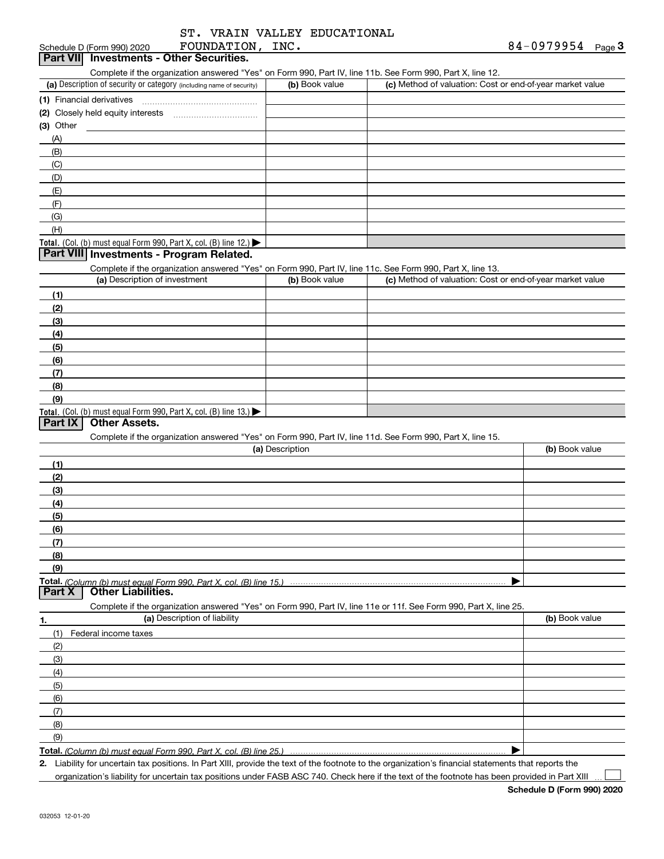|  | ST. VRAIN VALLEY EDUCATIONAL |
|--|------------------------------|
|  |                              |

|             | Schedule D (Form 990) 2020    | FOUNDATION, INC.                                                                       |                 |                                                                                                                   | 84-0979954<br>Page <sup>3</sup> |
|-------------|-------------------------------|----------------------------------------------------------------------------------------|-----------------|-------------------------------------------------------------------------------------------------------------------|---------------------------------|
|             |                               | Part VII Investments - Other Securities.                                               |                 |                                                                                                                   |                                 |
|             |                               |                                                                                        |                 | Complete if the organization answered "Yes" on Form 990, Part IV, line 11b. See Form 990, Part X, line 12.        |                                 |
|             |                               | (a) Description of security or category (including name of security)                   | (b) Book value  | (c) Method of valuation: Cost or end-of-year market value                                                         |                                 |
|             |                               |                                                                                        |                 |                                                                                                                   |                                 |
|             |                               |                                                                                        |                 |                                                                                                                   |                                 |
| $(3)$ Other |                               |                                                                                        |                 |                                                                                                                   |                                 |
| (A)         |                               |                                                                                        |                 |                                                                                                                   |                                 |
| (B)         |                               |                                                                                        |                 |                                                                                                                   |                                 |
| (C)<br>(D)  |                               |                                                                                        |                 |                                                                                                                   |                                 |
| (E)         |                               |                                                                                        |                 |                                                                                                                   |                                 |
| (F)         |                               |                                                                                        |                 |                                                                                                                   |                                 |
| (G)         |                               |                                                                                        |                 |                                                                                                                   |                                 |
| (H)         |                               |                                                                                        |                 |                                                                                                                   |                                 |
|             |                               | Total. (Col. (b) must equal Form 990, Part X, col. (B) line 12.) $\blacktriangleright$ |                 |                                                                                                                   |                                 |
|             |                               | Part VIII Investments - Program Related.                                               |                 |                                                                                                                   |                                 |
|             |                               |                                                                                        |                 | Complete if the organization answered "Yes" on Form 990, Part IV, line 11c. See Form 990, Part X, line 13.        |                                 |
|             | (a) Description of investment |                                                                                        | (b) Book value  | (c) Method of valuation: Cost or end-of-year market value                                                         |                                 |
| (1)         |                               |                                                                                        |                 |                                                                                                                   |                                 |
| (2)         |                               |                                                                                        |                 |                                                                                                                   |                                 |
| (3)         |                               |                                                                                        |                 |                                                                                                                   |                                 |
| (4)         |                               |                                                                                        |                 |                                                                                                                   |                                 |
| (5)         |                               |                                                                                        |                 |                                                                                                                   |                                 |
| (6)         |                               |                                                                                        |                 |                                                                                                                   |                                 |
| (7)         |                               |                                                                                        |                 |                                                                                                                   |                                 |
| (8)         |                               |                                                                                        |                 |                                                                                                                   |                                 |
| (9)         |                               |                                                                                        |                 |                                                                                                                   |                                 |
|             |                               | Total. (Col. (b) must equal Form 990, Part X, col. (B) line $13.$ )                    |                 |                                                                                                                   |                                 |
| Part IX     | <b>Other Assets.</b>          |                                                                                        |                 |                                                                                                                   |                                 |
|             |                               |                                                                                        |                 | Complete if the organization answered "Yes" on Form 990, Part IV, line 11d. See Form 990, Part X, line 15.        |                                 |
|             |                               |                                                                                        | (a) Description |                                                                                                                   | (b) Book value                  |
| (1)         |                               |                                                                                        |                 |                                                                                                                   |                                 |
| (2)         |                               |                                                                                        |                 |                                                                                                                   |                                 |
| (3)         |                               |                                                                                        |                 |                                                                                                                   |                                 |
| (4)         |                               |                                                                                        |                 |                                                                                                                   |                                 |
| (5)         |                               |                                                                                        |                 |                                                                                                                   |                                 |
| (6)         |                               |                                                                                        |                 |                                                                                                                   |                                 |
| (7)<br>(8)  |                               |                                                                                        |                 |                                                                                                                   |                                 |
| (9)         |                               |                                                                                        |                 |                                                                                                                   |                                 |
|             |                               | Total. (Column (b) must equal Form 990. Part X, col. (B) line 15.)                     |                 |                                                                                                                   |                                 |
| Part X      | <b>Other Liabilities.</b>     |                                                                                        |                 |                                                                                                                   |                                 |
|             |                               |                                                                                        |                 | Complete if the organization answered "Yes" on Form 990, Part IV, line 11e or 11f. See Form 990, Part X, line 25. |                                 |
| 1.          |                               | (a) Description of liability                                                           |                 |                                                                                                                   | (b) Book value                  |
| (1)         | Federal income taxes          |                                                                                        |                 |                                                                                                                   |                                 |
| (2)         |                               |                                                                                        |                 |                                                                                                                   |                                 |
| (3)         |                               |                                                                                        |                 |                                                                                                                   |                                 |
| (4)         |                               |                                                                                        |                 |                                                                                                                   |                                 |
| (5)         |                               |                                                                                        |                 |                                                                                                                   |                                 |
| (6)         |                               |                                                                                        |                 |                                                                                                                   |                                 |
| (7)         |                               |                                                                                        |                 |                                                                                                                   |                                 |
| (8)         |                               |                                                                                        |                 |                                                                                                                   |                                 |
| (9)         |                               |                                                                                        |                 |                                                                                                                   |                                 |
|             |                               |                                                                                        |                 |                                                                                                                   |                                 |

**Total.**  *(Column (b) must equal Form 990, Part X, col. (B) line 25.)*

**2.** Liability for uncertain tax positions. In Part XIII, provide the text of the footnote to the organization's financial statements that reports the organization's liability for uncertain tax positions under FASB ASC 740. Check here if the text of the footnote has been provided in Part XIII

 $\mathcal{L}^{\text{max}}$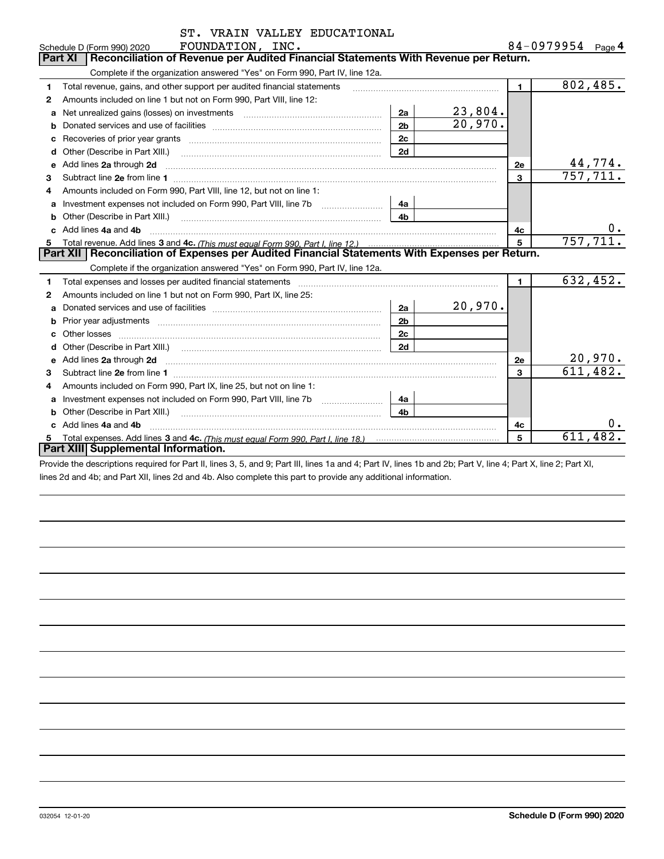|   | ST. VRAIN VALLEY EDUCATIONAL                                                                                                                                                                                                        |                |         |                         |                   |                        |
|---|-------------------------------------------------------------------------------------------------------------------------------------------------------------------------------------------------------------------------------------|----------------|---------|-------------------------|-------------------|------------------------|
|   | FOUNDATION, INC.<br>Schedule D (Form 990) 2020                                                                                                                                                                                      |                |         |                         | 84-0979954 Page 4 |                        |
|   | Reconciliation of Revenue per Audited Financial Statements With Revenue per Return.<br><b>Part XI</b>                                                                                                                               |                |         |                         |                   |                        |
|   | Complete if the organization answered "Yes" on Form 990, Part IV, line 12a.                                                                                                                                                         |                |         |                         |                   |                        |
| 1 | Total revenue, gains, and other support per audited financial statements                                                                                                                                                            |                |         | $\mathbf{1}$            |                   | $\sqrt{802}$ , 485.    |
| 2 | Amounts included on line 1 but not on Form 990, Part VIII, line 12:                                                                                                                                                                 |                |         |                         |                   |                        |
| a | Net unrealized gains (losses) on investments [111] [12] matter and all the values of the values of the values                                                                                                                       | 2a             | 23,804. |                         |                   |                        |
| b |                                                                                                                                                                                                                                     | 2 <sub>b</sub> | 20,970. |                         |                   |                        |
| с | Recoveries of prior year grants [111] [12] matter contracts and prior year grants [11] matter contracts and a contract of the contracts of prior year grants [11] matter contracts and a contract of the contracts of the cont      | 2c             |         |                         |                   |                        |
| d | Other (Describe in Part XIII.) <b>Construction Contract Construction</b> Chemistry Chemistry Chemistry Chemistry Chemistry                                                                                                          | 2d             |         |                         |                   |                        |
|   | e Add lines 2a through 2d <b>contract and all anomination</b> and all and all anomalism and all anomalism and all anomalism and all anomalism and all anomalism and all anomalism and all anomalism and all anomalism and all anoma |                |         | 2e                      |                   | 44,774.                |
| 3 |                                                                                                                                                                                                                                     |                |         | $\overline{\mathbf{3}}$ |                   | 757, 711.              |
| 4 | Amounts included on Form 990, Part VIII, line 12, but not on line 1:                                                                                                                                                                |                |         |                         |                   |                        |
| a |                                                                                                                                                                                                                                     | 4a             |         |                         |                   |                        |
|   | <b>b</b> Other (Describe in Part XIII.)                                                                                                                                                                                             | 4 <sub>b</sub> |         |                         |                   |                        |
|   | c Add lines 4a and 4b                                                                                                                                                                                                               |                |         | 4с                      |                   |                        |
|   |                                                                                                                                                                                                                                     |                |         | 5                       |                   | 757, 711.              |
|   | Part XII   Reconciliation of Expenses per Audited Financial Statements With Expenses per Return.                                                                                                                                    |                |         |                         |                   |                        |
|   | Complete if the organization answered "Yes" on Form 990, Part IV, line 12a.                                                                                                                                                         |                |         |                         |                   |                        |
| 1 |                                                                                                                                                                                                                                     |                |         | $\blacksquare$          |                   | 632,452.               |
| 2 | Amounts included on line 1 but not on Form 990, Part IX, line 25:                                                                                                                                                                   |                |         |                         |                   |                        |
| a |                                                                                                                                                                                                                                     | 2a             | 20,970. |                         |                   |                        |
| b |                                                                                                                                                                                                                                     | 2 <sub>b</sub> |         |                         |                   |                        |
| c |                                                                                                                                                                                                                                     | 2c             |         |                         |                   |                        |
|   |                                                                                                                                                                                                                                     | 2d             |         |                         |                   |                        |
|   | Add lines 2a through 2d                                                                                                                                                                                                             |                |         | <b>2e</b>               |                   | <u>20,970.</u>         |
| з |                                                                                                                                                                                                                                     |                |         | 3                       |                   | 611, 482.              |
| 4 | Amounts included on Form 990, Part IX, line 25, but not on line 1:                                                                                                                                                                  |                |         |                         |                   |                        |
| a | Investment expenses not included on Form 990, Part VIII, line 7b [11, 111, 111, 111]                                                                                                                                                | 4a             |         |                         |                   |                        |
| b | Other (Describe in Part XIII.)                                                                                                                                                                                                      | 4 <sub>b</sub> |         |                         |                   |                        |
|   | Add lines 4a and 4b                                                                                                                                                                                                                 |                |         | 4с                      |                   | 0.                     |
| 5 |                                                                                                                                                                                                                                     |                |         | 5                       |                   | $61\overline{1,482}$ . |
|   | Part XIII Supplemental Information.                                                                                                                                                                                                 |                |         |                         |                   |                        |
|   | Donald the descriptions of outsided Dark H. Rese O. E. and O. Dark H. Rese do and A. Dark N. Rese dh. and Oh, Dark V. Res. 4: Dark V. Res. O. Dark V.                                                                               |                |         |                         |                   |                        |

Provide the descriptions required for Part II, lines 3, 5, and 9; Part III, lines 1a and 4; Part IV, lines 1b and 2b; Part V, line 4; Part X, line 2; Part XI, lines 2d and 4b; and Part XII, lines 2d and 4b. Also complete this part to provide any additional information.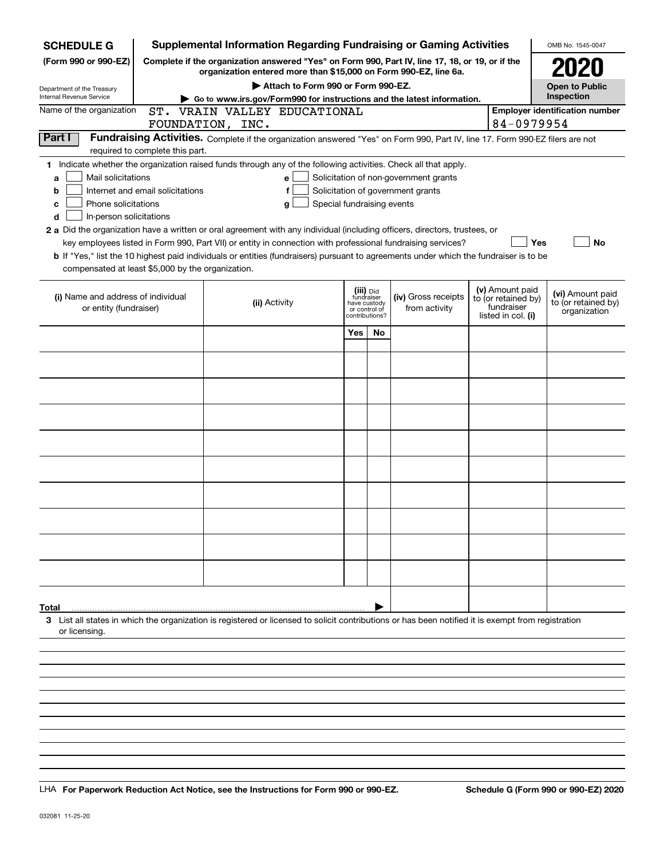| <b>SCHEDULE G</b>                                                                        |                                  | <b>Supplemental Information Regarding Fundraising or Gaming Activities</b>                                                                                                                                                                                                                                                                                                                                |                                                                            |           |                                                                            |                                                                            | OMB No. 1545-0047                                       |
|------------------------------------------------------------------------------------------|----------------------------------|-----------------------------------------------------------------------------------------------------------------------------------------------------------------------------------------------------------------------------------------------------------------------------------------------------------------------------------------------------------------------------------------------------------|----------------------------------------------------------------------------|-----------|----------------------------------------------------------------------------|----------------------------------------------------------------------------|---------------------------------------------------------|
| (Form 990 or 990-EZ)                                                                     |                                  | Complete if the organization answered "Yes" on Form 990, Part IV, line 17, 18, or 19, or if the<br>organization entered more than \$15,000 on Form 990-EZ, line 6a.                                                                                                                                                                                                                                       |                                                                            |           |                                                                            |                                                                            |                                                         |
| Department of the Treasury<br>Internal Revenue Service                                   |                                  | Attach to Form 990 or Form 990-EZ.                                                                                                                                                                                                                                                                                                                                                                        |                                                                            |           |                                                                            |                                                                            | <b>Open to Public</b><br>Inspection                     |
| Name of the organization                                                                 |                                  | Go to www.irs.gov/Form990 for instructions and the latest information.<br>ST. VRAIN VALLEY EDUCATIONAL                                                                                                                                                                                                                                                                                                    |                                                                            |           |                                                                            |                                                                            | <b>Employer identification number</b>                   |
|                                                                                          |                                  | FOUNDATION, INC.                                                                                                                                                                                                                                                                                                                                                                                          |                                                                            |           |                                                                            | 84-0979954                                                                 |                                                         |
| Part I                                                                                   | required to complete this part.  | Fundraising Activities. Complete if the organization answered "Yes" on Form 990, Part IV, line 17. Form 990-EZ filers are not                                                                                                                                                                                                                                                                             |                                                                            |           |                                                                            |                                                                            |                                                         |
| Mail solicitations<br>a<br>b<br>Phone solicitations<br>c<br>In-person solicitations<br>d | Internet and email solicitations | 1 Indicate whether the organization raised funds through any of the following activities. Check all that apply.<br>е<br>f<br>Special fundraising events<br>g<br>2 a Did the organization have a written or oral agreement with any individual (including officers, directors, trustees, or<br>key employees listed in Form 990, Part VII) or entity in connection with professional fundraising services? |                                                                            |           | Solicitation of non-government grants<br>Solicitation of government grants | <b>Yes</b>                                                                 | <b>No</b>                                               |
| compensated at least \$5,000 by the organization.                                        |                                  | b If "Yes," list the 10 highest paid individuals or entities (fundraisers) pursuant to agreements under which the fundraiser is to be                                                                                                                                                                                                                                                                     |                                                                            |           |                                                                            |                                                                            |                                                         |
| (i) Name and address of individual<br>or entity (fundraiser)                             |                                  | (ii) Activity                                                                                                                                                                                                                                                                                                                                                                                             | (iii) Did<br>fundraiser<br>have custody<br>or control of<br>contributions? |           | (iv) Gross receipts<br>from activity                                       | (v) Amount paid<br>to (or retained by)<br>fundraiser<br>listed in col. (i) | (vi) Amount paid<br>to (or retained by)<br>organization |
|                                                                                          |                                  |                                                                                                                                                                                                                                                                                                                                                                                                           | Yes                                                                        | <b>No</b> |                                                                            |                                                                            |                                                         |
|                                                                                          |                                  |                                                                                                                                                                                                                                                                                                                                                                                                           |                                                                            |           |                                                                            |                                                                            |                                                         |
|                                                                                          |                                  |                                                                                                                                                                                                                                                                                                                                                                                                           |                                                                            |           |                                                                            |                                                                            |                                                         |
|                                                                                          |                                  |                                                                                                                                                                                                                                                                                                                                                                                                           |                                                                            |           |                                                                            |                                                                            |                                                         |
|                                                                                          |                                  |                                                                                                                                                                                                                                                                                                                                                                                                           |                                                                            |           |                                                                            |                                                                            |                                                         |
|                                                                                          |                                  |                                                                                                                                                                                                                                                                                                                                                                                                           |                                                                            |           |                                                                            |                                                                            |                                                         |
|                                                                                          |                                  |                                                                                                                                                                                                                                                                                                                                                                                                           |                                                                            |           |                                                                            |                                                                            |                                                         |
|                                                                                          |                                  |                                                                                                                                                                                                                                                                                                                                                                                                           |                                                                            |           |                                                                            |                                                                            |                                                         |
|                                                                                          |                                  |                                                                                                                                                                                                                                                                                                                                                                                                           |                                                                            |           |                                                                            |                                                                            |                                                         |
|                                                                                          |                                  |                                                                                                                                                                                                                                                                                                                                                                                                           |                                                                            |           |                                                                            |                                                                            |                                                         |
|                                                                                          |                                  |                                                                                                                                                                                                                                                                                                                                                                                                           |                                                                            |           |                                                                            |                                                                            |                                                         |
| Total<br>or licensing.                                                                   |                                  | 3 List all states in which the organization is registered or licensed to solicit contributions or has been notified it is exempt from registration                                                                                                                                                                                                                                                        |                                                                            |           |                                                                            |                                                                            |                                                         |
|                                                                                          |                                  |                                                                                                                                                                                                                                                                                                                                                                                                           |                                                                            |           |                                                                            |                                                                            |                                                         |
|                                                                                          |                                  |                                                                                                                                                                                                                                                                                                                                                                                                           |                                                                            |           |                                                                            |                                                                            |                                                         |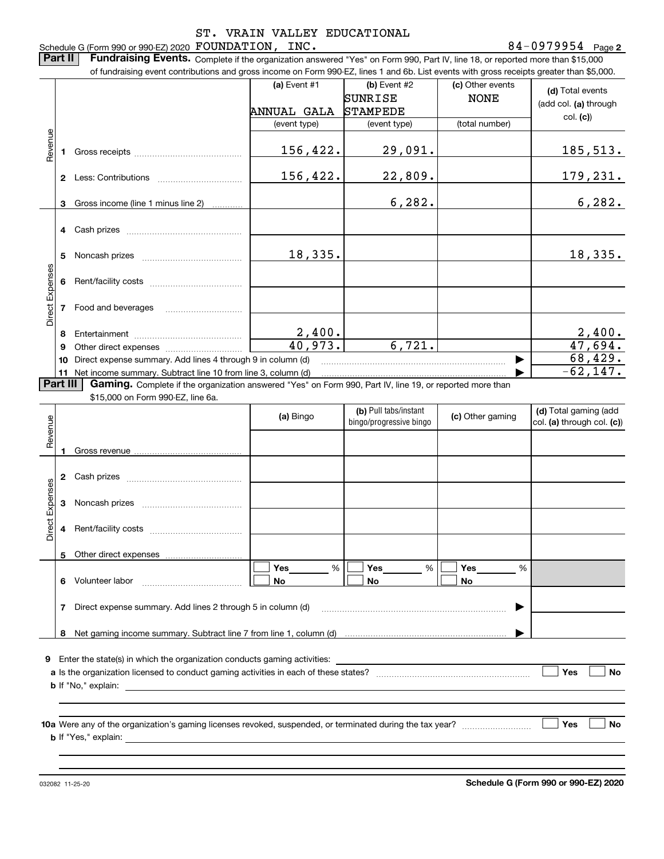**2** Schedule G (Form 990 or 990-EZ) 2020 Page FOUNDATION, INC. 84-0979954

**Part II** | Fundraising Events. Complete if the organization answered "Yes" on Form 990, Part IV, line 18, or reported more than \$15,000

|                 |          | of fundraising event contributions and gross income on Form 990-EZ, lines 1 and 6b. List events with gross receipts greater than \$5,000.                                   |                        |                                                  |                  |                                                     |
|-----------------|----------|-----------------------------------------------------------------------------------------------------------------------------------------------------------------------------|------------------------|--------------------------------------------------|------------------|-----------------------------------------------------|
|                 |          |                                                                                                                                                                             | (a) Event #1           | (b) Event #2                                     | (c) Other events | (d) Total events                                    |
|                 |          |                                                                                                                                                                             |                        | SUNRISE                                          | <b>NONE</b>      | (add col. (a) through                               |
|                 |          |                                                                                                                                                                             | ANNUAL GALA            | <b>STAMPEDE</b>                                  |                  |                                                     |
|                 |          |                                                                                                                                                                             | (event type)           | (event type)                                     | (total number)   | col. (c)                                            |
|                 |          |                                                                                                                                                                             |                        |                                                  |                  |                                                     |
| Revenue         |          |                                                                                                                                                                             | 156,422.               | 29,091.                                          |                  | <u>185,513.</u>                                     |
|                 |          |                                                                                                                                                                             |                        |                                                  |                  |                                                     |
|                 |          |                                                                                                                                                                             | 156,422.               | 22,809.                                          |                  | <u>179,231.</u>                                     |
|                 |          |                                                                                                                                                                             |                        |                                                  |                  |                                                     |
|                 | 3        | Gross income (line 1 minus line 2)<br>1.1.1.1.1.1.1.1.1                                                                                                                     |                        | 6, 282.                                          |                  | 6, 282.                                             |
|                 |          |                                                                                                                                                                             |                        |                                                  |                  |                                                     |
|                 |          |                                                                                                                                                                             |                        |                                                  |                  |                                                     |
|                 |          |                                                                                                                                                                             |                        |                                                  |                  |                                                     |
|                 | 5        |                                                                                                                                                                             | 18,335.                |                                                  |                  | 18,335.                                             |
|                 |          |                                                                                                                                                                             |                        |                                                  |                  |                                                     |
| Direct Expenses |          |                                                                                                                                                                             |                        |                                                  |                  |                                                     |
|                 |          |                                                                                                                                                                             |                        |                                                  |                  |                                                     |
|                 |          |                                                                                                                                                                             |                        |                                                  |                  |                                                     |
|                 |          | 7 Food and beverages                                                                                                                                                        |                        |                                                  |                  |                                                     |
|                 |          |                                                                                                                                                                             |                        |                                                  |                  |                                                     |
|                 | 8        |                                                                                                                                                                             | $\frac{2,400}{40,973}$ | 6,721.                                           |                  | $\frac{2,400}{47,694}$ .                            |
|                 | 9        |                                                                                                                                                                             |                        |                                                  |                  | 68,429.                                             |
|                 | 10       | Direct expense summary. Add lines 4 through 9 in column (d)                                                                                                                 |                        |                                                  |                  | $-62,147.$                                          |
|                 | Part III | 11 Net income summary. Subtract line 10 from line 3, column (d)<br>Gaming. Complete if the organization answered "Yes" on Form 990, Part IV, line 19, or reported more than |                        |                                                  |                  |                                                     |
|                 |          | \$15,000 on Form 990-EZ, line 6a.                                                                                                                                           |                        |                                                  |                  |                                                     |
|                 |          |                                                                                                                                                                             |                        |                                                  |                  |                                                     |
|                 |          |                                                                                                                                                                             | (a) Bingo              | (b) Pull tabs/instant<br>bingo/progressive bingo | (c) Other gaming | (d) Total gaming (add<br>col. (a) through col. (c)) |
| Revenue         |          |                                                                                                                                                                             |                        |                                                  |                  |                                                     |
|                 |          |                                                                                                                                                                             |                        |                                                  |                  |                                                     |
|                 |          |                                                                                                                                                                             |                        |                                                  |                  |                                                     |
|                 |          |                                                                                                                                                                             |                        |                                                  |                  |                                                     |
|                 |          |                                                                                                                                                                             |                        |                                                  |                  |                                                     |
| Expenses        |          |                                                                                                                                                                             |                        |                                                  |                  |                                                     |
|                 |          |                                                                                                                                                                             |                        |                                                  |                  |                                                     |
|                 |          |                                                                                                                                                                             |                        |                                                  |                  |                                                     |
| <b>Direct</b>   |          |                                                                                                                                                                             |                        |                                                  |                  |                                                     |
|                 |          |                                                                                                                                                                             |                        |                                                  |                  |                                                     |
|                 |          | 5 Other direct expenses                                                                                                                                                     |                        |                                                  |                  |                                                     |
|                 |          |                                                                                                                                                                             | $\%$<br>Yes            | %<br>Yes                                         | Yes<br>%         |                                                     |
|                 |          | 6 Volunteer labor                                                                                                                                                           | No                     | No                                               | No               |                                                     |
|                 |          |                                                                                                                                                                             |                        |                                                  |                  |                                                     |
|                 | 7        | Direct expense summary. Add lines 2 through 5 in column (d)                                                                                                                 |                        |                                                  |                  |                                                     |
|                 |          |                                                                                                                                                                             |                        |                                                  |                  |                                                     |
|                 |          |                                                                                                                                                                             |                        |                                                  |                  |                                                     |
|                 |          |                                                                                                                                                                             |                        |                                                  |                  |                                                     |
| 9               |          | Enter the state(s) in which the organization conducts gaming activities:                                                                                                    |                        |                                                  |                  |                                                     |
|                 |          |                                                                                                                                                                             |                        |                                                  |                  | Yes<br>No                                           |
|                 |          | <b>b</b> If "No," explain: $\qquad \qquad$                                                                                                                                  |                        |                                                  |                  |                                                     |
|                 |          |                                                                                                                                                                             |                        |                                                  |                  |                                                     |
|                 |          |                                                                                                                                                                             |                        |                                                  |                  |                                                     |
|                 |          |                                                                                                                                                                             |                        |                                                  |                  | Yes<br>No                                           |
|                 |          |                                                                                                                                                                             |                        |                                                  |                  |                                                     |
|                 |          |                                                                                                                                                                             |                        |                                                  |                  |                                                     |
|                 |          |                                                                                                                                                                             |                        |                                                  |                  |                                                     |

032082 11-25-20

**Schedule G (Form 990 or 990-EZ) 2020**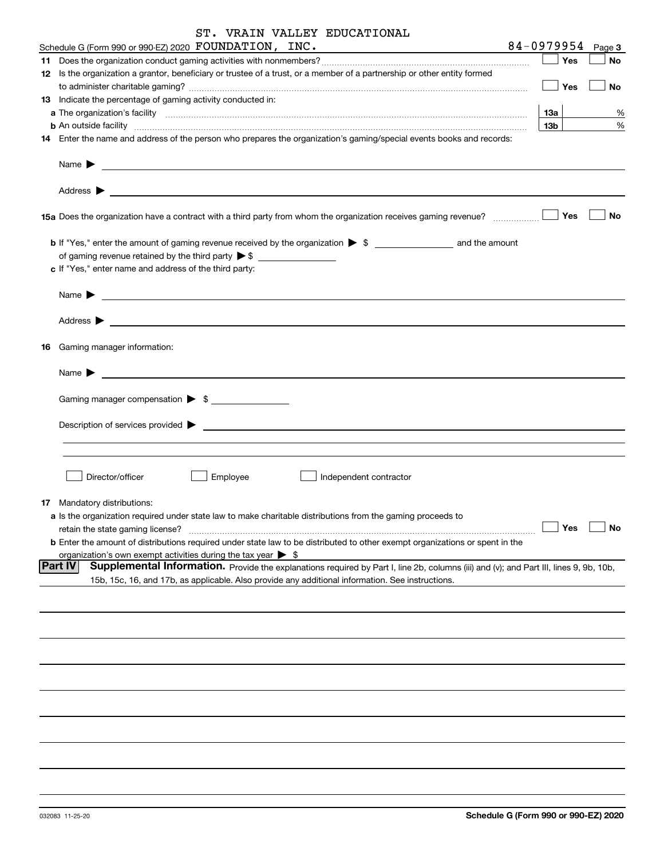|  |  |  |  | ST. VRAIN VALLEY EDUCATIONAL |
|--|--|--|--|------------------------------|
|--|--|--|--|------------------------------|

| Schedule G (Form 990 or 990-EZ) 2020 FOUNDATION, INC.                                                                                                                                                                                      |                 | $84 - 0979954$ Page 3    |
|--------------------------------------------------------------------------------------------------------------------------------------------------------------------------------------------------------------------------------------------|-----------------|--------------------------|
|                                                                                                                                                                                                                                            | Yes             | No                       |
| 12 Is the organization a grantor, beneficiary or trustee of a trust, or a member of a partnership or other entity formed                                                                                                                   |                 |                          |
|                                                                                                                                                                                                                                            | Yes             | No                       |
| 13 Indicate the percentage of gaming activity conducted in:                                                                                                                                                                                |                 |                          |
|                                                                                                                                                                                                                                            | 13a             | %                        |
| <b>b</b> An outside facility <b>contained a contract and a contract of the contract of the contract of the contract of the contract of the contract of the contract of the contract of the contract of the contract of the contract o</b>  | 13 <sub>b</sub> | $\%$                     |
| 14 Enter the name and address of the person who prepares the organization's gaming/special events books and records:                                                                                                                       |                 |                          |
| Name $\sum_{n=1}^{\infty}$                                                                                                                                                                                                                 |                 |                          |
|                                                                                                                                                                                                                                            |                 |                          |
|                                                                                                                                                                                                                                            | Yes             | No                       |
|                                                                                                                                                                                                                                            |                 |                          |
| c If "Yes," enter name and address of the third party:                                                                                                                                                                                     |                 |                          |
| Name $\blacktriangleright$ $\lrcorner$                                                                                                                                                                                                     |                 |                          |
|                                                                                                                                                                                                                                            |                 |                          |
| <b>16</b> Gaming manager information:                                                                                                                                                                                                      |                 |                          |
|                                                                                                                                                                                                                                            |                 |                          |
| Gaming manager compensation > \$                                                                                                                                                                                                           |                 |                          |
|                                                                                                                                                                                                                                            |                 |                          |
|                                                                                                                                                                                                                                            |                 |                          |
|                                                                                                                                                                                                                                            |                 |                          |
| Director/officer<br>Employee<br>Independent contractor                                                                                                                                                                                     |                 |                          |
| 17 Mandatory distributions:                                                                                                                                                                                                                |                 |                          |
| a Is the organization required under state law to make charitable distributions from the gaming proceeds to                                                                                                                                |                 |                          |
| retain the state gaming license?                                                                                                                                                                                                           | $\Box$ Yes      | $\boxed{\phantom{1}}$ No |
| <b>b</b> Enter the amount of distributions required under state law to be distributed to other exempt organizations or spent in the                                                                                                        |                 |                          |
| organization's own exempt activities during the tax year $\triangleright$ \$<br> Part IV                                                                                                                                                   |                 |                          |
| Supplemental Information. Provide the explanations required by Part I, line 2b, columns (iii) and (v); and Part III, lines 9, 9b, 10b,<br>15b, 15c, 16, and 17b, as applicable. Also provide any additional information. See instructions. |                 |                          |
|                                                                                                                                                                                                                                            |                 |                          |
|                                                                                                                                                                                                                                            |                 |                          |
|                                                                                                                                                                                                                                            |                 |                          |
|                                                                                                                                                                                                                                            |                 |                          |
|                                                                                                                                                                                                                                            |                 |                          |
|                                                                                                                                                                                                                                            |                 |                          |
|                                                                                                                                                                                                                                            |                 |                          |
|                                                                                                                                                                                                                                            |                 |                          |
|                                                                                                                                                                                                                                            |                 |                          |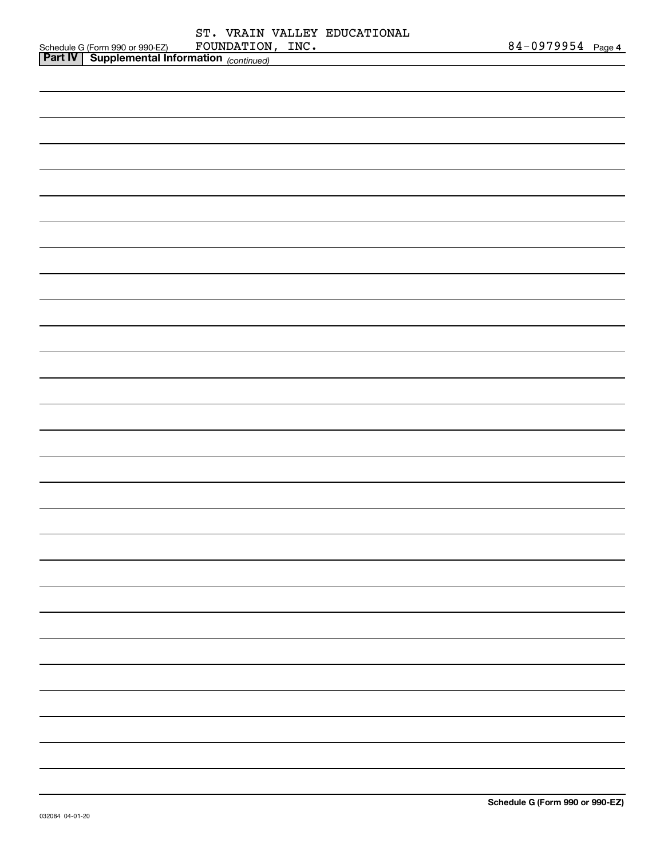|                                         | ST.              | VRAIN VALLEY EDUCATIONAL |                   |  |
|-----------------------------------------|------------------|--------------------------|-------------------|--|
| Schedule G (Form 990 or 990-EZ)         | FOUNDATION, INC. |                          | 84-0979954 Page 4 |  |
| $Part IV \mid$ Supplemental Information |                  |                          |                   |  |

| Part $\mathsf{IV}$ | <b>Supplemental Information</b> (continued) |  |
|--------------------|---------------------------------------------|--|
|                    |                                             |  |
|                    |                                             |  |
|                    |                                             |  |
|                    |                                             |  |
|                    |                                             |  |
|                    |                                             |  |
|                    |                                             |  |
|                    |                                             |  |
|                    |                                             |  |
|                    |                                             |  |
|                    |                                             |  |
|                    |                                             |  |
|                    |                                             |  |
|                    |                                             |  |
|                    |                                             |  |
|                    |                                             |  |
|                    |                                             |  |
|                    |                                             |  |
|                    |                                             |  |
|                    |                                             |  |
|                    |                                             |  |
|                    |                                             |  |
|                    |                                             |  |
|                    |                                             |  |
|                    |                                             |  |
|                    |                                             |  |
|                    |                                             |  |
|                    |                                             |  |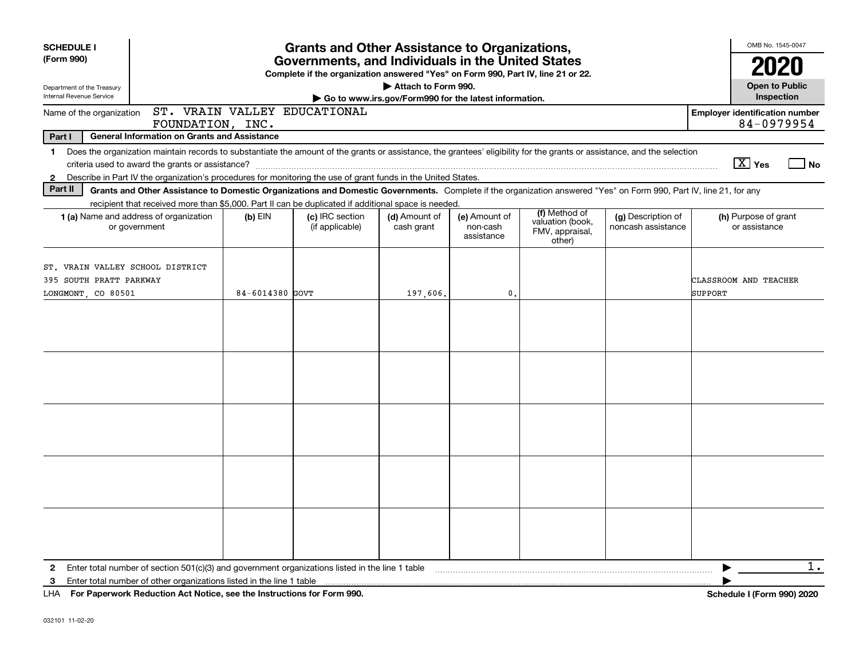| <b>SCHEDULE I</b><br>(Form 990)                                                                                                                                                                                                                                                                                                                                                                                                                                                                                                                         |                 | <b>Grants and Other Assistance to Organizations,</b><br>Governments, and Individuals in the United States<br>Complete if the organization answered "Yes" on Form 990, Part IV, line 21 or 22. |                                                                              |                                         |                                                                |                                          | OMB No. 1545-0047                                                                 |
|---------------------------------------------------------------------------------------------------------------------------------------------------------------------------------------------------------------------------------------------------------------------------------------------------------------------------------------------------------------------------------------------------------------------------------------------------------------------------------------------------------------------------------------------------------|-----------------|-----------------------------------------------------------------------------------------------------------------------------------------------------------------------------------------------|------------------------------------------------------------------------------|-----------------------------------------|----------------------------------------------------------------|------------------------------------------|-----------------------------------------------------------------------------------|
| Department of the Treasury<br>Internal Revenue Service                                                                                                                                                                                                                                                                                                                                                                                                                                                                                                  |                 |                                                                                                                                                                                               | Attach to Form 990.<br>Go to www.irs.gov/Form990 for the latest information. |                                         |                                                                |                                          | <b>Open to Public</b><br>Inspection                                               |
| Name of the organization<br>FOUNDATION, INC.                                                                                                                                                                                                                                                                                                                                                                                                                                                                                                            |                 | ST. VRAIN VALLEY EDUCATIONAL                                                                                                                                                                  |                                                                              |                                         |                                                                |                                          | <b>Employer identification number</b><br>84-0979954                               |
| Part I<br><b>General Information on Grants and Assistance</b>                                                                                                                                                                                                                                                                                                                                                                                                                                                                                           |                 |                                                                                                                                                                                               |                                                                              |                                         |                                                                |                                          |                                                                                   |
| Does the organization maintain records to substantiate the amount of the grants or assistance, the grantees' eligibility for the grants or assistance, and the selection<br>1.<br>Describe in Part IV the organization's procedures for monitoring the use of grant funds in the United States.<br>$\mathbf{2}$                                                                                                                                                                                                                                         |                 |                                                                                                                                                                                               |                                                                              |                                         |                                                                |                                          | $X$ Yes<br>l No                                                                   |
| Part II<br>Grants and Other Assistance to Domestic Organizations and Domestic Governments. Complete if the organization answered "Yes" on Form 990, Part IV, line 21, for any                                                                                                                                                                                                                                                                                                                                                                           |                 |                                                                                                                                                                                               |                                                                              |                                         |                                                                |                                          |                                                                                   |
| recipient that received more than \$5,000. Part II can be duplicated if additional space is needed.<br><b>1 (a)</b> Name and address of organization<br>or government                                                                                                                                                                                                                                                                                                                                                                                   | $(b)$ EIN       | (c) IRC section<br>(if applicable)                                                                                                                                                            | (d) Amount of<br>cash grant                                                  | (e) Amount of<br>non-cash<br>assistance | (f) Method of<br>valuation (book,<br>FMV, appraisal,<br>other) | (g) Description of<br>noncash assistance | (h) Purpose of grant<br>or assistance                                             |
| ST. VRAIN VALLEY SCHOOL DISTRICT<br>395 SOUTH PRATT PARKWAY<br>LONGMONT CO 80501                                                                                                                                                                                                                                                                                                                                                                                                                                                                        | 84-6014380 GOVT |                                                                                                                                                                                               | 197,606.                                                                     | 0.                                      |                                                                |                                          | CLASSROOM AND TEACHER<br><b>SUPPORT</b>                                           |
|                                                                                                                                                                                                                                                                                                                                                                                                                                                                                                                                                         |                 |                                                                                                                                                                                               |                                                                              |                                         |                                                                |                                          |                                                                                   |
|                                                                                                                                                                                                                                                                                                                                                                                                                                                                                                                                                         |                 |                                                                                                                                                                                               |                                                                              |                                         |                                                                |                                          |                                                                                   |
|                                                                                                                                                                                                                                                                                                                                                                                                                                                                                                                                                         |                 |                                                                                                                                                                                               |                                                                              |                                         |                                                                |                                          |                                                                                   |
|                                                                                                                                                                                                                                                                                                                                                                                                                                                                                                                                                         |                 |                                                                                                                                                                                               |                                                                              |                                         |                                                                |                                          |                                                                                   |
|                                                                                                                                                                                                                                                                                                                                                                                                                                                                                                                                                         |                 |                                                                                                                                                                                               |                                                                              |                                         |                                                                |                                          |                                                                                   |
| Enter total number of section 501(c)(3) and government organizations listed in the line 1 table contract the content content of the line of the line of the line of the line of the line of the line of the line of the line o<br>$\mathbf{2}$<br>3<br>$\mathbf{F}$ and $\mathbf{F}$ are $\mathbf{F}$ and $\mathbf{F}$ are $\mathbf{F}$ and $\mathbf{F}$ are $\mathbf{F}$ and $\mathbf{F}$ are $\mathbf{F}$ are $\mathbf{F}$ and $\mathbf{F}$ are $\mathbf{F}$ and $\mathbf{F}$ are $\mathbf{F}$ and $\mathbf{F}$ are $\mathbf{F}$ and $\mathbf{F}$ are |                 |                                                                                                                                                                                               |                                                                              |                                         |                                                                |                                          | 1.<br>0.001000<br>$\mathbf{A}$ and $\mathbf{A}$ and $\mathbf{A}$ and $\mathbf{A}$ |

**For Paperwork Reduction Act Notice, see the Instructions for Form 990. Schedule I (Form 990) 2020** LHA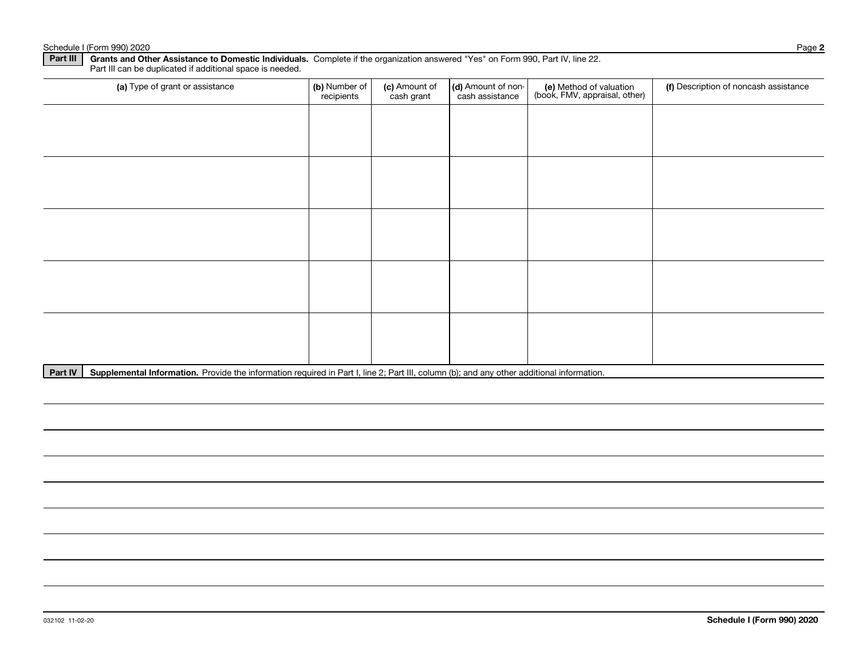#### Schedule I (Form 990) 2020 Page

| Part III can be duplicated if additional space is needed. |                             |                             |                                       |                                                          |                                       |
|-----------------------------------------------------------|-----------------------------|-----------------------------|---------------------------------------|----------------------------------------------------------|---------------------------------------|
| (a) Type of grant or assistance                           | (b) Number of<br>recipients | (c) Amount of<br>cash grant | (d) Amount of non-<br>cash assistance | (e) Method of valuation<br>(book, FMV, appraisal, other) | (f) Description of noncash assistance |
|                                                           |                             |                             |                                       |                                                          |                                       |
|                                                           |                             |                             |                                       |                                                          |                                       |
|                                                           |                             |                             |                                       |                                                          |                                       |
|                                                           |                             |                             |                                       |                                                          |                                       |
|                                                           |                             |                             |                                       |                                                          |                                       |
|                                                           |                             |                             |                                       |                                                          |                                       |
|                                                           |                             |                             |                                       |                                                          |                                       |
|                                                           |                             |                             |                                       |                                                          |                                       |
|                                                           |                             |                             |                                       |                                                          |                                       |
|                                                           |                             |                             |                                       |                                                          |                                       |

Part IV | Supplemental Information. Provide the information required in Part I, line 2; Part III, column (b); and any other additional information.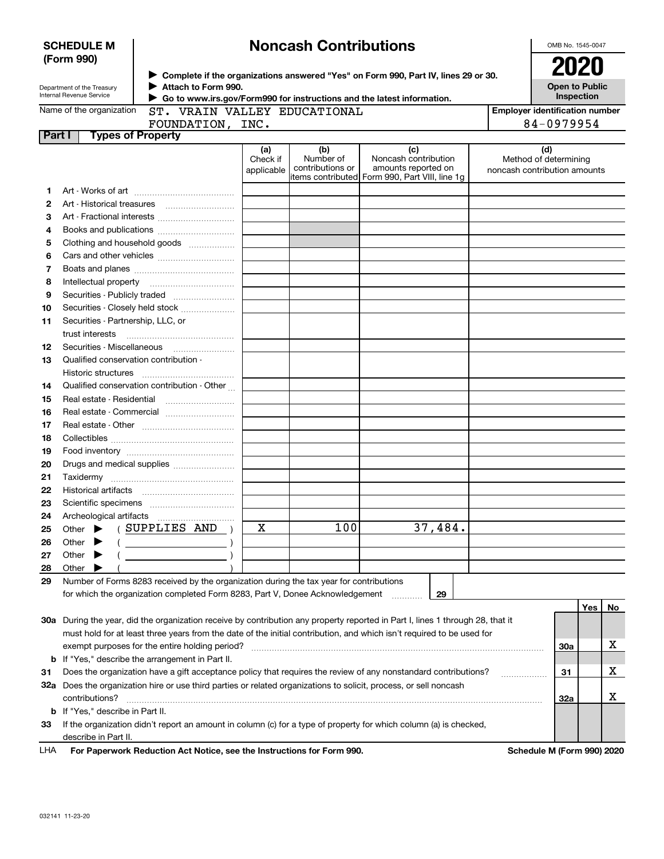|        | <b>Noncash Contributions</b><br><b>SCHEDULE M</b>                                                    |                                                                                                                   |            |                               |                                                                                                                                |                                       | OMB No. 1545-0047 |    |  |
|--------|------------------------------------------------------------------------------------------------------|-------------------------------------------------------------------------------------------------------------------|------------|-------------------------------|--------------------------------------------------------------------------------------------------------------------------------|---------------------------------------|-------------------|----|--|
|        | (Form 990)                                                                                           |                                                                                                                   |            |                               |                                                                                                                                |                                       | <b>2020</b>       |    |  |
|        |                                                                                                      |                                                                                                                   |            |                               | ▶ Complete if the organizations answered "Yes" on Form 990, Part IV, lines 29 or 30.                                           |                                       |                   |    |  |
|        | Department of the Treasury<br>Internal Revenue Service                                               | Attach to Form 990.<br>Go to www.irs.gov/Form990 for instructions and the latest information.                     |            |                               |                                                                                                                                | <b>Open to Public</b><br>Inspection   |                   |    |  |
|        | Name of the organization                                                                             | ST. VRAIN VALLEY EDUCATIONAL                                                                                      |            |                               |                                                                                                                                | <b>Employer identification number</b> |                   |    |  |
|        |                                                                                                      | FOUNDATION, INC.                                                                                                  |            |                               |                                                                                                                                |                                       | 84-0979954        |    |  |
| Part I |                                                                                                      | <b>Types of Property</b>                                                                                          |            |                               |                                                                                                                                |                                       |                   |    |  |
|        |                                                                                                      |                                                                                                                   | (a)        | (b)                           | (c)                                                                                                                            | (d)                                   |                   |    |  |
|        |                                                                                                      |                                                                                                                   | Check if   | Number of<br>contributions or | Noncash contribution<br>amounts reported on                                                                                    | Method of determining                 |                   |    |  |
|        |                                                                                                      |                                                                                                                   | applicable |                               | litems contributed Form 990, Part VIII, line 1g                                                                                | noncash contribution amounts          |                   |    |  |
| 1      |                                                                                                      |                                                                                                                   |            |                               |                                                                                                                                |                                       |                   |    |  |
| 2      | Art - Historical treasures                                                                           |                                                                                                                   |            |                               |                                                                                                                                |                                       |                   |    |  |
| з      |                                                                                                      |                                                                                                                   |            |                               |                                                                                                                                |                                       |                   |    |  |
| 4      |                                                                                                      |                                                                                                                   |            |                               |                                                                                                                                |                                       |                   |    |  |
| 5      |                                                                                                      | Clothing and household goods                                                                                      |            |                               |                                                                                                                                |                                       |                   |    |  |
| 6      |                                                                                                      |                                                                                                                   |            |                               |                                                                                                                                |                                       |                   |    |  |
| 7      |                                                                                                      |                                                                                                                   |            |                               |                                                                                                                                |                                       |                   |    |  |
| 8      | Intellectual property                                                                                |                                                                                                                   |            |                               |                                                                                                                                |                                       |                   |    |  |
| 9      |                                                                                                      |                                                                                                                   |            |                               |                                                                                                                                |                                       |                   |    |  |
| 10     |                                                                                                      | Securities - Closely held stock                                                                                   |            |                               |                                                                                                                                |                                       |                   |    |  |
| 11     | Securities - Partnership, LLC, or                                                                    |                                                                                                                   |            |                               |                                                                                                                                |                                       |                   |    |  |
|        | trust interests                                                                                      |                                                                                                                   |            |                               |                                                                                                                                |                                       |                   |    |  |
| 12     | Securities Miscellaneous                                                                             |                                                                                                                   |            |                               |                                                                                                                                |                                       |                   |    |  |
| 13     |                                                                                                      | Qualified conservation contribution -                                                                             |            |                               |                                                                                                                                |                                       |                   |    |  |
|        | Historic structures                                                                                  |                                                                                                                   |            |                               |                                                                                                                                |                                       |                   |    |  |
| 14     |                                                                                                      | Qualified conservation contribution - Other                                                                       |            |                               |                                                                                                                                |                                       |                   |    |  |
| 15     | Real estate - Residential                                                                            |                                                                                                                   |            |                               |                                                                                                                                |                                       |                   |    |  |
| 16     |                                                                                                      |                                                                                                                   |            |                               |                                                                                                                                |                                       |                   |    |  |
| 17     |                                                                                                      |                                                                                                                   |            |                               |                                                                                                                                |                                       |                   |    |  |
| 18     |                                                                                                      |                                                                                                                   |            |                               |                                                                                                                                |                                       |                   |    |  |
| 19     |                                                                                                      |                                                                                                                   |            |                               |                                                                                                                                |                                       |                   |    |  |
| 20     |                                                                                                      | Drugs and medical supplies                                                                                        |            |                               |                                                                                                                                |                                       |                   |    |  |
| 21     |                                                                                                      |                                                                                                                   |            |                               |                                                                                                                                |                                       |                   |    |  |
| 22     | Historical artifacts                                                                                 |                                                                                                                   |            |                               |                                                                                                                                |                                       |                   |    |  |
| 23     |                                                                                                      |                                                                                                                   |            |                               |                                                                                                                                |                                       |                   |    |  |
| 24     |                                                                                                      |                                                                                                                   |            |                               |                                                                                                                                |                                       |                   |    |  |
| 25     | Other                                                                                                | SUPPLIES AND                                                                                                      | х          | 100                           | 37,484.                                                                                                                        |                                       |                   |    |  |
| 26     | Other                                                                                                |                                                                                                                   |            |                               |                                                                                                                                |                                       |                   |    |  |
| 27     | Other $\blacktriangleright$                                                                          |                                                                                                                   |            |                               |                                                                                                                                |                                       |                   |    |  |
| 28     | Other                                                                                                |                                                                                                                   |            |                               |                                                                                                                                |                                       |                   |    |  |
| 29     |                                                                                                      | Number of Forms 8283 received by the organization during the tax year for contributions                           |            |                               |                                                                                                                                |                                       |                   |    |  |
|        |                                                                                                      | for which the organization completed Form 8283, Part V, Donee Acknowledgement                                     |            |                               | 29                                                                                                                             |                                       |                   |    |  |
|        |                                                                                                      |                                                                                                                   |            |                               |                                                                                                                                |                                       | Yes               | No |  |
|        |                                                                                                      |                                                                                                                   |            |                               | 30a During the year, did the organization receive by contribution any property reported in Part I, lines 1 through 28, that it |                                       |                   |    |  |
|        |                                                                                                      |                                                                                                                   |            |                               | must hold for at least three years from the date of the initial contribution, and which isn't required to be used for          |                                       |                   |    |  |
|        |                                                                                                      | exempt purposes for the entire holding period?                                                                    |            |                               |                                                                                                                                |                                       | 30a               | х  |  |
|        |                                                                                                      | <b>b</b> If "Yes," describe the arrangement in Part II.                                                           |            |                               |                                                                                                                                |                                       |                   |    |  |
| 31     |                                                                                                      |                                                                                                                   |            |                               | Does the organization have a gift acceptance policy that requires the review of any nonstandard contributions?                 |                                       | 31                | х  |  |
|        |                                                                                                      | 32a Does the organization hire or use third parties or related organizations to solicit, process, or sell noncash |            |                               |                                                                                                                                |                                       |                   |    |  |
|        | contributions?                                                                                       |                                                                                                                   |            |                               |                                                                                                                                |                                       | 32a               | х  |  |
|        | <b>b</b> If "Yes," describe in Part II.                                                              |                                                                                                                   |            |                               |                                                                                                                                |                                       |                   |    |  |
| 33     |                                                                                                      |                                                                                                                   |            |                               | If the organization didn't report an amount in column (c) for a type of property for which column (a) is checked,              |                                       |                   |    |  |
|        | describe in Part II.                                                                                 |                                                                                                                   |            |                               |                                                                                                                                |                                       |                   |    |  |
| LHA    | For Paperwork Reduction Act Notice, see the Instructions for Form 990.<br>Schedule M (Form 990) 2020 |                                                                                                                   |            |                               |                                                                                                                                |                                       |                   |    |  |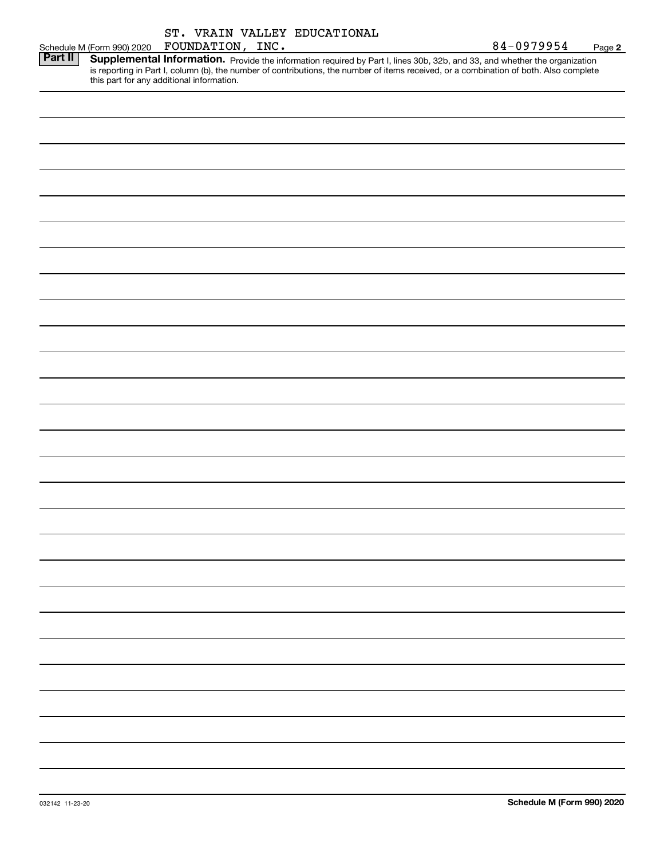|                           |  |  | ST. VRAIN VALLEY EDUCATIONAL |  |
|---------------------------|--|--|------------------------------|--|
| anilanan FOIINDATTON TNC. |  |  |                              |  |

Schedule M (Form 99) Part II | Supplemental Information. Provide the information required by Part I, lines 30b, 32b, and 33, and whether the organization is reporting in Part I, column (b), the number of contributions, the number of items received, or a combination of both. Also complete this part for any additional information.